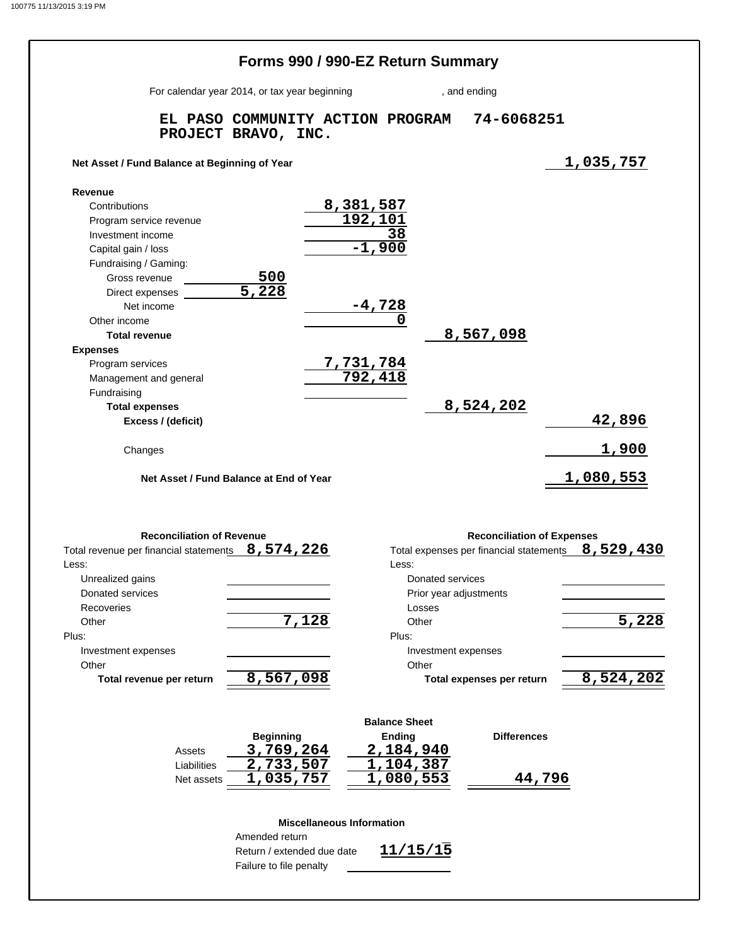|                                                    | Forms 990 / 990-EZ Return Summary                       |                                  |                      |                     |                                         |              |
|----------------------------------------------------|---------------------------------------------------------|----------------------------------|----------------------|---------------------|-----------------------------------------|--------------|
|                                                    | For calendar year 2014, or tax year beginning           |                                  |                      |                     | , and ending                            |              |
|                                                    | EL PASO COMMUNITY ACTION PROGRAM<br>PROJECT BRAVO, INC. |                                  |                      |                     | 74-6068251                              |              |
| Net Asset / Fund Balance at Beginning of Year      |                                                         |                                  |                      |                     |                                         | 1,035,757    |
| Revenue                                            |                                                         |                                  |                      |                     |                                         |              |
| Contributions                                      |                                                         |                                  |                      |                     |                                         |              |
| Program service revenue                            |                                                         | 8,381,587<br>192,101             |                      |                     |                                         |              |
| Investment income                                  |                                                         |                                  | $\overline{38}$      |                     |                                         |              |
| Capital gain / loss                                |                                                         | $-1,900$                         |                      |                     |                                         |              |
| Fundraising / Gaming:                              |                                                         |                                  |                      |                     |                                         |              |
| Gross revenue                                      | 500                                                     |                                  |                      |                     |                                         |              |
| Direct expenses                                    | $\overline{5,228}$                                      |                                  |                      |                     |                                         |              |
| Net income                                         |                                                         | $-4,728$                         |                      |                     |                                         |              |
| Other income                                       |                                                         |                                  | 0                    |                     |                                         |              |
| <b>Total revenue</b>                               |                                                         |                                  |                      |                     | 8,567,098                               |              |
| <b>Expenses</b>                                    |                                                         |                                  |                      |                     |                                         |              |
| Program services                                   |                                                         | 7,731,784<br>792,418             |                      |                     |                                         |              |
| Management and general                             |                                                         |                                  |                      |                     |                                         |              |
| Fundraising                                        |                                                         |                                  |                      |                     |                                         |              |
| <b>Total expenses</b>                              |                                                         |                                  |                      |                     | 8,524,202                               |              |
| Excess / (deficit)                                 |                                                         |                                  |                      |                     |                                         | 42,896       |
|                                                    |                                                         |                                  |                      |                     |                                         |              |
| Changes                                            |                                                         |                                  |                      |                     |                                         | <u>1,900</u> |
| Net Asset / Fund Balance at End of Year            |                                                         |                                  |                      |                     |                                         | 1,080,553    |
|                                                    |                                                         |                                  |                      |                     |                                         |              |
| <b>Reconciliation of Revenue</b>                   |                                                         |                                  |                      |                     | <b>Reconciliation of Expenses</b>       |              |
| Total revenue per financial statements 8, 574, 226 |                                                         |                                  |                      |                     | Total expenses per financial statements | 8,529,430    |
| Less:                                              |                                                         |                                  | Less:                |                     |                                         |              |
| Unrealized gains                                   |                                                         |                                  |                      | Donated services    |                                         |              |
| Donated services                                   |                                                         |                                  |                      |                     | Prior year adjustments                  |              |
| Recoveries                                         |                                                         |                                  |                      | Losses              |                                         |              |
| Other                                              | 7,128                                                   |                                  | Other                |                     |                                         | 5,228        |
| Plus:                                              |                                                         |                                  | Plus:                |                     |                                         |              |
| Investment expenses                                |                                                         |                                  |                      | Investment expenses |                                         |              |
| Other                                              |                                                         |                                  | Other                |                     |                                         |              |
| Total revenue per return                           | 8,567,098                                               |                                  |                      |                     | Total expenses per return               | 8,524,202    |
|                                                    |                                                         |                                  | <b>Balance Sheet</b> |                     |                                         |              |
|                                                    | <b>Beginning</b>                                        |                                  | <b>Ending</b>        |                     | <b>Differences</b>                      |              |
| Assets                                             | 3,769,264                                               |                                  | 2,184,940            |                     |                                         |              |
| Liabilities                                        | 2,733,507                                               |                                  | 1,104,387            |                     |                                         |              |
| Net assets                                         | 1,035,757                                               |                                  | 1,080,553            |                     | 44,796                                  |              |
|                                                    |                                                         |                                  |                      |                     |                                         |              |
|                                                    |                                                         | <b>Miscellaneous Information</b> |                      |                     |                                         |              |
|                                                    | Amended return                                          |                                  |                      |                     |                                         |              |
|                                                    | Return / extended due date                              |                                  | 11/15/15             |                     |                                         |              |
|                                                    | Failure to file penalty                                 |                                  |                      |                     |                                         |              |
|                                                    |                                                         |                                  |                      |                     |                                         |              |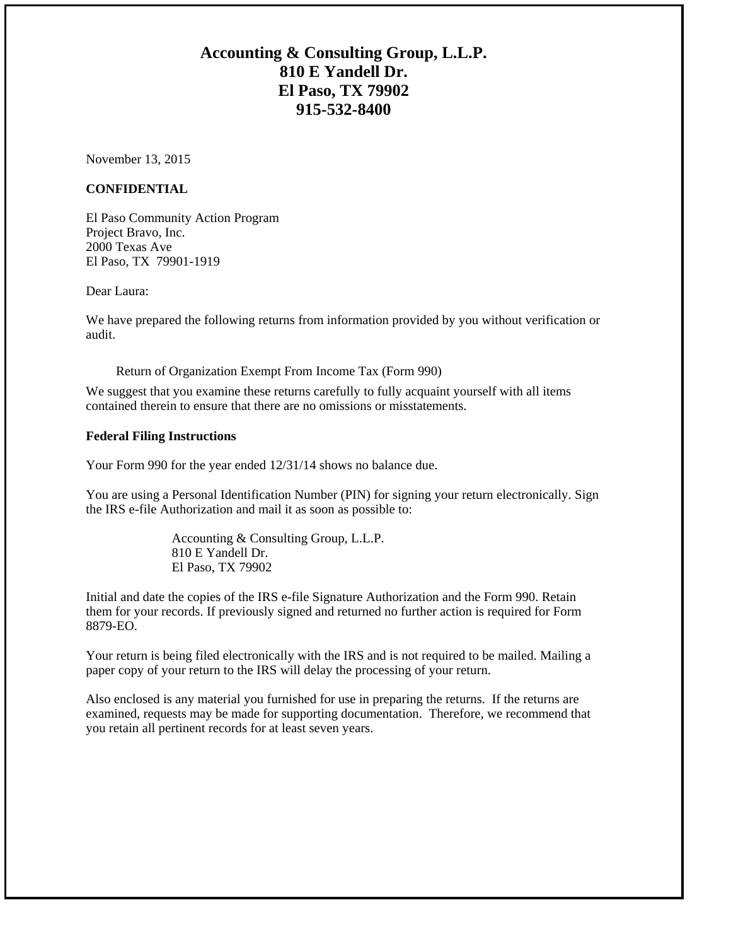### **Accounting & Consulting Group, L.L.P. 810 E Yandell Dr. El Paso, TX 79902 915-532-8400**

November 13, 2015

### **CONFIDENTIAL**

El Paso Community Action Program Project Bravo, Inc. 2000 Texas Ave El Paso, TX 79901-1919

Dear Laura:

We have prepared the following returns from information provided by you without verification or audit.

Return of Organization Exempt From Income Tax (Form 990)

We suggest that you examine these returns carefully to fully acquaint yourself with all items contained therein to ensure that there are no omissions or misstatements.

### **Federal Filing Instructions**

Your Form 990 for the year ended 12/31/14 shows no balance due.

You are using a Personal Identification Number (PIN) for signing your return electronically. Sign the IRS e-file Authorization and mail it as soon as possible to:

> Accounting & Consulting Group, L.L.P. 810 E Yandell Dr. El Paso, TX 79902

Initial and date the copies of the IRS e-file Signature Authorization and the Form 990. Retain them for your records. If previously signed and returned no further action is required for Form 8879-EO.

Your return is being filed electronically with the IRS and is not required to be mailed. Mailing a paper copy of your return to the IRS will delay the processing of your return.

Also enclosed is any material you furnished for use in preparing the returns. If the returns are examined, requests may be made for supporting documentation. Therefore, we recommend that you retain all pertinent records for at least seven years.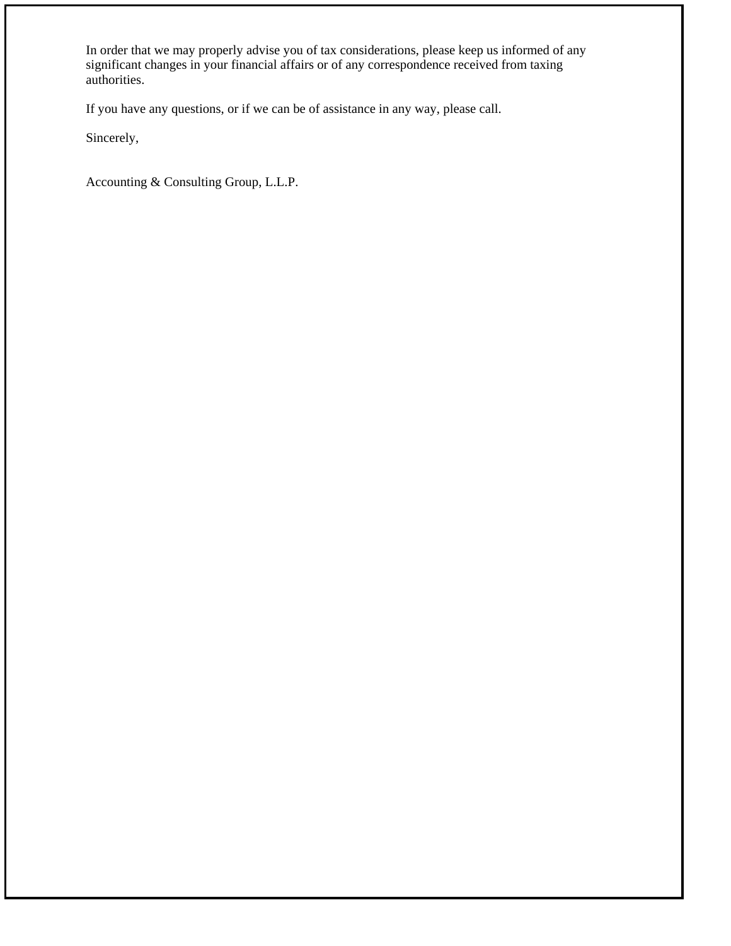In order that we may properly advise you of tax considerations, please keep us informed of any significant changes in your financial affairs or of any correspondence received from taxing authorities.

If you have any questions, or if we can be of assistance in any way, please call.

Sincerely,

Accounting & Consulting Group, L.L.P.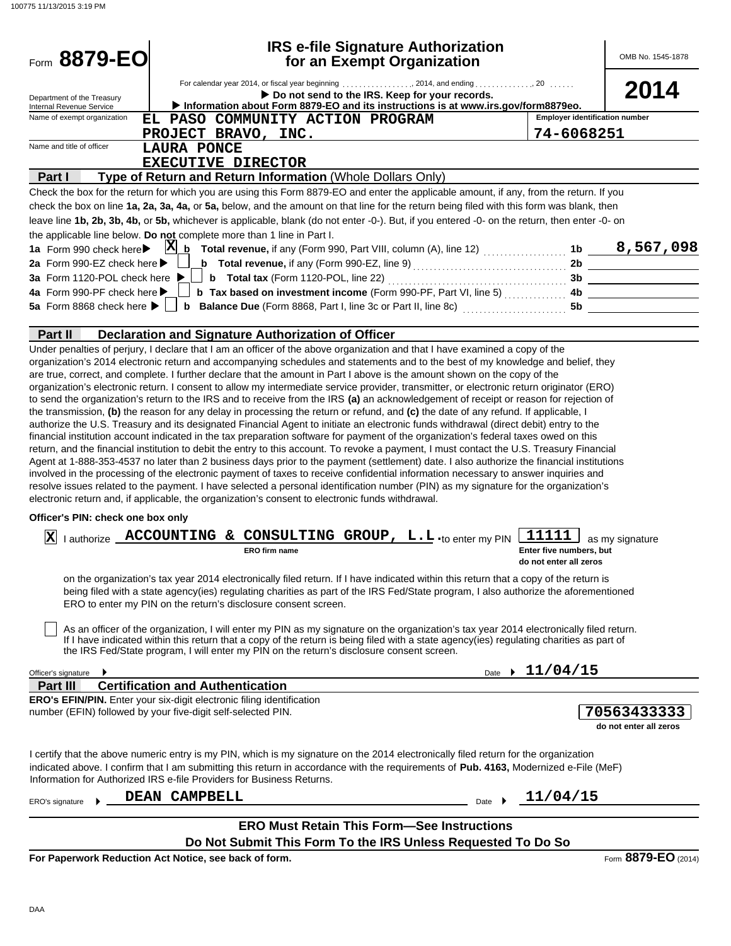| 2014<br>Do not send to the IRS. Keep for your records.<br>Department of the Treasury<br>Information about Form 8879-EO and its instructions is at www.irs.gov/form8879eo.<br><b>Employer identification number</b><br>EL PASO COMMUNITY ACTION PROGRAM<br>74-6068251<br>PROJECT BRAVO, INC.<br>Name and title of officer<br><b>LAURA PONCE</b><br><b>EXECUTIVE DIRECTOR</b><br>Type of Return and Return Information (Whole Dollars Only)<br>Part I<br>Check the box for the return for which you are using this Form 8879-EO and enter the applicable amount, if any, from the return. If you<br>check the box on line 1a, 2a, 3a, 4a, or 5a, below, and the amount on that line for the return being filed with this form was blank, then<br>leave line 1b, 2b, 3b, 4b, or 5b, whichever is applicable, blank (do not enter -0-). But, if you entered -0- on the return, then enter -0- on<br>the applicable line below. Do not complete more than 1 line in Part I.<br>$X_{n}$ Total revenue, if any (Form 990, Part VIII, column (A), line 12)  1b $8,567,098$<br>1a Form 990 check here<br>2a Form 990-EZ check here ▶<br>2 <sub>b</sub><br>3a Form 1120-POL check here ▶<br>3b<br>b Tax based on investment income (Form 990-PF, Part VI, line 5) [11, 12, 13, 14b]<br>4a Form 990-PF check here ▶<br>5a Form 8868 check here $\blacktriangleright$  <br><u> a shekara ta 1999 a shekara ta 1999 a shekara t</u><br><b>Part II</b><br>Declaration and Signature Authorization of Officer<br>Under penalties of perjury, I declare that I am an officer of the above organization and that I have examined a copy of the<br>organization's 2014 electronic return and accompanying schedules and statements and to the best of my knowledge and belief, they<br>are true, correct, and complete. I further declare that the amount in Part I above is the amount shown on the copy of the<br>organization's electronic return. I consent to allow my intermediate service provider, transmitter, or electronic return originator (ERO)<br>to send the organization's return to the IRS and to receive from the IRS (a) an acknowledgement of receipt or reason for rejection of<br>the transmission, (b) the reason for any delay in processing the return or refund, and (c) the date of any refund. If applicable, I<br>authorize the U.S. Treasury and its designated Financial Agent to initiate an electronic funds withdrawal (direct debit) entry to the<br>financial institution account indicated in the tax preparation software for payment of the organization's federal taxes owed on this<br>return, and the financial institution to debit the entry to this account. To revoke a payment, I must contact the U.S. Treasury Financial<br>Agent at 1-888-353-4537 no later than 2 business days prior to the payment (settlement) date. I also authorize the financial institutions<br>involved in the processing of the electronic payment of taxes to receive confidential information necessary to answer inquiries and<br>resolve issues related to the payment. I have selected a personal identification number (PIN) as my signature for the organization's<br>electronic return and, if applicable, the organization's consent to electronic funds withdrawal.<br>Officer's PIN: check one box only<br>11111<br>l authorize <b>ACCOUNTING &amp; CONSULTING GROUP, L.L.</b> . to enter my PIN<br>ΙXΙ<br>as my signature<br>Enter five numbers, but<br>ERO firm name<br>do not enter all zeros<br>on the organization's tax year 2014 electronically filed return. If I have indicated within this return that a copy of the return is<br>being filed with a state agency(ies) regulating charities as part of the IRS Fed/State program, I also authorize the aforementioned<br>ERO to enter my PIN on the return's disclosure consent screen.<br>As an officer of the organization, I will enter my PIN as my signature on the organization's tax year 2014 electronically filed return.<br>If I have indicated within this return that a copy of the return is being filed with a state agency(ies) regulating charities as part of<br>the IRS Fed/State program, I will enter my PIN on the return's disclosure consent screen.<br>Date $\rightarrow 11/04/15$<br><b>Certification and Authentication</b><br>Part III<br><b>ERO's EFIN/PIN.</b> Enter your six-digit electronic filing identification<br>number (EFIN) followed by your five-digit self-selected PIN.<br>70563433333<br>do not enter all zeros<br>I certify that the above numeric entry is my PIN, which is my signature on the 2014 electronically filed return for the organization<br>indicated above. I confirm that I am submitting this return in accordance with the requirements of Pub. 4163, Modernized e-File (MeF)<br>Information for Authorized IRS e-file Providers for Business Returns.<br>11/04/15<br>DEAN CAMPBELL<br>ERO's signature<br>Date<br><b>ERO Must Retain This Form-See Instructions</b><br>Do Not Submit This Form To the IRS Unless Requested To Do So<br>Form 8879-EO (2014)<br>For Paperwork Reduction Act Notice, see back of form. | Form 8879-EO                | <b>IRS e-file Signature Authorization</b><br>for an Exempt Organization | OMB No. 1545-1878 |
|--------------------------------------------------------------------------------------------------------------------------------------------------------------------------------------------------------------------------------------------------------------------------------------------------------------------------------------------------------------------------------------------------------------------------------------------------------------------------------------------------------------------------------------------------------------------------------------------------------------------------------------------------------------------------------------------------------------------------------------------------------------------------------------------------------------------------------------------------------------------------------------------------------------------------------------------------------------------------------------------------------------------------------------------------------------------------------------------------------------------------------------------------------------------------------------------------------------------------------------------------------------------------------------------------------------------------------------------------------------------------------------------------------------------------------------------------------------------------------------------------------------------------------------------------------------------------------------------------------------------------------------------------------------------------------------------------------------------------------------------------------------------------------------------------------------------------------------------------------------------------------------------------------------------------------------------------------------------------------------------------------------------------------------------------------------------------------------------------------------------------------------------------------------------------------------------------------------------------------------------------------------------------------------------------------------------------------------------------------------------------------------------------------------------------------------------------------------------------------------------------------------------------------------------------------------------------------------------------------------------------------------------------------------------------------------------------------------------------------------------------------------------------------------------------------------------------------------------------------------------------------------------------------------------------------------------------------------------------------------------------------------------------------------------------------------------------------------------------------------------------------------------------------------------------------------------------------------------------------------------------------------------------------------------------------------------------------------------------------------------------------------------------------------------------------------------------------------------------------------------------------------------------------------------------------------------------------------------------------------------------------------------------------------------------------------------------------------------------------------------------------------------------------------------------------------------------------------------------------------------------------------------------------------------------------------------------------------------------------------------------------------------------------------------------------------------------------------------------------------------------------------------------------------------------------------------------------------------------------------------------------------------------------------------------------------------------------------------------------------------------------------------------------------------------------------------------------------------------------------------------------------------------------------------------------------------------------------------------------------------------------------------------------------------------------------------------------------------------------------------------------------------------------------------------------------------------------------------------------------------------------------------------------------------------------------------------------------------------------------------------------------------------------------------------------------------------------------------------------------------------------------------------------------------|-----------------------------|-------------------------------------------------------------------------|-------------------|
|                                                                                                                                                                                                                                                                                                                                                                                                                                                                                                                                                                                                                                                                                                                                                                                                                                                                                                                                                                                                                                                                                                                                                                                                                                                                                                                                                                                                                                                                                                                                                                                                                                                                                                                                                                                                                                                                                                                                                                                                                                                                                                                                                                                                                                                                                                                                                                                                                                                                                                                                                                                                                                                                                                                                                                                                                                                                                                                                                                                                                                                                                                                                                                                                                                                                                                                                                                                                                                                                                                                                                                                                                                                                                                                                                                                                                                                                                                                                                                                                                                                                                                                                                                                                                                                                                                                                                                                                                                                                                                                                                                                                                                                                                                                                                                                                                                                                                                                                                                                                                                                                                                                                                                    |                             |                                                                         |                   |
|                                                                                                                                                                                                                                                                                                                                                                                                                                                                                                                                                                                                                                                                                                                                                                                                                                                                                                                                                                                                                                                                                                                                                                                                                                                                                                                                                                                                                                                                                                                                                                                                                                                                                                                                                                                                                                                                                                                                                                                                                                                                                                                                                                                                                                                                                                                                                                                                                                                                                                                                                                                                                                                                                                                                                                                                                                                                                                                                                                                                                                                                                                                                                                                                                                                                                                                                                                                                                                                                                                                                                                                                                                                                                                                                                                                                                                                                                                                                                                                                                                                                                                                                                                                                                                                                                                                                                                                                                                                                                                                                                                                                                                                                                                                                                                                                                                                                                                                                                                                                                                                                                                                                                                    |                             |                                                                         |                   |
|                                                                                                                                                                                                                                                                                                                                                                                                                                                                                                                                                                                                                                                                                                                                                                                                                                                                                                                                                                                                                                                                                                                                                                                                                                                                                                                                                                                                                                                                                                                                                                                                                                                                                                                                                                                                                                                                                                                                                                                                                                                                                                                                                                                                                                                                                                                                                                                                                                                                                                                                                                                                                                                                                                                                                                                                                                                                                                                                                                                                                                                                                                                                                                                                                                                                                                                                                                                                                                                                                                                                                                                                                                                                                                                                                                                                                                                                                                                                                                                                                                                                                                                                                                                                                                                                                                                                                                                                                                                                                                                                                                                                                                                                                                                                                                                                                                                                                                                                                                                                                                                                                                                                                                    | Internal Revenue Service    |                                                                         |                   |
|                                                                                                                                                                                                                                                                                                                                                                                                                                                                                                                                                                                                                                                                                                                                                                                                                                                                                                                                                                                                                                                                                                                                                                                                                                                                                                                                                                                                                                                                                                                                                                                                                                                                                                                                                                                                                                                                                                                                                                                                                                                                                                                                                                                                                                                                                                                                                                                                                                                                                                                                                                                                                                                                                                                                                                                                                                                                                                                                                                                                                                                                                                                                                                                                                                                                                                                                                                                                                                                                                                                                                                                                                                                                                                                                                                                                                                                                                                                                                                                                                                                                                                                                                                                                                                                                                                                                                                                                                                                                                                                                                                                                                                                                                                                                                                                                                                                                                                                                                                                                                                                                                                                                                                    | Name of exempt organization |                                                                         |                   |
|                                                                                                                                                                                                                                                                                                                                                                                                                                                                                                                                                                                                                                                                                                                                                                                                                                                                                                                                                                                                                                                                                                                                                                                                                                                                                                                                                                                                                                                                                                                                                                                                                                                                                                                                                                                                                                                                                                                                                                                                                                                                                                                                                                                                                                                                                                                                                                                                                                                                                                                                                                                                                                                                                                                                                                                                                                                                                                                                                                                                                                                                                                                                                                                                                                                                                                                                                                                                                                                                                                                                                                                                                                                                                                                                                                                                                                                                                                                                                                                                                                                                                                                                                                                                                                                                                                                                                                                                                                                                                                                                                                                                                                                                                                                                                                                                                                                                                                                                                                                                                                                                                                                                                                    |                             |                                                                         |                   |
|                                                                                                                                                                                                                                                                                                                                                                                                                                                                                                                                                                                                                                                                                                                                                                                                                                                                                                                                                                                                                                                                                                                                                                                                                                                                                                                                                                                                                                                                                                                                                                                                                                                                                                                                                                                                                                                                                                                                                                                                                                                                                                                                                                                                                                                                                                                                                                                                                                                                                                                                                                                                                                                                                                                                                                                                                                                                                                                                                                                                                                                                                                                                                                                                                                                                                                                                                                                                                                                                                                                                                                                                                                                                                                                                                                                                                                                                                                                                                                                                                                                                                                                                                                                                                                                                                                                                                                                                                                                                                                                                                                                                                                                                                                                                                                                                                                                                                                                                                                                                                                                                                                                                                                    |                             |                                                                         |                   |
|                                                                                                                                                                                                                                                                                                                                                                                                                                                                                                                                                                                                                                                                                                                                                                                                                                                                                                                                                                                                                                                                                                                                                                                                                                                                                                                                                                                                                                                                                                                                                                                                                                                                                                                                                                                                                                                                                                                                                                                                                                                                                                                                                                                                                                                                                                                                                                                                                                                                                                                                                                                                                                                                                                                                                                                                                                                                                                                                                                                                                                                                                                                                                                                                                                                                                                                                                                                                                                                                                                                                                                                                                                                                                                                                                                                                                                                                                                                                                                                                                                                                                                                                                                                                                                                                                                                                                                                                                                                                                                                                                                                                                                                                                                                                                                                                                                                                                                                                                                                                                                                                                                                                                                    |                             |                                                                         |                   |
|                                                                                                                                                                                                                                                                                                                                                                                                                                                                                                                                                                                                                                                                                                                                                                                                                                                                                                                                                                                                                                                                                                                                                                                                                                                                                                                                                                                                                                                                                                                                                                                                                                                                                                                                                                                                                                                                                                                                                                                                                                                                                                                                                                                                                                                                                                                                                                                                                                                                                                                                                                                                                                                                                                                                                                                                                                                                                                                                                                                                                                                                                                                                                                                                                                                                                                                                                                                                                                                                                                                                                                                                                                                                                                                                                                                                                                                                                                                                                                                                                                                                                                                                                                                                                                                                                                                                                                                                                                                                                                                                                                                                                                                                                                                                                                                                                                                                                                                                                                                                                                                                                                                                                                    |                             |                                                                         |                   |
|                                                                                                                                                                                                                                                                                                                                                                                                                                                                                                                                                                                                                                                                                                                                                                                                                                                                                                                                                                                                                                                                                                                                                                                                                                                                                                                                                                                                                                                                                                                                                                                                                                                                                                                                                                                                                                                                                                                                                                                                                                                                                                                                                                                                                                                                                                                                                                                                                                                                                                                                                                                                                                                                                                                                                                                                                                                                                                                                                                                                                                                                                                                                                                                                                                                                                                                                                                                                                                                                                                                                                                                                                                                                                                                                                                                                                                                                                                                                                                                                                                                                                                                                                                                                                                                                                                                                                                                                                                                                                                                                                                                                                                                                                                                                                                                                                                                                                                                                                                                                                                                                                                                                                                    |                             |                                                                         |                   |
|                                                                                                                                                                                                                                                                                                                                                                                                                                                                                                                                                                                                                                                                                                                                                                                                                                                                                                                                                                                                                                                                                                                                                                                                                                                                                                                                                                                                                                                                                                                                                                                                                                                                                                                                                                                                                                                                                                                                                                                                                                                                                                                                                                                                                                                                                                                                                                                                                                                                                                                                                                                                                                                                                                                                                                                                                                                                                                                                                                                                                                                                                                                                                                                                                                                                                                                                                                                                                                                                                                                                                                                                                                                                                                                                                                                                                                                                                                                                                                                                                                                                                                                                                                                                                                                                                                                                                                                                                                                                                                                                                                                                                                                                                                                                                                                                                                                                                                                                                                                                                                                                                                                                                                    |                             |                                                                         |                   |
|                                                                                                                                                                                                                                                                                                                                                                                                                                                                                                                                                                                                                                                                                                                                                                                                                                                                                                                                                                                                                                                                                                                                                                                                                                                                                                                                                                                                                                                                                                                                                                                                                                                                                                                                                                                                                                                                                                                                                                                                                                                                                                                                                                                                                                                                                                                                                                                                                                                                                                                                                                                                                                                                                                                                                                                                                                                                                                                                                                                                                                                                                                                                                                                                                                                                                                                                                                                                                                                                                                                                                                                                                                                                                                                                                                                                                                                                                                                                                                                                                                                                                                                                                                                                                                                                                                                                                                                                                                                                                                                                                                                                                                                                                                                                                                                                                                                                                                                                                                                                                                                                                                                                                                    |                             |                                                                         |                   |
|                                                                                                                                                                                                                                                                                                                                                                                                                                                                                                                                                                                                                                                                                                                                                                                                                                                                                                                                                                                                                                                                                                                                                                                                                                                                                                                                                                                                                                                                                                                                                                                                                                                                                                                                                                                                                                                                                                                                                                                                                                                                                                                                                                                                                                                                                                                                                                                                                                                                                                                                                                                                                                                                                                                                                                                                                                                                                                                                                                                                                                                                                                                                                                                                                                                                                                                                                                                                                                                                                                                                                                                                                                                                                                                                                                                                                                                                                                                                                                                                                                                                                                                                                                                                                                                                                                                                                                                                                                                                                                                                                                                                                                                                                                                                                                                                                                                                                                                                                                                                                                                                                                                                                                    |                             |                                                                         |                   |
|                                                                                                                                                                                                                                                                                                                                                                                                                                                                                                                                                                                                                                                                                                                                                                                                                                                                                                                                                                                                                                                                                                                                                                                                                                                                                                                                                                                                                                                                                                                                                                                                                                                                                                                                                                                                                                                                                                                                                                                                                                                                                                                                                                                                                                                                                                                                                                                                                                                                                                                                                                                                                                                                                                                                                                                                                                                                                                                                                                                                                                                                                                                                                                                                                                                                                                                                                                                                                                                                                                                                                                                                                                                                                                                                                                                                                                                                                                                                                                                                                                                                                                                                                                                                                                                                                                                                                                                                                                                                                                                                                                                                                                                                                                                                                                                                                                                                                                                                                                                                                                                                                                                                                                    |                             |                                                                         |                   |
|                                                                                                                                                                                                                                                                                                                                                                                                                                                                                                                                                                                                                                                                                                                                                                                                                                                                                                                                                                                                                                                                                                                                                                                                                                                                                                                                                                                                                                                                                                                                                                                                                                                                                                                                                                                                                                                                                                                                                                                                                                                                                                                                                                                                                                                                                                                                                                                                                                                                                                                                                                                                                                                                                                                                                                                                                                                                                                                                                                                                                                                                                                                                                                                                                                                                                                                                                                                                                                                                                                                                                                                                                                                                                                                                                                                                                                                                                                                                                                                                                                                                                                                                                                                                                                                                                                                                                                                                                                                                                                                                                                                                                                                                                                                                                                                                                                                                                                                                                                                                                                                                                                                                                                    |                             |                                                                         |                   |
|                                                                                                                                                                                                                                                                                                                                                                                                                                                                                                                                                                                                                                                                                                                                                                                                                                                                                                                                                                                                                                                                                                                                                                                                                                                                                                                                                                                                                                                                                                                                                                                                                                                                                                                                                                                                                                                                                                                                                                                                                                                                                                                                                                                                                                                                                                                                                                                                                                                                                                                                                                                                                                                                                                                                                                                                                                                                                                                                                                                                                                                                                                                                                                                                                                                                                                                                                                                                                                                                                                                                                                                                                                                                                                                                                                                                                                                                                                                                                                                                                                                                                                                                                                                                                                                                                                                                                                                                                                                                                                                                                                                                                                                                                                                                                                                                                                                                                                                                                                                                                                                                                                                                                                    |                             |                                                                         |                   |
|                                                                                                                                                                                                                                                                                                                                                                                                                                                                                                                                                                                                                                                                                                                                                                                                                                                                                                                                                                                                                                                                                                                                                                                                                                                                                                                                                                                                                                                                                                                                                                                                                                                                                                                                                                                                                                                                                                                                                                                                                                                                                                                                                                                                                                                                                                                                                                                                                                                                                                                                                                                                                                                                                                                                                                                                                                                                                                                                                                                                                                                                                                                                                                                                                                                                                                                                                                                                                                                                                                                                                                                                                                                                                                                                                                                                                                                                                                                                                                                                                                                                                                                                                                                                                                                                                                                                                                                                                                                                                                                                                                                                                                                                                                                                                                                                                                                                                                                                                                                                                                                                                                                                                                    |                             |                                                                         |                   |
|                                                                                                                                                                                                                                                                                                                                                                                                                                                                                                                                                                                                                                                                                                                                                                                                                                                                                                                                                                                                                                                                                                                                                                                                                                                                                                                                                                                                                                                                                                                                                                                                                                                                                                                                                                                                                                                                                                                                                                                                                                                                                                                                                                                                                                                                                                                                                                                                                                                                                                                                                                                                                                                                                                                                                                                                                                                                                                                                                                                                                                                                                                                                                                                                                                                                                                                                                                                                                                                                                                                                                                                                                                                                                                                                                                                                                                                                                                                                                                                                                                                                                                                                                                                                                                                                                                                                                                                                                                                                                                                                                                                                                                                                                                                                                                                                                                                                                                                                                                                                                                                                                                                                                                    |                             |                                                                         |                   |
|                                                                                                                                                                                                                                                                                                                                                                                                                                                                                                                                                                                                                                                                                                                                                                                                                                                                                                                                                                                                                                                                                                                                                                                                                                                                                                                                                                                                                                                                                                                                                                                                                                                                                                                                                                                                                                                                                                                                                                                                                                                                                                                                                                                                                                                                                                                                                                                                                                                                                                                                                                                                                                                                                                                                                                                                                                                                                                                                                                                                                                                                                                                                                                                                                                                                                                                                                                                                                                                                                                                                                                                                                                                                                                                                                                                                                                                                                                                                                                                                                                                                                                                                                                                                                                                                                                                                                                                                                                                                                                                                                                                                                                                                                                                                                                                                                                                                                                                                                                                                                                                                                                                                                                    |                             |                                                                         |                   |
|                                                                                                                                                                                                                                                                                                                                                                                                                                                                                                                                                                                                                                                                                                                                                                                                                                                                                                                                                                                                                                                                                                                                                                                                                                                                                                                                                                                                                                                                                                                                                                                                                                                                                                                                                                                                                                                                                                                                                                                                                                                                                                                                                                                                                                                                                                                                                                                                                                                                                                                                                                                                                                                                                                                                                                                                                                                                                                                                                                                                                                                                                                                                                                                                                                                                                                                                                                                                                                                                                                                                                                                                                                                                                                                                                                                                                                                                                                                                                                                                                                                                                                                                                                                                                                                                                                                                                                                                                                                                                                                                                                                                                                                                                                                                                                                                                                                                                                                                                                                                                                                                                                                                                                    |                             |                                                                         |                   |
|                                                                                                                                                                                                                                                                                                                                                                                                                                                                                                                                                                                                                                                                                                                                                                                                                                                                                                                                                                                                                                                                                                                                                                                                                                                                                                                                                                                                                                                                                                                                                                                                                                                                                                                                                                                                                                                                                                                                                                                                                                                                                                                                                                                                                                                                                                                                                                                                                                                                                                                                                                                                                                                                                                                                                                                                                                                                                                                                                                                                                                                                                                                                                                                                                                                                                                                                                                                                                                                                                                                                                                                                                                                                                                                                                                                                                                                                                                                                                                                                                                                                                                                                                                                                                                                                                                                                                                                                                                                                                                                                                                                                                                                                                                                                                                                                                                                                                                                                                                                                                                                                                                                                                                    | Officer's signature         |                                                                         |                   |
|                                                                                                                                                                                                                                                                                                                                                                                                                                                                                                                                                                                                                                                                                                                                                                                                                                                                                                                                                                                                                                                                                                                                                                                                                                                                                                                                                                                                                                                                                                                                                                                                                                                                                                                                                                                                                                                                                                                                                                                                                                                                                                                                                                                                                                                                                                                                                                                                                                                                                                                                                                                                                                                                                                                                                                                                                                                                                                                                                                                                                                                                                                                                                                                                                                                                                                                                                                                                                                                                                                                                                                                                                                                                                                                                                                                                                                                                                                                                                                                                                                                                                                                                                                                                                                                                                                                                                                                                                                                                                                                                                                                                                                                                                                                                                                                                                                                                                                                                                                                                                                                                                                                                                                    |                             |                                                                         |                   |
|                                                                                                                                                                                                                                                                                                                                                                                                                                                                                                                                                                                                                                                                                                                                                                                                                                                                                                                                                                                                                                                                                                                                                                                                                                                                                                                                                                                                                                                                                                                                                                                                                                                                                                                                                                                                                                                                                                                                                                                                                                                                                                                                                                                                                                                                                                                                                                                                                                                                                                                                                                                                                                                                                                                                                                                                                                                                                                                                                                                                                                                                                                                                                                                                                                                                                                                                                                                                                                                                                                                                                                                                                                                                                                                                                                                                                                                                                                                                                                                                                                                                                                                                                                                                                                                                                                                                                                                                                                                                                                                                                                                                                                                                                                                                                                                                                                                                                                                                                                                                                                                                                                                                                                    |                             |                                                                         |                   |
|                                                                                                                                                                                                                                                                                                                                                                                                                                                                                                                                                                                                                                                                                                                                                                                                                                                                                                                                                                                                                                                                                                                                                                                                                                                                                                                                                                                                                                                                                                                                                                                                                                                                                                                                                                                                                                                                                                                                                                                                                                                                                                                                                                                                                                                                                                                                                                                                                                                                                                                                                                                                                                                                                                                                                                                                                                                                                                                                                                                                                                                                                                                                                                                                                                                                                                                                                                                                                                                                                                                                                                                                                                                                                                                                                                                                                                                                                                                                                                                                                                                                                                                                                                                                                                                                                                                                                                                                                                                                                                                                                                                                                                                                                                                                                                                                                                                                                                                                                                                                                                                                                                                                                                    |                             |                                                                         |                   |
|                                                                                                                                                                                                                                                                                                                                                                                                                                                                                                                                                                                                                                                                                                                                                                                                                                                                                                                                                                                                                                                                                                                                                                                                                                                                                                                                                                                                                                                                                                                                                                                                                                                                                                                                                                                                                                                                                                                                                                                                                                                                                                                                                                                                                                                                                                                                                                                                                                                                                                                                                                                                                                                                                                                                                                                                                                                                                                                                                                                                                                                                                                                                                                                                                                                                                                                                                                                                                                                                                                                                                                                                                                                                                                                                                                                                                                                                                                                                                                                                                                                                                                                                                                                                                                                                                                                                                                                                                                                                                                                                                                                                                                                                                                                                                                                                                                                                                                                                                                                                                                                                                                                                                                    |                             |                                                                         |                   |
|                                                                                                                                                                                                                                                                                                                                                                                                                                                                                                                                                                                                                                                                                                                                                                                                                                                                                                                                                                                                                                                                                                                                                                                                                                                                                                                                                                                                                                                                                                                                                                                                                                                                                                                                                                                                                                                                                                                                                                                                                                                                                                                                                                                                                                                                                                                                                                                                                                                                                                                                                                                                                                                                                                                                                                                                                                                                                                                                                                                                                                                                                                                                                                                                                                                                                                                                                                                                                                                                                                                                                                                                                                                                                                                                                                                                                                                                                                                                                                                                                                                                                                                                                                                                                                                                                                                                                                                                                                                                                                                                                                                                                                                                                                                                                                                                                                                                                                                                                                                                                                                                                                                                                                    |                             |                                                                         |                   |
|                                                                                                                                                                                                                                                                                                                                                                                                                                                                                                                                                                                                                                                                                                                                                                                                                                                                                                                                                                                                                                                                                                                                                                                                                                                                                                                                                                                                                                                                                                                                                                                                                                                                                                                                                                                                                                                                                                                                                                                                                                                                                                                                                                                                                                                                                                                                                                                                                                                                                                                                                                                                                                                                                                                                                                                                                                                                                                                                                                                                                                                                                                                                                                                                                                                                                                                                                                                                                                                                                                                                                                                                                                                                                                                                                                                                                                                                                                                                                                                                                                                                                                                                                                                                                                                                                                                                                                                                                                                                                                                                                                                                                                                                                                                                                                                                                                                                                                                                                                                                                                                                                                                                                                    |                             |                                                                         |                   |
|                                                                                                                                                                                                                                                                                                                                                                                                                                                                                                                                                                                                                                                                                                                                                                                                                                                                                                                                                                                                                                                                                                                                                                                                                                                                                                                                                                                                                                                                                                                                                                                                                                                                                                                                                                                                                                                                                                                                                                                                                                                                                                                                                                                                                                                                                                                                                                                                                                                                                                                                                                                                                                                                                                                                                                                                                                                                                                                                                                                                                                                                                                                                                                                                                                                                                                                                                                                                                                                                                                                                                                                                                                                                                                                                                                                                                                                                                                                                                                                                                                                                                                                                                                                                                                                                                                                                                                                                                                                                                                                                                                                                                                                                                                                                                                                                                                                                                                                                                                                                                                                                                                                                                                    |                             |                                                                         |                   |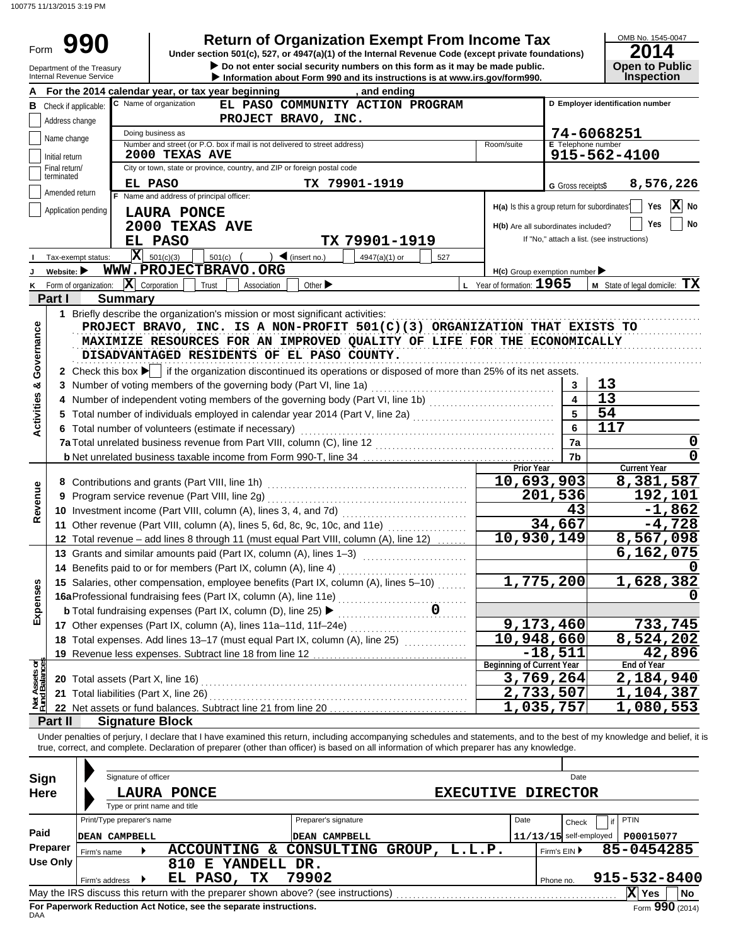100775 11/13/2015 3:19 PM

|                                       | 990                                                    |                                                                                                                   | <b>Return of Organization Exempt From Income Tax</b>                                                                                                                                                                                                                                                                                                                                           |                                                              |                                         | OMB No. 1545-0047                                  |
|---------------------------------------|--------------------------------------------------------|-------------------------------------------------------------------------------------------------------------------|------------------------------------------------------------------------------------------------------------------------------------------------------------------------------------------------------------------------------------------------------------------------------------------------------------------------------------------------------------------------------------------------|--------------------------------------------------------------|-----------------------------------------|----------------------------------------------------|
| Form                                  | Department of the Treasury<br>Internal Revenue Service |                                                                                                                   | Under section 501(c), 527, or 4947(a)(1) of the Internal Revenue Code (except private foundations)<br>Do not enter social security numbers on this form as it may be made public.<br>Information about Form 990 and its instructions is at www.irs.gov/form990.                                                                                                                                |                                                              |                                         | 2014<br><b>Open to Public</b><br><b>Inspection</b> |
|                                       |                                                        | For the 2014 calendar year, or tax year beginning                                                                 | , and ending                                                                                                                                                                                                                                                                                                                                                                                   |                                                              |                                         |                                                    |
|                                       | <b>B</b> Check if applicable:<br>Address change        | C Name of organization                                                                                            | EL PASO COMMUNITY ACTION PROGRAM<br>PROJECT BRAVO, INC.                                                                                                                                                                                                                                                                                                                                        |                                                              |                                         | D Employer identification number                   |
|                                       | Name change                                            | Doing business as                                                                                                 |                                                                                                                                                                                                                                                                                                                                                                                                |                                                              |                                         | 74-6068251                                         |
|                                       | Initial return                                         | Number and street (or P.O. box if mail is not delivered to street address)<br>2000 TEXAS AVE                      |                                                                                                                                                                                                                                                                                                                                                                                                | Room/suite                                                   | E Telephone number                      | 915-562-4100                                       |
|                                       | Final return/                                          | City or town, state or province, country, and ZIP or foreign postal code                                          |                                                                                                                                                                                                                                                                                                                                                                                                |                                                              |                                         |                                                    |
|                                       | terminated                                             | EL PASO                                                                                                           | TX 79901-1919                                                                                                                                                                                                                                                                                                                                                                                  |                                                              | G Gross receipts\$                      | 8,576,226                                          |
|                                       | Amended return                                         | F Name and address of principal officer:                                                                          |                                                                                                                                                                                                                                                                                                                                                                                                |                                                              |                                         | $ \mathbf{X} $                                     |
|                                       | Application pending                                    | <b>LAURA PONCE</b>                                                                                                |                                                                                                                                                                                                                                                                                                                                                                                                | H(a) Is this a group return for subordinates?                |                                         | Yes<br>No                                          |
|                                       |                                                        | <b>2000 TEXAS AVE</b>                                                                                             |                                                                                                                                                                                                                                                                                                                                                                                                | H(b) Are all subordinates included?                          |                                         | No<br>Yes                                          |
|                                       |                                                        | EL PASO                                                                                                           | TX 79901-1919                                                                                                                                                                                                                                                                                                                                                                                  |                                                              |                                         | If "No," attach a list. (see instructions)         |
|                                       | Tax-exempt status:                                     | $ \mathbf{x} $<br>501(c)(3)<br>501(c)<br>WWW.PROJECTBRAVO.ORG                                                     | $\blacktriangleleft$ (insert no.)<br>4947(a)(1) or<br>527                                                                                                                                                                                                                                                                                                                                      |                                                              |                                         |                                                    |
| ĸ                                     | Website: $\blacktriangleright$                         | $ \mathbf{X} $ Corporation<br>Trust<br>Association                                                                | Other $\blacktriangleright$                                                                                                                                                                                                                                                                                                                                                                    | $H(c)$ Group exemption number<br>L Year of formation: $1965$ |                                         | M State of legal domicile: TX                      |
| Part I                                | Form of organization:                                  | <b>Summary</b>                                                                                                    |                                                                                                                                                                                                                                                                                                                                                                                                |                                                              |                                         |                                                    |
| Governance<br><b>Activities &amp;</b> |                                                        | DISADVANTAGED RESIDENTS OF EL PASO COUNTY.<br>3 Number of voting members of the governing body (Part VI, line 1a) | MAXIMIZE RESOURCES FOR AN IMPROVED QUALITY OF LIFE FOR THE ECONOMICALLY<br>2 Check this box $\blacktriangleright$ if the organization discontinued its operations or disposed of more than 25% of its net assets.<br>4 Number of independent voting members of the governing body (Part VI, line 1b) [1] [1] [1] Number of independent voting members of the governing body (Part VI, line 1b) |                                                              | $\mathbf{3}$<br>$\overline{\mathbf{4}}$ | 13<br>$\overline{13}$<br>$\overline{54}$           |
|                                       |                                                        |                                                                                                                   | 5 Total number of individuals employed in calendar year 2014 (Part V, line 2a) [1, [1, [1, [1, [1, [1, [1, [1, [1]]                                                                                                                                                                                                                                                                            |                                                              | $5\phantom{a}$                          | $\overline{11}7$                                   |
|                                       |                                                        | 6 Total number of volunteers (estimate if necessary)                                                              |                                                                                                                                                                                                                                                                                                                                                                                                |                                                              | 6                                       | 0                                                  |
|                                       |                                                        |                                                                                                                   |                                                                                                                                                                                                                                                                                                                                                                                                |                                                              | 7a<br>7b                                | 0                                                  |
|                                       |                                                        |                                                                                                                   |                                                                                                                                                                                                                                                                                                                                                                                                | Prior Year                                                   |                                         | <b>Current Year</b>                                |
|                                       |                                                        |                                                                                                                   |                                                                                                                                                                                                                                                                                                                                                                                                | 10,693,903                                                   |                                         | 8,381,587                                          |
| Revenue                               |                                                        | 9 Program service revenue (Part VIII, line 2g)                                                                    |                                                                                                                                                                                                                                                                                                                                                                                                |                                                              | 201,536                                 | 192,101                                            |
|                                       |                                                        |                                                                                                                   |                                                                                                                                                                                                                                                                                                                                                                                                |                                                              | 43<br>34,667                            | $-1,862$<br>$-4,728$                               |
|                                       |                                                        |                                                                                                                   | 11 Other revenue (Part VIII, column (A), lines 5, 6d, 8c, 9c, 10c, and 11e)<br>12 Total revenue - add lines 8 through 11 (must equal Part VIII, column (A), line 12)                                                                                                                                                                                                                           | 10,930,149                                                   |                                         | 8,567,098                                          |
|                                       |                                                        |                                                                                                                   | 13 Grants and similar amounts paid (Part IX, column (A), lines 1-3)                                                                                                                                                                                                                                                                                                                            |                                                              |                                         | 6, 162, 075                                        |
|                                       |                                                        | 14 Benefits paid to or for members (Part IX, column (A), line 4)                                                  |                                                                                                                                                                                                                                                                                                                                                                                                |                                                              |                                         |                                                    |
|                                       |                                                        |                                                                                                                   | 15 Salaries, other compensation, employee benefits (Part IX, column (A), lines 5-10)                                                                                                                                                                                                                                                                                                           |                                                              | 1,775,200                               | 1,628,382                                          |
|                                       |                                                        |                                                                                                                   | 16a Professional fundraising fees (Part IX, column (A), line 11e)<br><b>h</b> Total fundraising expenses (Part IX, column (D), line 25) <b>C</b>                                                                                                                                                                                                                                               |                                                              |                                         |                                                    |
| Expenses                              |                                                        |                                                                                                                   |                                                                                                                                                                                                                                                                                                                                                                                                |                                                              |                                         |                                                    |
|                                       |                                                        | 17 Other expenses (Part IX, column (A), lines 11a-11d, 11f-24e)                                                   |                                                                                                                                                                                                                                                                                                                                                                                                |                                                              | 9,173,460                               | 733,745                                            |
|                                       |                                                        | 19 Revenue less expenses. Subtract line 18 from line 12                                                           |                                                                                                                                                                                                                                                                                                                                                                                                | $\overline{10,948,660}$                                      | $-18,511$                               | 8,524,202<br>42,896                                |
|                                       |                                                        |                                                                                                                   |                                                                                                                                                                                                                                                                                                                                                                                                | <b>Beginning of Current Year</b>                             |                                         | End of Year                                        |
| et Assets or                          |                                                        | 20 Total assets (Part X, line 16)                                                                                 |                                                                                                                                                                                                                                                                                                                                                                                                |                                                              | 3,769,264                               | 2,184,940                                          |
|                                       |                                                        | 21 Total liabilities (Part X, line 26)                                                                            |                                                                                                                                                                                                                                                                                                                                                                                                |                                                              | 2,733,507                               | 1,104,387                                          |
| Net<br>Fund                           |                                                        | 22 Net assets or fund balances. Subtract line 21 from line 20                                                     |                                                                                                                                                                                                                                                                                                                                                                                                |                                                              | 1,035,757                               | 1,080,553                                          |
|                                       | Part II                                                | <b>Signature Block</b>                                                                                            | Under penalties of perjury, I declare that I have examined this return, including accompanying schedules and statements, and to the best of my knowledge and belief, it is<br>true, correct, and complete. Declaration of preparer (other than officer) is based on all information of which preparer has any knowledge.                                                                       |                                                              |                                         |                                                    |
|                                       |                                                        | Signature of officer                                                                                              |                                                                                                                                                                                                                                                                                                                                                                                                |                                                              |                                         |                                                    |
| Sign                                  |                                                        |                                                                                                                   |                                                                                                                                                                                                                                                                                                                                                                                                |                                                              | Date                                    |                                                    |
| Here                                  |                                                        | <b>LAURA PONCE</b><br>Type or print name and title                                                                |                                                                                                                                                                                                                                                                                                                                                                                                | <b>EXECUTIVE DIRECTOR</b>                                    |                                         |                                                    |
|                                       |                                                        | Print/Type preparer's name                                                                                        | Preparer's signature                                                                                                                                                                                                                                                                                                                                                                           | Date                                                         | Check                                   | <b>PTIN</b><br>if I                                |
| Paid                                  | <b>DEAN CAMPBELL</b>                                   |                                                                                                                   | DEAN CAMPBELL                                                                                                                                                                                                                                                                                                                                                                                  |                                                              | $11/13/15$ self-employed                | P00015077                                          |
| Preparer                              | Firm's name                                            | ACCOUNTING & CONSULTING                                                                                           | GROUP,                                                                                                                                                                                                                                                                                                                                                                                         | L.L.P.                                                       | Firm's EIN ▶                            | 85-0454285                                         |
|                                       | <b>Use Only</b>                                        | 810 E YANDELL DR.                                                                                                 |                                                                                                                                                                                                                                                                                                                                                                                                |                                                              |                                         |                                                    |
|                                       | Firm's address                                         | EL PASO, TX                                                                                                       | 79902                                                                                                                                                                                                                                                                                                                                                                                          |                                                              | Phone no.                               | 915-532-8400                                       |
|                                       |                                                        |                                                                                                                   |                                                                                                                                                                                                                                                                                                                                                                                                |                                                              |                                         | X Yes<br>No                                        |

| Sign        | Signature of officer |                              |  |     |                   |    |    |                                                                                   |        |                           |      |              | Date                     |             |                       |
|-------------|----------------------|------------------------------|--|-----|-------------------|----|----|-----------------------------------------------------------------------------------|--------|---------------------------|------|--------------|--------------------------|-------------|-----------------------|
| <b>Here</b> |                      | <b>LAURA PONCE</b>           |  |     |                   |    |    |                                                                                   |        | <b>EXECUTIVE DIRECTOR</b> |      |              |                          |             |                       |
|             |                      | Type or print name and title |  |     |                   |    |    |                                                                                   |        |                           |      |              |                          |             |                       |
|             |                      | Print/Type preparer's name   |  |     |                   |    |    | Preparer's signature                                                              |        |                           | Date |              | Check                    | <b>PTIN</b> |                       |
| Paid        |                      | DEAN CAMPBELL                |  |     |                   |    |    | DEAN CAMPBELL                                                                     |        |                           |      |              | $11/13/15$ self-employed | P00015077   |                       |
| Preparer    | Firm's name          |                              |  |     | <b>ACCOUNTING</b> |    | &. | CONSULTING                                                                        | GROUP, | L.L.P.                    |      | Firm's $EIN$ |                          | 85-0454285  |                       |
| Use Only    |                      |                              |  | 810 | E                 |    |    | YANDELL DR.                                                                       |        |                           |      |              |                          |             |                       |
|             | Firm's address       |                              |  | EL. | PASO,             | ТX |    | 79902                                                                             |        |                           |      | Phone no.    |                          |             | 915-532-8400          |
|             |                      |                              |  |     |                   |    |    | May the IRS discuss this return with the preparer shown above? (see instructions) |        |                           |      |              |                          | X<br>Yes    | l No                  |
|             |                      |                              |  |     |                   |    |    |                                                                                   |        |                           |      |              |                          |             | $\sum_{n=1}^{\infty}$ |

**For Paperwork Reduction Act Notice, see the separate instructions.**<br><sub>DAA</sub>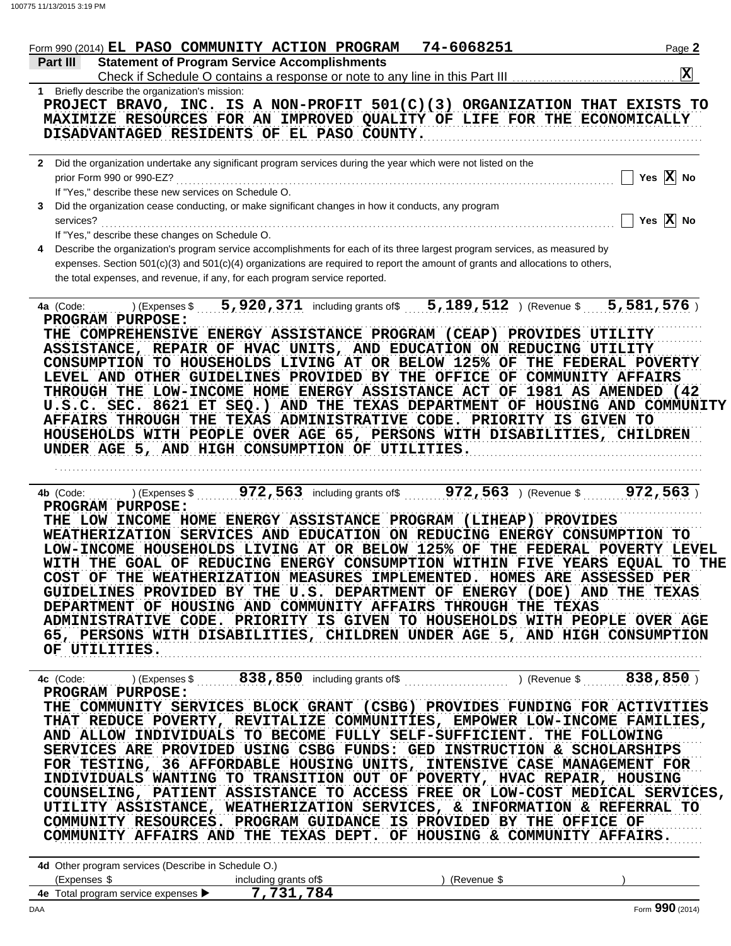100775 11/13/2015 3:19 PM

| Form 990 (2014) EL PASO COMMUNITY ACTION PROGRAM<br>74-6068251                                                                                                                                                                                                                                                                                                                                                                                                                                                                                                                                                                                                                                                                                                                                                                | Page 2                |
|-------------------------------------------------------------------------------------------------------------------------------------------------------------------------------------------------------------------------------------------------------------------------------------------------------------------------------------------------------------------------------------------------------------------------------------------------------------------------------------------------------------------------------------------------------------------------------------------------------------------------------------------------------------------------------------------------------------------------------------------------------------------------------------------------------------------------------|-----------------------|
| <b>Statement of Program Service Accomplishments</b><br>Part III                                                                                                                                                                                                                                                                                                                                                                                                                                                                                                                                                                                                                                                                                                                                                               | $ \mathbf{x} $        |
| 1 Briefly describe the organization's mission:<br>PROJECT BRAVO, INC. IS A NON-PROFIT 501(C)(3) ORGANIZATION THAT EXISTS TO<br>MAXIMIZE RESOURCES FOR AN IMPROVED QUALITY OF LIFE FOR THE ECONOMICALLY<br>DISADVANTAGED RESIDENTS OF EL PASO COUNTY.                                                                                                                                                                                                                                                                                                                                                                                                                                                                                                                                                                          |                       |
| 2 Did the organization undertake any significant program services during the year which were not listed on the<br>prior Form 990 or 990-EZ?                                                                                                                                                                                                                                                                                                                                                                                                                                                                                                                                                                                                                                                                                   | Yes $X$ No            |
| If "Yes," describe these new services on Schedule O.<br>Did the organization cease conducting, or make significant changes in how it conducts, any program<br>services?                                                                                                                                                                                                                                                                                                                                                                                                                                                                                                                                                                                                                                                       | Yes $\overline{X}$ No |
| If "Yes," describe these changes on Schedule O.<br>Describe the organization's program service accomplishments for each of its three largest program services, as measured by<br>expenses. Section 501(c)(3) and 501(c)(4) organizations are required to report the amount of grants and allocations to others,<br>the total expenses, and revenue, if any, for each program service reported.                                                                                                                                                                                                                                                                                                                                                                                                                                |                       |
| 5,920,371 including grants of \$5,189,512 ) (Revenue \$<br>) (Expenses \$<br>4a (Code:<br>PROGRAM PURPOSE:<br>THE COMPREHENSIVE ENERGY ASSISTANCE PROGRAM (CEAP) PROVIDES UTILITY<br>ASSISTANCE, REPAIR OF HVAC UNITS, AND EDUCATION ON REDUCING UTILITY<br>CONSUMPTION TO HOUSEHOLDS LIVING AT OR BELOW 125% OF THE FEDERAL POVERTY<br>LEVEL AND OTHER GUIDELINES PROVIDED BY THE OFFICE OF COMMUNITY AFFAIRS<br>THROUGH THE LOW-INCOME HOME ENERGY ASSISTANCE ACT OF 1981 AS AMENDED (42<br>U.S.C. SEC. 8621 ET SEQ.) AND THE TEXAS DEPARTMENT OF HOUSING AND COMMUNITY<br>AFFAIRS THROUGH THE TEXAS ADMINISTRATIVE CODE. PRIORITY IS GIVEN TO<br>HOUSEHOLDS WITH PEOPLE OVER AGE 65, PERSONS WITH DISABILITIES, CHILDREN<br>UNDER AGE 5, AND HIGH CONSUMPTION OF UTILITIES.                                                | 5,581,576             |
| 972, 563<br>972, 563 including grants of \$<br>) (Revenue \$<br>4b (Code:<br>) (Expenses \$<br>PROGRAM PURPOSE:<br>THE LOW INCOME HOME ENERGY ASSISTANCE PROGRAM (LIHEAP) PROVIDES<br>WEATHERIZATION SERVICES AND EDUCATION ON REDUCING ENERGY CONSUMPTION TO<br>LOW-INCOME HOUSEHOLDS LIVING AT OR BELOW 125% OF THE FEDERAL POVERTY LEVEL<br>WITH THE GOAL OF REDUCING ENERGY CONSUMPTION WITHIN FIVE YEARS EQUAL TO THE<br>COST OF THE WEATHERIZATION MEASURES IMPLEMENTED. HOMES ARE ASSESSED PER<br>GUIDELINES PROVIDED BY THE U.S. DEPARTMENT OF ENERGY (DOE) AND THE TEXAS<br>DEPARTMENT OF HOUSING AND COMMUNITY AFFAIRS THROUGH THE TEXAS<br>ADMINISTRATIVE CODE. PRIORITY IS GIVEN TO HOUSEHOLDS WITH PEOPLE OVER AGE<br>65, PERSONS WITH DISABILITIES, CHILDREN UNDER AGE 5, AND HIGH CONSUMPTION<br>OF UTILITIES. | 972, 563              |
| 4c (Code:<br><b>PROGRAM PURPOSE:</b><br>THE COMMUNITY SERVICES BLOCK GRANT (CSBG) PROVIDES FUNDING FOR ACTIVITIES<br>THAT REDUCE POVERTY, REVITALIZE COMMUNITIES, EMPOWER LOW-INCOME FAMILIES,<br>AND ALLOW INDIVIDUALS TO BECOME FULLY SELF-SUFFICIENT. THE FOLLOWING<br>SERVICES ARE PROVIDED USING CSBG FUNDS: GED INSTRUCTION & SCHOLARSHIPS<br>FOR TESTING, 36 AFFORDABLE HOUSING UNITS, INTENSIVE CASE MANAGEMENT FOR<br>INDIVIDUALS WANTING TO TRANSITION OUT OF POVERTY, HVAC REPAIR, HOUSING<br>COUNSELING, PATIENT ASSISTANCE TO ACCESS FREE OR LOW-COST MEDICAL SERVICES,<br>UTILITY ASSISTANCE, WEATHERIZATION SERVICES, & INFORMATION & REFERRAL TO<br>COMMUNITY RESOURCES. PROGRAM GUIDANCE IS PROVIDED BY THE OFFICE OF<br>COMMUNITY AFFAIRS AND THE TEXAS DEPT. OF HOUSING & COMMUNITY AFFAIRS.               |                       |
| 4d Other program services (Describe in Schedule O.)<br>including grants of\$<br>(Expenses \$<br>) (Revenue \$                                                                                                                                                                                                                                                                                                                                                                                                                                                                                                                                                                                                                                                                                                                 |                       |
| 7,731,784<br>4e Total program service expenses >                                                                                                                                                                                                                                                                                                                                                                                                                                                                                                                                                                                                                                                                                                                                                                              |                       |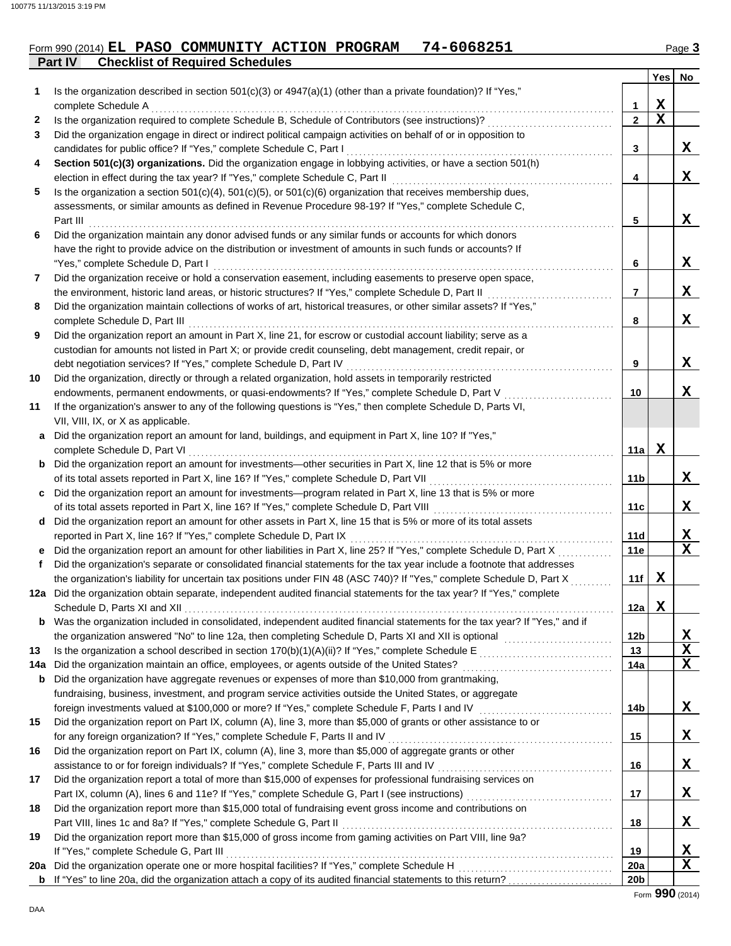### Form 990 (2014) **EL PASO COMMUNITY ACTION PROGRAM** 74-6068251 Page 3

**Part IV Checklist of Required Schedules**

|     |                                                                                                                                                                                                          |                 |             | Yes No      |
|-----|----------------------------------------------------------------------------------------------------------------------------------------------------------------------------------------------------------|-----------------|-------------|-------------|
| 1   | Is the organization described in section 501(c)(3) or 4947(a)(1) (other than a private foundation)? If "Yes,"                                                                                            |                 |             |             |
|     | complete Schedule A                                                                                                                                                                                      | 1               | X           |             |
| 2   | Is the organization required to complete Schedule B, Schedule of Contributors (see instructions)?                                                                                                        | $\mathbf{2}$    | $\mathbf X$ |             |
| 3   | Did the organization engage in direct or indirect political campaign activities on behalf of or in opposition to                                                                                         |                 |             |             |
|     | candidates for public office? If "Yes," complete Schedule C, Part I                                                                                                                                      | 3               |             | X           |
| 4   | Section 501(c)(3) organizations. Did the organization engage in lobbying activities, or have a section 501(h)                                                                                            |                 |             |             |
|     | election in effect during the tax year? If "Yes," complete Schedule C, Part II                                                                                                                           | 4               |             | X           |
| 5   | Is the organization a section $501(c)(4)$ , $501(c)(5)$ , or $501(c)(6)$ organization that receives membership dues,                                                                                     |                 |             |             |
|     | assessments, or similar amounts as defined in Revenue Procedure 98-19? If "Yes," complete Schedule C,                                                                                                    |                 |             |             |
|     | Part III                                                                                                                                                                                                 | 5               |             | X           |
| 6   | Did the organization maintain any donor advised funds or any similar funds or accounts for which donors                                                                                                  |                 |             |             |
|     | have the right to provide advice on the distribution or investment of amounts in such funds or accounts? If                                                                                              |                 |             |             |
|     | "Yes," complete Schedule D, Part I                                                                                                                                                                       | 6               |             | X           |
| 7   | Did the organization receive or hold a conservation easement, including easements to preserve open space,                                                                                                |                 |             |             |
|     | the environment, historic land areas, or historic structures? If "Yes," complete Schedule D, Part II                                                                                                     | $\overline{7}$  |             | X           |
| 8   | Did the organization maintain collections of works of art, historical treasures, or other similar assets? If "Yes,"                                                                                      |                 |             |             |
|     | complete Schedule D, Part III                                                                                                                                                                            | 8               |             | X           |
| 9   | Did the organization report an amount in Part X, line 21, for escrow or custodial account liability; serve as a                                                                                          |                 |             |             |
|     | custodian for amounts not listed in Part X; or provide credit counseling, debt management, credit repair, or                                                                                             |                 |             |             |
|     | debt negotiation services? If "Yes," complete Schedule D, Part IV                                                                                                                                        | 9               |             | X           |
| 10  | Did the organization, directly or through a related organization, hold assets in temporarily restricted                                                                                                  |                 |             |             |
|     | endowments, permanent endowments, or quasi-endowments? If "Yes," complete Schedule D, Part V                                                                                                             | 10              |             | x           |
| 11  | If the organization's answer to any of the following questions is "Yes," then complete Schedule D, Parts VI,                                                                                             |                 |             |             |
|     | VII, VIII, IX, or X as applicable.                                                                                                                                                                       |                 |             |             |
| a   | Did the organization report an amount for land, buildings, and equipment in Part X, line 10? If "Yes,"                                                                                                   |                 |             |             |
|     | complete Schedule D, Part VI                                                                                                                                                                             | 11a             | X           |             |
| b   | Did the organization report an amount for investments—other securities in Part X, line 12 that is 5% or more                                                                                             |                 |             |             |
|     | of its total assets reported in Part X, line 16? If "Yes," complete Schedule D, Part VII                                                                                                                 | 11b             |             | X           |
| c   | Did the organization report an amount for investments—program related in Part X, line 13 that is 5% or more<br>of its total assets reported in Part X, line 16? If "Yes," complete Schedule D, Part VIII | 11c             |             | x           |
|     | Did the organization report an amount for other assets in Part X, line 15 that is 5% or more of its total assets                                                                                         |                 |             |             |
| d   | reported in Part X, line 16? If "Yes," complete Schedule D, Part IX                                                                                                                                      | 11d             |             | X           |
| е   | Did the organization report an amount for other liabilities in Part X, line 25? If "Yes," complete Schedule D, Part X                                                                                    | 11e             |             | $\mathbf X$ |
| f   | Did the organization's separate or consolidated financial statements for the tax year include a footnote that addresses                                                                                  |                 |             |             |
|     | the organization's liability for uncertain tax positions under FIN 48 (ASC 740)? If "Yes," complete Schedule D, Part X                                                                                   | 11f             | X           |             |
|     | 12a Did the organization obtain separate, independent audited financial statements for the tax year? If "Yes," complete                                                                                  |                 |             |             |
|     | Schedule D, Parts XI and XII                                                                                                                                                                             | 12a             | X           |             |
|     | b Was the organization included in consolidated, independent audited financial statements for the tax year? If "Yes," and if                                                                             |                 |             |             |
|     |                                                                                                                                                                                                          | 12b             |             | X           |
| 13  |                                                                                                                                                                                                          | 13              |             | $\mathbf x$ |
| 14a | Did the organization maintain an office, employees, or agents outside of the United States?                                                                                                              | 14a             |             | X           |
| b   | Did the organization have aggregate revenues or expenses of more than \$10,000 from grantmaking,                                                                                                         |                 |             |             |
|     | fundraising, business, investment, and program service activities outside the United States, or aggregate                                                                                                |                 |             |             |
|     | foreign investments valued at \$100,000 or more? If "Yes," complete Schedule F, Parts I and IV                                                                                                           | 14b             |             | X           |
| 15  | Did the organization report on Part IX, column (A), line 3, more than \$5,000 of grants or other assistance to or                                                                                        |                 |             |             |
|     | for any foreign organization? If "Yes," complete Schedule F, Parts II and IV                                                                                                                             | 15              |             | X           |
| 16  | Did the organization report on Part IX, column (A), line 3, more than \$5,000 of aggregate grants or other                                                                                               |                 |             |             |
|     | assistance to or for foreign individuals? If "Yes," complete Schedule F, Parts III and IV                                                                                                                | 16              |             | X           |
| 17  | Did the organization report a total of more than \$15,000 of expenses for professional fundraising services on                                                                                           |                 |             |             |
|     |                                                                                                                                                                                                          | 17              |             | X           |
| 18  | Did the organization report more than \$15,000 total of fundraising event gross income and contributions on                                                                                              |                 |             |             |
|     | Part VIII, lines 1c and 8a? If "Yes," complete Schedule G, Part II                                                                                                                                       | 18              |             | X           |
| 19  | Did the organization report more than \$15,000 of gross income from gaming activities on Part VIII, line 9a?                                                                                             |                 |             |             |
|     | If "Yes," complete Schedule G, Part III                                                                                                                                                                  | 19              |             | X           |
|     |                                                                                                                                                                                                          | 20a             |             | X           |
|     |                                                                                                                                                                                                          | 20 <sub>b</sub> |             |             |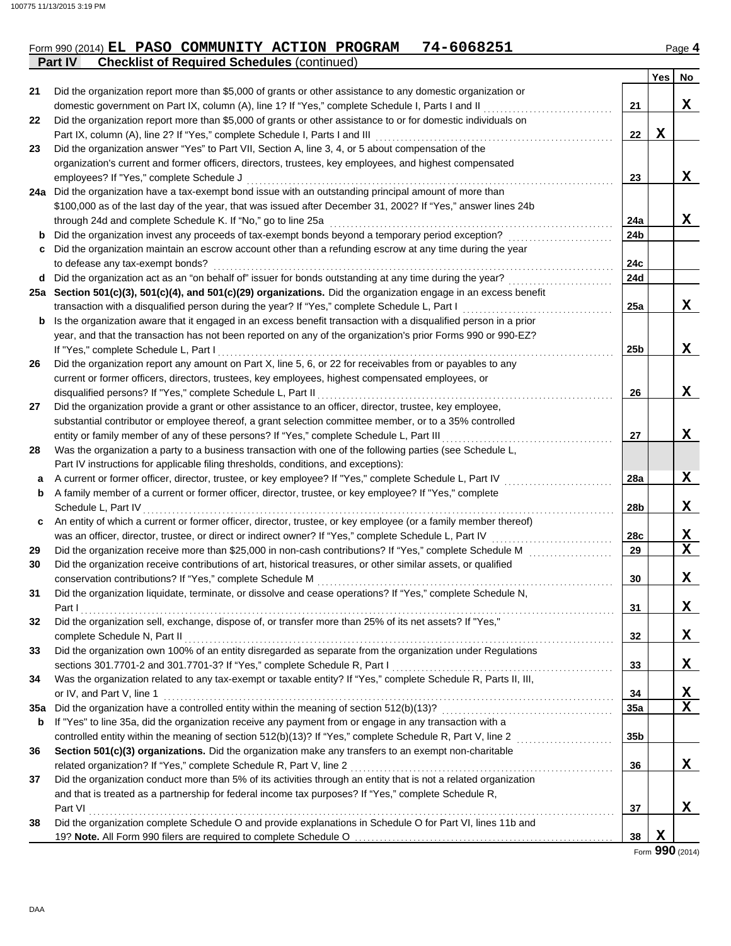|  | Form 990 (2014) EL PASO COMMUNITY ACTION PROGRAM           |  | 74-6068251 | Page 4 |
|--|------------------------------------------------------------|--|------------|--------|
|  | <b>Part IV Checklist of Required Schedules (continued)</b> |  |            |        |

|     |                                                                                                                                                                                                                          |                 | Yes | No          |
|-----|--------------------------------------------------------------------------------------------------------------------------------------------------------------------------------------------------------------------------|-----------------|-----|-------------|
| 21  | Did the organization report more than \$5,000 of grants or other assistance to any domestic organization or                                                                                                              |                 |     |             |
|     | domestic government on Part IX, column (A), line 1? If "Yes," complete Schedule I, Parts I and II                                                                                                                        | 21              |     | X           |
| 22  | Did the organization report more than \$5,000 of grants or other assistance to or for domestic individuals on                                                                                                            |                 |     |             |
|     | Part IX, column (A), line 2? If "Yes," complete Schedule I, Parts I and III                                                                                                                                              | 22              | X   |             |
| 23  | Did the organization answer "Yes" to Part VII, Section A, line 3, 4, or 5 about compensation of the                                                                                                                      |                 |     |             |
|     | organization's current and former officers, directors, trustees, key employees, and highest compensated                                                                                                                  |                 |     |             |
|     | employees? If "Yes," complete Schedule J                                                                                                                                                                                 | 23              |     | X           |
|     | 24a Did the organization have a tax-exempt bond issue with an outstanding principal amount of more than                                                                                                                  |                 |     |             |
|     | \$100,000 as of the last day of the year, that was issued after December 31, 2002? If "Yes," answer lines 24b                                                                                                            |                 |     |             |
|     | through 24d and complete Schedule K. If "No," go to line 25a                                                                                                                                                             | 24a             |     | X           |
| b   | Did the organization invest any proceeds of tax-exempt bonds beyond a temporary period exception?                                                                                                                        | 24b             |     |             |
|     | Did the organization maintain an escrow account other than a refunding escrow at any time during the year                                                                                                                |                 |     |             |
|     | to defease any tax-exempt bonds?                                                                                                                                                                                         | 24c             |     |             |
| d   | Did the organization act as an "on behalf of" issuer for bonds outstanding at any time during the year?                                                                                                                  | 24d             |     |             |
|     | 25a Section 501(c)(3), 501(c)(4), and 501(c)(29) organizations. Did the organization engage in an excess benefit                                                                                                         |                 |     | X           |
|     | transaction with a disqualified person during the year? If "Yes," complete Schedule L, Part I                                                                                                                            | 25a             |     |             |
|     | <b>b</b> Is the organization aware that it engaged in an excess benefit transaction with a disqualified person in a prior                                                                                                |                 |     |             |
|     | year, and that the transaction has not been reported on any of the organization's prior Forms 990 or 990-EZ?                                                                                                             |                 |     | X           |
| 26  | If "Yes," complete Schedule L, Part I<br>Did the organization report any amount on Part X, line 5, 6, or 22 for receivables from or payables to any                                                                      | 25b             |     |             |
|     | current or former officers, directors, trustees, key employees, highest compensated employees, or                                                                                                                        |                 |     |             |
|     | disqualified persons? If "Yes," complete Schedule L, Part II                                                                                                                                                             | 26              |     | X           |
| 27  | Did the organization provide a grant or other assistance to an officer, director, trustee, key employee,                                                                                                                 |                 |     |             |
|     | substantial contributor or employee thereof, a grant selection committee member, or to a 35% controlled                                                                                                                  |                 |     |             |
|     | entity or family member of any of these persons? If "Yes," complete Schedule L, Part III                                                                                                                                 | 27              |     | X           |
| 28  | Was the organization a party to a business transaction with one of the following parties (see Schedule L,                                                                                                                |                 |     |             |
|     | Part IV instructions for applicable filing thresholds, conditions, and exceptions):                                                                                                                                      |                 |     |             |
| а   | A current or former officer, director, trustee, or key employee? If "Yes," complete Schedule L, Part IV                                                                                                                  | 28a             |     | x           |
| b   | A family member of a current or former officer, director, trustee, or key employee? If "Yes," complete                                                                                                                   |                 |     |             |
|     | Schedule L, Part IV                                                                                                                                                                                                      | 28b             |     | x           |
| c   | An entity of which a current or former officer, director, trustee, or key employee (or a family member thereof)                                                                                                          |                 |     |             |
|     | was an officer, director, trustee, or direct or indirect owner? If "Yes," complete Schedule L, Part IV                                                                                                                   | 28c             |     | X           |
| 29  | Did the organization receive more than \$25,000 in non-cash contributions? If "Yes," complete Schedule M                                                                                                                 | 29              |     | $\mathbf x$ |
| 30  | Did the organization receive contributions of art, historical treasures, or other similar assets, or qualified                                                                                                           |                 |     |             |
|     | conservation contributions? If "Yes," complete Schedule M                                                                                                                                                                | 30              |     | X           |
| 31  | Did the organization liquidate, terminate, or dissolve and cease operations? If "Yes," complete Schedule N,                                                                                                              |                 |     |             |
|     | Part I                                                                                                                                                                                                                   | 31              |     | Χ           |
| 32  | Did the organization sell, exchange, dispose of, or transfer more than 25% of its net assets? If "Yes,"                                                                                                                  |                 |     |             |
|     | complete Schedule N, Part II                                                                                                                                                                                             | 32              |     | X           |
| 33  | Did the organization own 100% of an entity disregarded as separate from the organization under Regulations                                                                                                               |                 |     |             |
|     | sections 301.7701-2 and 301.7701-3? If "Yes," complete Schedule R, Part I                                                                                                                                                | 33              |     | X           |
| 34  | Was the organization related to any tax-exempt or taxable entity? If "Yes," complete Schedule R, Parts II, III,                                                                                                          |                 |     |             |
|     | or IV, and Part V, line 1                                                                                                                                                                                                | 34              |     | X           |
| 35a |                                                                                                                                                                                                                          | 35a             |     | $\mathbf X$ |
| b   | If "Yes" to line 35a, did the organization receive any payment from or engage in any transaction with a                                                                                                                  |                 |     |             |
|     |                                                                                                                                                                                                                          | 35 <sub>b</sub> |     |             |
| 36  | Section 501(c)(3) organizations. Did the organization make any transfers to an exempt non-charitable                                                                                                                     |                 |     |             |
|     | related organization? If "Yes," complete Schedule R, Part V, line 2                                                                                                                                                      | 36              |     | x           |
| 37  | Did the organization conduct more than 5% of its activities through an entity that is not a related organization<br>and that is treated as a partnership for federal income tax purposes? If "Yes," complete Schedule R, |                 |     |             |
|     | Part VI                                                                                                                                                                                                                  | 37              |     | x           |
| 38  | Did the organization complete Schedule O and provide explanations in Schedule O for Part VI, lines 11b and                                                                                                               |                 |     |             |
|     |                                                                                                                                                                                                                          | 38              | x   |             |
|     |                                                                                                                                                                                                                          |                 |     |             |

Form **990** (2014)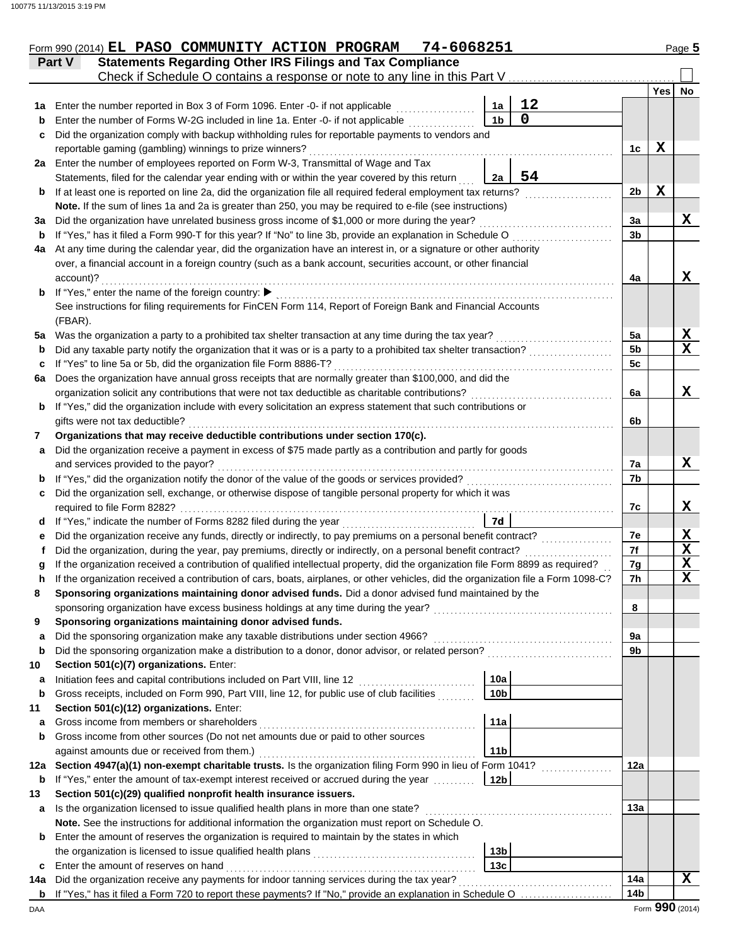|     | Form 990 (2014) EL PASO COMMUNITY ACTION PROGRAM<br>74-6068251                                                                     |                 |                |                 |                 | Page 5                  |
|-----|------------------------------------------------------------------------------------------------------------------------------------|-----------------|----------------|-----------------|-----------------|-------------------------|
|     | <b>Statements Regarding Other IRS Filings and Tax Compliance</b><br>Part V                                                         |                 |                |                 |                 |                         |
|     | Check if Schedule O contains a response or note to any line in this Part V                                                         |                 |                |                 |                 |                         |
|     |                                                                                                                                    |                 |                |                 | Yes No          |                         |
| 1a  | Enter the number reported in Box 3 of Form 1096. Enter -0- if not applicable                                                       | 1a              | 12             |                 |                 |                         |
| b   | Enter the number of Forms W-2G included in line 1a. Enter -0- if not applicable                                                    | 1 <sub>b</sub>  | $\overline{0}$ |                 |                 |                         |
| c   | Did the organization comply with backup withholding rules for reportable payments to vendors and                                   |                 |                |                 |                 |                         |
|     | reportable gaming (gambling) winnings to prize winners?                                                                            |                 |                | 1 <sub>c</sub>  | X               |                         |
|     | 2a Enter the number of employees reported on Form W-3, Transmittal of Wage and Tax                                                 |                 |                |                 |                 |                         |
|     | Statements, filed for the calendar year ending with or within the year covered by this return                                      | 2a              | 54             |                 |                 |                         |
| b   | If at least one is reported on line 2a, did the organization file all required federal employment tax returns?                     |                 |                | 2b              | $\mathbf X$     |                         |
|     | Note. If the sum of lines 1a and 2a is greater than 250, you may be required to e-file (see instructions)                          |                 |                |                 |                 |                         |
| За  | Did the organization have unrelated business gross income of \$1,000 or more during the year?                                      |                 |                | 3a              |                 | X                       |
| b   | If "Yes," has it filed a Form 990-T for this year? If "No" to line 3b, provide an explanation in Schedule O                        |                 |                | 3 <sub>b</sub>  |                 |                         |
| 4a  | At any time during the calendar year, did the organization have an interest in, or a signature or other authority                  |                 |                |                 |                 |                         |
|     | over, a financial account in a foreign country (such as a bank account, securities account, or other financial                     |                 |                |                 |                 | X                       |
|     | account)?<br>If "Yes," enter the name of the foreign country: ▶                                                                    |                 |                | 4a              |                 |                         |
| b   | See instructions for filing requirements for FinCEN Form 114, Report of Foreign Bank and Financial Accounts                        |                 |                |                 |                 |                         |
|     | (FBAR).                                                                                                                            |                 |                |                 |                 |                         |
| 5a  | Was the organization a party to a prohibited tax shelter transaction at any time during the tax year?                              |                 |                | 5a              |                 | X                       |
| b   | Did any taxable party notify the organization that it was or is a party to a prohibited tax shelter transaction?                   |                 |                | 5 <sub>b</sub>  |                 | $\mathbf x$             |
| c   | If "Yes" to line 5a or 5b, did the organization file Form 8886-T?                                                                  |                 |                | 5 <sub>c</sub>  |                 |                         |
| 6a  | Does the organization have annual gross receipts that are normally greater than \$100,000, and did the                             |                 |                |                 |                 |                         |
|     | organization solicit any contributions that were not tax deductible as charitable contributions?                                   |                 |                | 6a              |                 | X                       |
| b   | If "Yes," did the organization include with every solicitation an express statement that such contributions or                     |                 |                |                 |                 |                         |
|     | gifts were not tax deductible?                                                                                                     |                 |                | 6b              |                 |                         |
| 7   | Organizations that may receive deductible contributions under section 170(c).                                                      |                 |                |                 |                 |                         |
| a   | Did the organization receive a payment in excess of \$75 made partly as a contribution and partly for goods                        |                 |                |                 |                 |                         |
|     | and services provided to the payor?                                                                                                |                 |                | 7a              |                 | X                       |
| b   | If "Yes," did the organization notify the donor of the value of the goods or services provided?                                    |                 |                | 7b              |                 |                         |
| c   | Did the organization sell, exchange, or otherwise dispose of tangible personal property for which it was                           |                 |                |                 |                 |                         |
|     | required to file Form 8282?                                                                                                        |                 |                | 7c              |                 | x                       |
| d   |                                                                                                                                    | 7d              |                |                 |                 |                         |
| е   | Did the organization receive any funds, directly or indirectly, to pay premiums on a personal benefit contract?                    |                 |                | 7e              |                 | X                       |
|     | Did the organization, during the year, pay premiums, directly or indirectly, on a personal benefit contract?                       |                 |                | 7f              |                 | X                       |
|     | If the organization received a contribution of qualified intellectual property, did the organization file Form 8899 as required?   |                 |                | 7g              |                 | $\mathbf X$             |
|     | If the organization received a contribution of cars, boats, airplanes, or other vehicles, did the organization file a Form 1098-C? |                 |                | 7 <sub>h</sub>  |                 | $\overline{\mathbf{x}}$ |
| 8   | Sponsoring organizations maintaining donor advised funds. Did a donor advised fund maintained by the                               |                 |                |                 |                 |                         |
|     | sponsoring organization have excess business holdings at any time during the year?                                                 |                 |                | 8               |                 |                         |
| 9   | Sponsoring organizations maintaining donor advised funds.                                                                          |                 |                |                 |                 |                         |
| a   | Did the sponsoring organization make any taxable distributions under section 4966?                                                 |                 |                | 9a              |                 |                         |
| b   | Did the sponsoring organization make a distribution to a donor, donor advisor, or related person?                                  |                 |                | 9b              |                 |                         |
| 10  | Section 501(c)(7) organizations. Enter:                                                                                            |                 |                |                 |                 |                         |
| а   | Initiation fees and capital contributions included on Part VIII, line 12                                                           | 10a             |                |                 |                 |                         |
| b   | Gross receipts, included on Form 990, Part VIII, line 12, for public use of club facilities                                        | 10 <sub>b</sub> |                |                 |                 |                         |
| 11  | Section 501(c)(12) organizations. Enter:                                                                                           |                 |                |                 |                 |                         |
| а   | Gross income from members or shareholders                                                                                          | 11a             |                |                 |                 |                         |
| b   | Gross income from other sources (Do not net amounts due or paid to other sources                                                   |                 |                |                 |                 |                         |
|     | against amounts due or received from them.)                                                                                        | 11 <sub>b</sub> |                |                 |                 |                         |
| 12a | Section 4947(a)(1) non-exempt charitable trusts. Is the organization filing Form 990 in lieu of Form 1041?                         |                 |                | 12a             |                 |                         |
| b   | If "Yes," enter the amount of tax-exempt interest received or accrued during the year [                                            | 12 <sub>b</sub> |                |                 |                 |                         |
| 13  | Section 501(c)(29) qualified nonprofit health insurance issuers.                                                                   |                 |                |                 |                 |                         |
| a   | Is the organization licensed to issue qualified health plans in more than one state?                                               |                 |                | 13a             |                 |                         |
|     | Note. See the instructions for additional information the organization must report on Schedule O.                                  |                 |                |                 |                 |                         |
| b   | Enter the amount of reserves the organization is required to maintain by the states in which                                       |                 |                |                 |                 |                         |
|     | the organization is licensed to issue qualified health plans                                                                       | 13 <sub>b</sub> |                |                 |                 |                         |
| c   | Enter the amount of reserves on hand                                                                                               | 13c             |                |                 |                 |                         |
| 14a | Did the organization receive any payments for indoor tanning services during the tax year?                                         |                 |                | 14a             |                 | $\mathbf X$             |
| b   | If "Yes," has it filed a Form 720 to report these payments? If "No," provide an explanation in Schedule O                          |                 |                | 14 <sub>b</sub> | Form 990 (2014) |                         |
| DAA |                                                                                                                                    |                 |                |                 |                 |                         |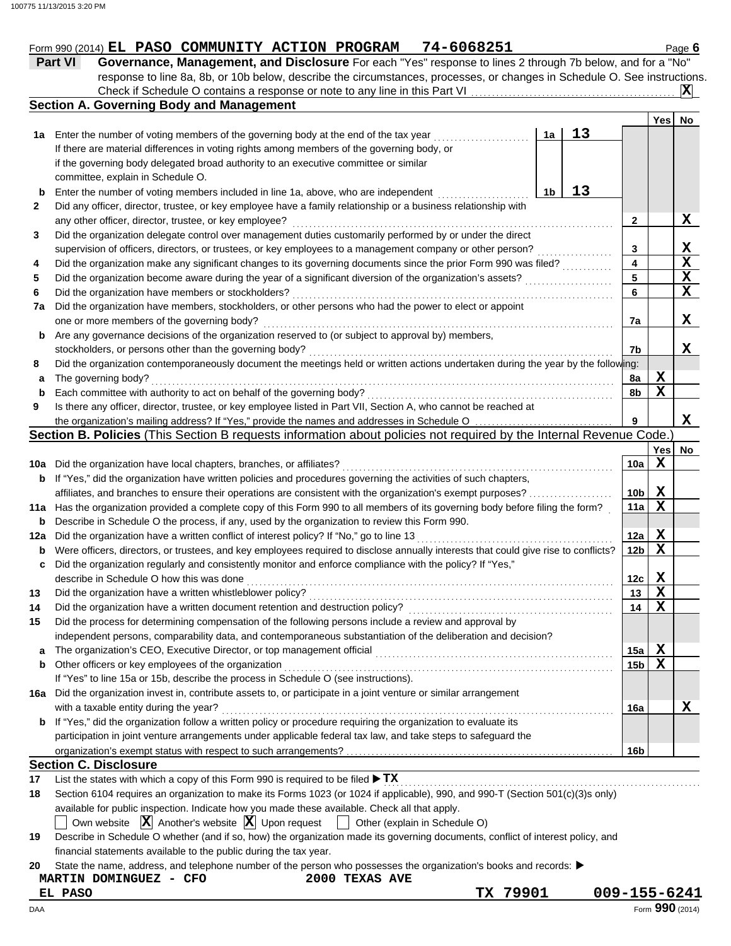| 74-6068251<br>Form 990 (2014) EL PASO COMMUNITY ACTION PROGRAM                                                            | Page 6 |
|---------------------------------------------------------------------------------------------------------------------------|--------|
| Governance, Management, and Disclosure For each "Yes" response to lines 2 through 7b below, and for a "No"<br>Part VI     |        |
| response to line 8a, 8b, or 10b below, describe the circumstances, processes, or changes in Schedule O. See instructions. |        |
|                                                                                                                           |        |

|     |                                                                                                                                     |    |    |                 | Yes | No          |
|-----|-------------------------------------------------------------------------------------------------------------------------------------|----|----|-----------------|-----|-------------|
| 1a  | Enter the number of voting members of the governing body at the end of the tax year                                                 | 1a | 13 |                 |     |             |
|     | If there are material differences in voting rights among members of the governing body, or                                          |    |    |                 |     |             |
|     | if the governing body delegated broad authority to an executive committee or similar                                                |    |    |                 |     |             |
|     | committee, explain in Schedule O.                                                                                                   |    |    |                 |     |             |
| b   | Enter the number of voting members included in line 1a, above, who are independent                                                  | 1b | 13 |                 |     |             |
| 2   | Did any officer, director, trustee, or key employee have a family relationship or a business relationship with                      |    |    |                 |     |             |
|     | any other officer, director, trustee, or key employee?                                                                              |    |    | 2               |     | X           |
| 3   | Did the organization delegate control over management duties customarily performed by or under the direct                           |    |    |                 |     |             |
|     | supervision of officers, directors, or trustees, or key employees to a management company or other person?                          |    |    | 3               |     | X           |
| 4   | Did the organization make any significant changes to its governing documents since the prior Form 990 was filed?                    |    |    | 4               |     | $\mathbf X$ |
| 5   | Did the organization become aware during the year of a significant diversion of the organization's assets?                          |    |    | 5               |     | X           |
| 6   | Did the organization have members or stockholders?                                                                                  |    |    | 6               |     | $\mathbf X$ |
| 7a  | Did the organization have members, stockholders, or other persons who had the power to elect or appoint                             |    |    |                 |     |             |
|     | one or more members of the governing body?                                                                                          |    |    | 7a              |     | x           |
| b   | Are any governance decisions of the organization reserved to (or subject to approval by) members,                                   |    |    |                 |     |             |
|     | stockholders, or persons other than the governing body?                                                                             |    |    | 7b              |     | x           |
| 8   | Did the organization contemporaneously document the meetings held or written actions undertaken during the year by the following:   |    |    |                 |     |             |
| a   | The governing body?                                                                                                                 |    |    | 8a              | X   |             |
| b   | Each committee with authority to act on behalf of the governing body?                                                               |    |    | 8b              | X   |             |
| 9   | Is there any officer, director, trustee, or key employee listed in Part VII, Section A, who cannot be reached at                    |    |    |                 |     |             |
|     | the organization's mailing address? If "Yes," provide the names and addresses in Schedule O                                         |    |    | 9               |     | X           |
|     | Section B. Policies (This Section B requests information about policies not required by the Internal Revenue Code.                  |    |    |                 |     |             |
|     |                                                                                                                                     |    |    |                 | Yes | No.         |
| 10a | Did the organization have local chapters, branches, or affiliates?                                                                  |    |    | 10a             | X   |             |
| b   | If "Yes," did the organization have written policies and procedures governing the activities of such chapters,                      |    |    |                 |     |             |
|     | affiliates, and branches to ensure their operations are consistent with the organization's exempt purposes?                         |    |    | 10b             | X   |             |
| 11a | Has the organization provided a complete copy of this Form 990 to all members of its governing body before filing the form?         |    |    | 11a             | X   |             |
| b   | Describe in Schedule O the process, if any, used by the organization to review this Form 990.                                       |    |    |                 |     |             |
| 12a | Did the organization have a written conflict of interest policy? If "No," go to line 13                                             |    |    | 12a             | X   |             |
| b   | Were officers, directors, or trustees, and key employees required to disclose annually interests that could give rise to conflicts? |    |    | 12 <sub>b</sub> | X   |             |
| c   | Did the organization regularly and consistently monitor and enforce compliance with the policy? If "Yes,"                           |    |    |                 |     |             |
|     | describe in Schedule O how this was done                                                                                            |    |    | 12 <sub>c</sub> | X   |             |
| 13  | Did the organization have a written whistleblower policy?                                                                           |    |    | 13              | X   |             |
| 14  | Did the organization have a written document retention and destruction policy?                                                      |    |    | 14              | X   |             |
| 15  | Did the process for determining compensation of the following persons include a review and approval by                              |    |    |                 |     |             |
|     | independent persons, comparability data, and contemporaneous substantiation of the deliberation and decision?                       |    |    |                 |     |             |
|     | The organization's CEO, Executive Director, or top management official                                                              |    |    | 15a             | Х   |             |
| b   | Other officers or key employees of the organization                                                                                 |    |    | 15 <sub>b</sub> | X   |             |
|     | If "Yes" to line 15a or 15b, describe the process in Schedule O (see instructions).                                                 |    |    |                 |     |             |
| 16а | Did the organization invest in, contribute assets to, or participate in a joint venture or similar arrangement                      |    |    |                 |     |             |
|     | with a taxable entity during the year?                                                                                              |    |    | 16a             |     | x           |
| b   | If "Yes," did the organization follow a written policy or procedure requiring the organization to evaluate its                      |    |    |                 |     |             |
|     | participation in joint venture arrangements under applicable federal tax law, and take steps to safeguard the                       |    |    |                 |     |             |
|     |                                                                                                                                     |    |    | 16b             |     |             |
|     | <b>Section C. Disclosure</b>                                                                                                        |    |    |                 |     |             |
| 17  | List the states with which a copy of this Form 990 is required to be filed $\triangleright$ TX                                      |    |    |                 |     |             |
| 18  | Section 6104 requires an organization to make its Forms 1023 (or 1024 if applicable), 990, and 990-T (Section 501(c)(3)s only)      |    |    |                 |     |             |
|     | available for public inspection. Indicate how you made these available. Check all that apply.                                       |    |    |                 |     |             |
|     | Own website $ \mathbf{X} $ Another's website $ \mathbf{X} $ Upon request<br>    Other (explain in Schedule O)                       |    |    |                 |     |             |
| 19  | Describe in Schedule O whether (and if so, how) the organization made its governing documents, conflict of interest policy, and     |    |    |                 |     |             |
|     | financial statements available to the public during the tax year.                                                                   |    |    |                 |     |             |

|  |  |  |  | 20 State the name, address, and telephone number of the person who possesses the organization's books and records: |  |
|--|--|--|--|--------------------------------------------------------------------------------------------------------------------|--|
|--|--|--|--|--------------------------------------------------------------------------------------------------------------------|--|

### **MARTIN DOMINGUEZ - CFO 2000 TEXAS AVE**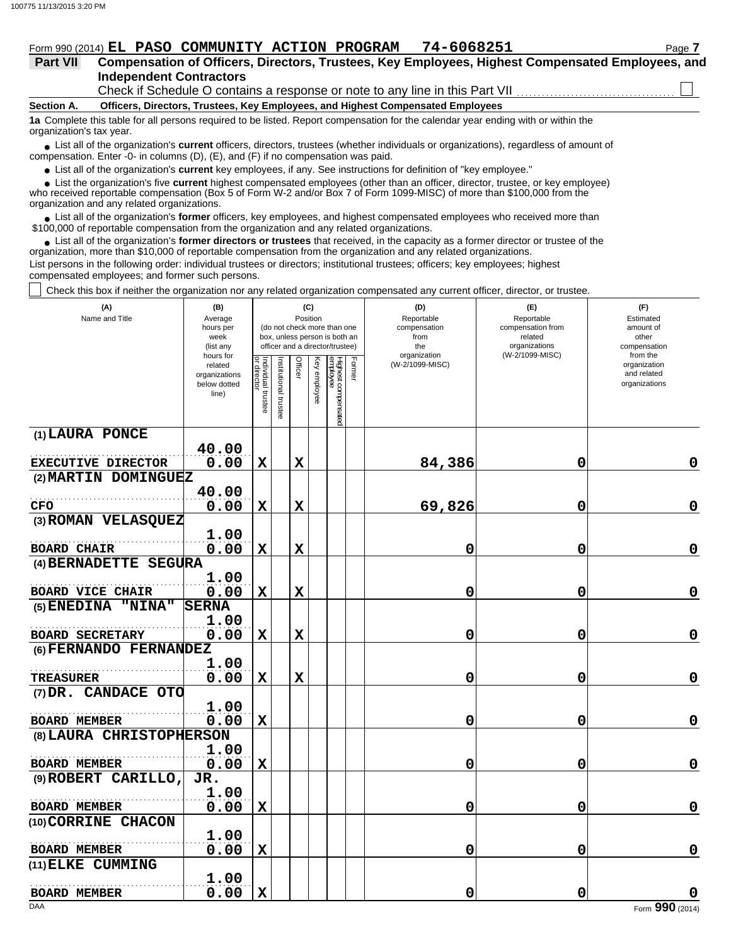#### Form 990 (2014) **EL PASO COMMUNITY ACTION PROGRAM** 74-6068251 Page 7 COMMUNITY ACTION

| <b>Part VII</b> | Compensation of Officers, Directors, Trustees, Key Employees, Highest Compensated Employees, and |  |  |
|-----------------|--------------------------------------------------------------------------------------------------|--|--|
|                 | <b>Independent Contractors</b>                                                                   |  |  |
|                 |                                                                                                  |  |  |

Check if Schedule O contains a response or note to any line in this Part VII

**Section A. Officers, Directors, Trustees, Key Employees, and Highest Compensated Employees**

**1a** Complete this table for all persons required to be listed. Report compensation for the calendar year ending with or within the organization's tax year.

■ List all of the organization's **current** officers, directors, trustees (whether individuals or organizations), regardless of amount of compensation. Enter -0- in columns (D), (E), and (F) if no compensation was paid.

● List all of the organization's **current** key employees, if any. See instructions for definition of "key employee."

 $\bullet$  List the organization's five **current** highest compensated employees (other than an officer, director, trustee, or key employee)<br>a received reportable compensation (Box 5 of Form  $M-2$  and/or Box 7 of Form 1000-MISC)

who received reportable compensation (Box 5 of Form W-2 and/or Box 7 of Form 1099-MISC) of more than \$100,000 from the organization and any related organizations.

• List all of the organization's **former** officers, key employees, and highest compensated employees who received more than<br>00,000 of reportable compensation from the erganization and any related erganizations. \$100,000 of reportable compensation from the organization and any related organizations.

• List all of the organization's **former directors or trustees** that received, in the capacity as a former director or trustee of the organization, more than \$10,000 of reportable compensation from the organization and any related organizations. List persons in the following order: individual trustees or directors; institutional trustees; officers; key employees; highest compensated employees; and former such persons.

Check this box if neither the organization nor any related organization compensated any current officer, director, or trustee.

| (A)<br>Name and Title                            | (B)<br>Average<br>hours per<br>week<br>(list any<br>hours for<br>related<br>organizations |                                   |                      | Officer     | (C)<br>Position | (do not check more than one<br>box, unless person is both an<br>officer and a director/trustee) | Former | (D)<br>Reportable<br>compensation<br>from<br>the<br>organization<br>(W-2/1099-MISC) | (E)<br>Reportable<br>compensation from<br>related<br>organizations<br>(W-2/1099-MISC) | (F)<br>Estimated<br>amount of<br>other<br>compensation<br>from the<br>organization<br>and related |
|--------------------------------------------------|-------------------------------------------------------------------------------------------|-----------------------------------|----------------------|-------------|-----------------|-------------------------------------------------------------------------------------------------|--------|-------------------------------------------------------------------------------------|---------------------------------------------------------------------------------------|---------------------------------------------------------------------------------------------------|
|                                                  | below dotted<br>line)                                                                     | Individual trustee<br>or director | nstitutional trustee |             | Key employee    | Highest compensated<br>employee                                                                 |        |                                                                                     |                                                                                       | organizations                                                                                     |
| (1) LAURA PONCE                                  | 40.00                                                                                     |                                   |                      |             |                 |                                                                                                 |        |                                                                                     |                                                                                       |                                                                                                   |
| <b>EXECUTIVE DIRECTOR</b>                        | 0.00                                                                                      | $\mathbf x$                       |                      | $\mathbf x$ |                 |                                                                                                 |        | 84,386                                                                              | 0                                                                                     | 0                                                                                                 |
| (2) MARTIN DOMINGUEZ                             |                                                                                           |                                   |                      |             |                 |                                                                                                 |        |                                                                                     |                                                                                       |                                                                                                   |
|                                                  | 40.00                                                                                     |                                   |                      |             |                 |                                                                                                 |        |                                                                                     |                                                                                       |                                                                                                   |
| <b>CFO</b>                                       | 0.00                                                                                      | X                                 |                      | $\mathbf x$ |                 |                                                                                                 |        | 69,826                                                                              | 0                                                                                     | $\mathbf 0$                                                                                       |
| (3) ROMAN VELASQUEZ                              |                                                                                           |                                   |                      |             |                 |                                                                                                 |        |                                                                                     |                                                                                       |                                                                                                   |
| <b>BOARD CHAIR</b>                               | 1.00<br>0.00                                                                              | $\mathbf X$                       |                      | $\mathbf x$ |                 |                                                                                                 |        | 0                                                                                   | 0                                                                                     | 0                                                                                                 |
| (4) BERNADETTE SEGURA                            |                                                                                           |                                   |                      |             |                 |                                                                                                 |        |                                                                                     |                                                                                       |                                                                                                   |
|                                                  | 1.00                                                                                      |                                   |                      |             |                 |                                                                                                 |        |                                                                                     |                                                                                       |                                                                                                   |
| <b>BOARD VICE CHAIR</b>                          | 0.00                                                                                      | $\mathbf X$                       |                      | $\mathbf x$ |                 |                                                                                                 |        | 0                                                                                   | 0                                                                                     | $\mathbf 0$                                                                                       |
| (5) ENEDINA "NINA"                               | <b>SERNA</b>                                                                              |                                   |                      |             |                 |                                                                                                 |        |                                                                                     |                                                                                       |                                                                                                   |
|                                                  | 1.00                                                                                      |                                   |                      |             |                 |                                                                                                 |        |                                                                                     |                                                                                       | $\mathbf 0$                                                                                       |
| <b>BOARD SECRETARY</b><br>(6) FERNANDO FERNANDEZ | 0.00                                                                                      | $\mathbf x$                       |                      | $\mathbf x$ |                 |                                                                                                 |        | 0                                                                                   | 0                                                                                     |                                                                                                   |
|                                                  | 1.00                                                                                      |                                   |                      |             |                 |                                                                                                 |        |                                                                                     |                                                                                       |                                                                                                   |
| <b>TREASURER</b>                                 | 0.00                                                                                      | X                                 |                      | $\mathbf x$ |                 |                                                                                                 |        | 0                                                                                   | 0                                                                                     | $\mathbf 0$                                                                                       |
| (7) DR. CANDACE OTO                              |                                                                                           |                                   |                      |             |                 |                                                                                                 |        |                                                                                     |                                                                                       |                                                                                                   |
|                                                  | 1.00                                                                                      |                                   |                      |             |                 |                                                                                                 |        |                                                                                     |                                                                                       |                                                                                                   |
| <b>BOARD MEMBER</b>                              | 0.00                                                                                      | $\mathbf X$                       |                      |             |                 |                                                                                                 |        | 0                                                                                   | 0                                                                                     | $\mathbf 0$                                                                                       |
| (8) LAURA CHRISTOPHERSON                         |                                                                                           |                                   |                      |             |                 |                                                                                                 |        |                                                                                     |                                                                                       |                                                                                                   |
| <b>BOARD MEMBER</b>                              | 1.00<br>0.00                                                                              | $\mathbf X$                       |                      |             |                 |                                                                                                 |        | 0                                                                                   | 0                                                                                     | 0                                                                                                 |
| (9) ROBERT CARILLO,                              | JR.                                                                                       |                                   |                      |             |                 |                                                                                                 |        |                                                                                     |                                                                                       |                                                                                                   |
|                                                  | 1.00                                                                                      |                                   |                      |             |                 |                                                                                                 |        |                                                                                     |                                                                                       |                                                                                                   |
| <b>BOARD MEMBER</b>                              | 0.00                                                                                      | X                                 |                      |             |                 |                                                                                                 |        | 0                                                                                   | 0                                                                                     | $\mathbf 0$                                                                                       |
| (10) CORRINE CHACON                              |                                                                                           |                                   |                      |             |                 |                                                                                                 |        |                                                                                     |                                                                                       |                                                                                                   |
|                                                  | 1.00                                                                                      |                                   |                      |             |                 |                                                                                                 |        |                                                                                     |                                                                                       |                                                                                                   |
| <b>BOARD MEMBER</b>                              | 0.00                                                                                      | $\mathbf X$                       |                      |             |                 |                                                                                                 |        | 0                                                                                   | $\mathbf 0$                                                                           | $\mathbf 0$                                                                                       |
| (11) ELKE CUMMING                                | 1.00                                                                                      |                                   |                      |             |                 |                                                                                                 |        |                                                                                     |                                                                                       |                                                                                                   |
| <b>BOARD MEMBER</b>                              | 0.00                                                                                      | $\mathbf X$                       |                      |             |                 |                                                                                                 |        | 0                                                                                   | 0                                                                                     | $\mathbf 0$                                                                                       |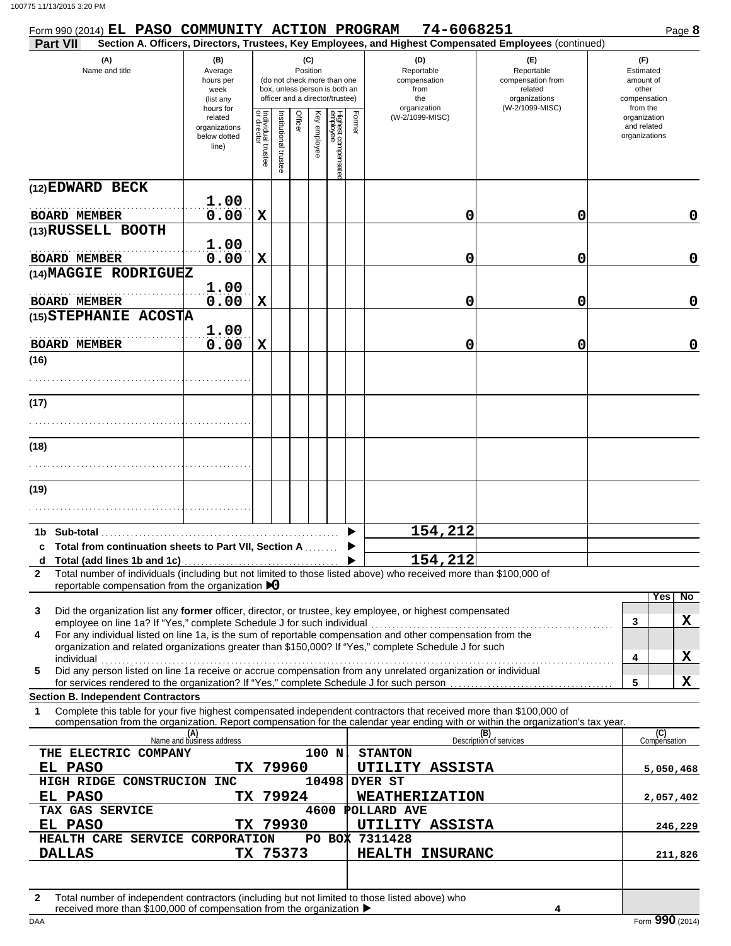| Form 990 (2014) EL PASO COMMUNITY ACTION PROGRAM                                                                                                                                                                                                            |                                                               |                                   |                       |                                                                                                                    |              |                                 |      | 74-6068251                                                                                             |                                                                                       |                                                                    | Page 8              |
|-------------------------------------------------------------------------------------------------------------------------------------------------------------------------------------------------------------------------------------------------------------|---------------------------------------------------------------|-----------------------------------|-----------------------|--------------------------------------------------------------------------------------------------------------------|--------------|---------------------------------|------|--------------------------------------------------------------------------------------------------------|---------------------------------------------------------------------------------------|--------------------------------------------------------------------|---------------------|
| <b>Part VII</b>                                                                                                                                                                                                                                             |                                                               |                                   |                       |                                                                                                                    |              |                                 |      | Section A. Officers, Directors, Trustees, Key Employees, and Highest Compensated Employees (continued) |                                                                                       |                                                                    |                     |
| (A)<br>Name and title                                                                                                                                                                                                                                       | (B)<br>Average<br>hours per<br>week<br>(list any<br>hours for |                                   |                       | (C)<br>Position<br>(do not check more than one<br>box, unless person is both an<br>officer and a director/trustee) |              |                                 |      | (D)<br>Reportable<br>compensation<br>from<br>the<br>organization                                       | (E)<br>Reportable<br>compensation from<br>related<br>organizations<br>(W-2/1099-MISC) | (F)<br>Estimated<br>amount of<br>other<br>compensation<br>from the |                     |
|                                                                                                                                                                                                                                                             | related<br>organizations<br>below dotted<br>line)             | Individual trustee<br>or director | Institutional trustee | Officer                                                                                                            | Key employee | Highest compensatec<br>employee | Form | (W-2/1099-MISC)                                                                                        |                                                                                       | organization<br>and related<br>organizations                       |                     |
| (12) EDWARD BECK                                                                                                                                                                                                                                            |                                                               |                                   |                       |                                                                                                                    |              |                                 |      |                                                                                                        |                                                                                       |                                                                    |                     |
| <b>BOARD MEMBER</b>                                                                                                                                                                                                                                         | 1.00<br>0.00                                                  | $\mathbf x$                       |                       |                                                                                                                    |              |                                 |      | 0                                                                                                      | 0                                                                                     |                                                                    | 0                   |
| (13) RUSSELL BOOTH                                                                                                                                                                                                                                          |                                                               |                                   |                       |                                                                                                                    |              |                                 |      |                                                                                                        |                                                                                       |                                                                    |                     |
|                                                                                                                                                                                                                                                             | 1.00                                                          |                                   |                       |                                                                                                                    |              |                                 |      |                                                                                                        |                                                                                       |                                                                    |                     |
| <b>BOARD MEMBER</b><br>(14) MAGGIE RODRIGUEZ                                                                                                                                                                                                                | 0.00                                                          | $\mathbf x$                       |                       |                                                                                                                    |              |                                 |      | 0                                                                                                      | 0                                                                                     |                                                                    | $\mathbf 0$         |
|                                                                                                                                                                                                                                                             | 1.00                                                          |                                   |                       |                                                                                                                    |              |                                 |      |                                                                                                        |                                                                                       |                                                                    |                     |
| <b>BOARD MEMBER</b>                                                                                                                                                                                                                                         | 0.00                                                          | $\mathbf X$                       |                       |                                                                                                                    |              |                                 |      | 0                                                                                                      | 0                                                                                     |                                                                    | $\mathbf 0$         |
| (15) STEPHANIE ACOSTA                                                                                                                                                                                                                                       | 1.00                                                          |                                   |                       |                                                                                                                    |              |                                 |      |                                                                                                        |                                                                                       |                                                                    |                     |
| <b>BOARD MEMBER</b>                                                                                                                                                                                                                                         | 0.00                                                          | $\mathbf x$                       |                       |                                                                                                                    |              |                                 |      | 0                                                                                                      | 0                                                                                     |                                                                    | $\mathbf 0$         |
| (16)                                                                                                                                                                                                                                                        |                                                               |                                   |                       |                                                                                                                    |              |                                 |      |                                                                                                        |                                                                                       |                                                                    |                     |
|                                                                                                                                                                                                                                                             |                                                               |                                   |                       |                                                                                                                    |              |                                 |      |                                                                                                        |                                                                                       |                                                                    |                     |
| (17)                                                                                                                                                                                                                                                        |                                                               |                                   |                       |                                                                                                                    |              |                                 |      |                                                                                                        |                                                                                       |                                                                    |                     |
|                                                                                                                                                                                                                                                             |                                                               |                                   |                       |                                                                                                                    |              |                                 |      |                                                                                                        |                                                                                       |                                                                    |                     |
| (18)                                                                                                                                                                                                                                                        |                                                               |                                   |                       |                                                                                                                    |              |                                 |      |                                                                                                        |                                                                                       |                                                                    |                     |
|                                                                                                                                                                                                                                                             |                                                               |                                   |                       |                                                                                                                    |              |                                 |      |                                                                                                        |                                                                                       |                                                                    |                     |
| (19)                                                                                                                                                                                                                                                        |                                                               |                                   |                       |                                                                                                                    |              |                                 |      |                                                                                                        |                                                                                       |                                                                    |                     |
|                                                                                                                                                                                                                                                             |                                                               |                                   |                       |                                                                                                                    |              |                                 |      |                                                                                                        |                                                                                       |                                                                    |                     |
| 1b Sub-total and the state of the state of the state of the state of the state of the state of the state of the                                                                                                                                             |                                                               |                                   |                       |                                                                                                                    |              |                                 |      | 154,212                                                                                                |                                                                                       |                                                                    |                     |
| c Total from continuation sheets to Part VII, Section A                                                                                                                                                                                                     |                                                               |                                   |                       |                                                                                                                    |              |                                 |      |                                                                                                        |                                                                                       |                                                                    |                     |
| Total number of individuals (including but not limited to those listed above) who received more than \$100,000 of<br>$\mathbf{2}$<br>reportable compensation from the organization $\bigtriangledown$                                                       |                                                               |                                   |                       |                                                                                                                    |              |                                 |      | 154,212                                                                                                |                                                                                       |                                                                    |                     |
| Did the organization list any former officer, director, or trustee, key employee, or highest compensated<br>3<br>employee on line 1a? If "Yes," complete Schedule J for such individual                                                                     |                                                               |                                   |                       |                                                                                                                    |              |                                 |      |                                                                                                        |                                                                                       | 3                                                                  | No<br>Yes<br>X      |
| For any individual listed on line 1a, is the sum of reportable compensation and other compensation from the<br>4<br>organization and related organizations greater than \$150,000? If "Yes," complete Schedule J for such<br>individual                     |                                                               |                                   |                       |                                                                                                                    |              |                                 |      |                                                                                                        |                                                                                       | 4                                                                  | X                   |
| Did any person listed on line 1a receive or accrue compensation from any unrelated organization or individual<br>5                                                                                                                                          |                                                               |                                   |                       |                                                                                                                    |              |                                 |      |                                                                                                        |                                                                                       |                                                                    | X                   |
| <b>Section B. Independent Contractors</b>                                                                                                                                                                                                                   |                                                               |                                   |                       |                                                                                                                    |              |                                 |      |                                                                                                        |                                                                                       | 5                                                                  |                     |
| Complete this table for your five highest compensated independent contractors that received more than \$100,000 of<br>1<br>compensation from the organization. Report compensation for the calendar year ending with or within the organization's tax year. |                                                               |                                   |                       |                                                                                                                    |              |                                 |      |                                                                                                        |                                                                                       |                                                                    |                     |
|                                                                                                                                                                                                                                                             | (A)<br>Name and business address                              |                                   |                       |                                                                                                                    |              |                                 |      |                                                                                                        | (B)<br>Description of services                                                        |                                                                    | (C)<br>Compensation |
| THE ELECTRIC COMPANY<br>EL PASO                                                                                                                                                                                                                             |                                                               |                                   |                       | TX 79960                                                                                                           |              | 100 N                           |      | <b>STANTON</b><br>UTILITY ASSISTA                                                                      |                                                                                       |                                                                    | 5,050,468           |
| HIGH RIDGE CONSTRUCION INC                                                                                                                                                                                                                                  |                                                               |                                   |                       |                                                                                                                    |              |                                 |      | 10498 DYER ST                                                                                          |                                                                                       |                                                                    |                     |
| EL PASO<br>TAX GAS SERVICE                                                                                                                                                                                                                                  |                                                               |                                   |                       | TX 79924                                                                                                           | 4600         |                                 |      | <b>WEATHERIZATION</b><br>POLLARD AVE                                                                   |                                                                                       |                                                                    | 2,057,402           |
| EL PASO                                                                                                                                                                                                                                                     |                                                               |                                   |                       | TX 79930                                                                                                           |              |                                 |      | UTILITY ASSISTA                                                                                        |                                                                                       |                                                                    | 246,229             |
| HEALTH CARE SERVICE CORPORATION<br><b>DALLAS</b>                                                                                                                                                                                                            |                                                               |                                   |                       | TX 75373                                                                                                           |              |                                 |      | PO BOX 7311428<br>HEALTH INSURANC                                                                      |                                                                                       |                                                                    |                     |
|                                                                                                                                                                                                                                                             |                                                               |                                   |                       |                                                                                                                    |              |                                 |      |                                                                                                        |                                                                                       |                                                                    | 211,826             |
|                                                                                                                                                                                                                                                             |                                                               |                                   |                       |                                                                                                                    |              |                                 |      |                                                                                                        |                                                                                       |                                                                    |                     |
| Total number of independent contractors (including but not limited to those listed above) who<br>$\mathbf{2}$<br>received more than \$100,000 of compensation from the organization ▶                                                                       |                                                               |                                   |                       |                                                                                                                    |              |                                 |      |                                                                                                        | 4                                                                                     |                                                                    |                     |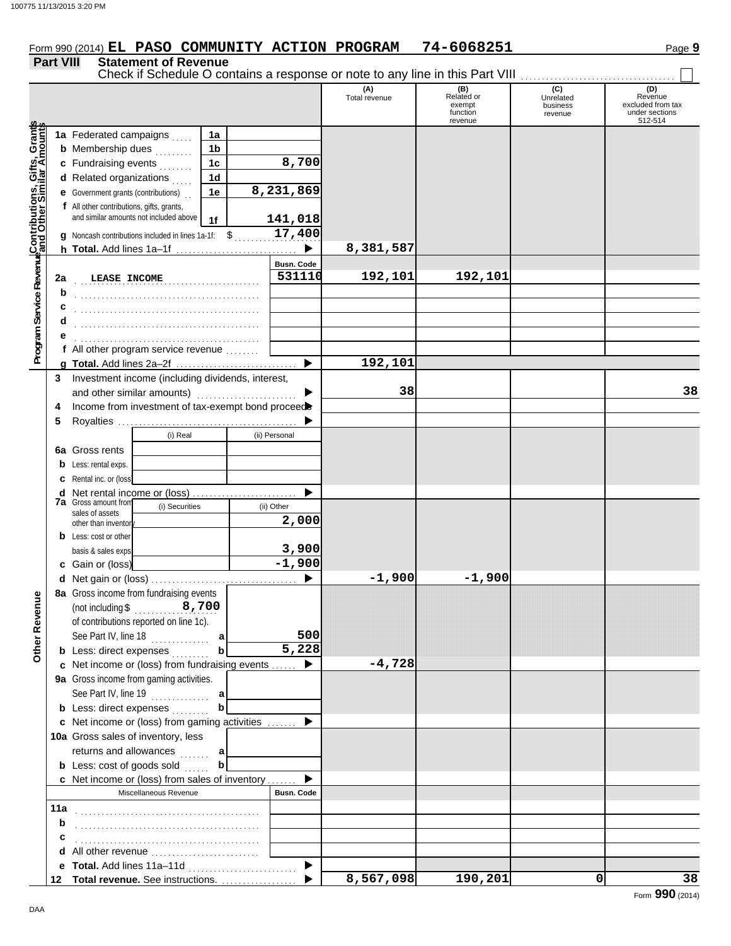|                                                             | Check if Schedule O contains a response or note to any line in this Part VIII |                       | (A)<br>Total revenue | (B)<br>Related or<br>exempt<br>function | (C)<br>Unrelated<br>business<br>revenue | (D)<br>Revenue<br>excluded from tax<br>under sections |
|-------------------------------------------------------------|-------------------------------------------------------------------------------|-----------------------|----------------------|-----------------------------------------|-----------------------------------------|-------------------------------------------------------|
|                                                             | 1a Federated campaigns<br>1a                                                  |                       |                      | revenue                                 |                                         | 512-514                                               |
|                                                             | <b>b</b> Membership dues<br>1b                                                |                       |                      |                                         |                                         |                                                       |
|                                                             | c Fundraising events<br>1 <sub>c</sub>                                        | 8,700                 |                      |                                         |                                         |                                                       |
|                                                             | d Related organizations<br>1 <sub>d</sub>                                     |                       |                      |                                         |                                         |                                                       |
|                                                             | <b>e</b> Government grants (contributions)<br>1e                              | 8,231,869             |                      |                                         |                                         |                                                       |
|                                                             | f All other contributions, gifts, grants,                                     |                       |                      |                                         |                                         |                                                       |
|                                                             | and similar amounts not included above<br>1 <sub>f</sub>                      | 141,018               |                      |                                         |                                         |                                                       |
|                                                             | g Noncash contributions included in lines 1a-1f: \$                           | 17,400                |                      |                                         |                                         |                                                       |
|                                                             | h Total. Add lines 1a-1f                                                      | $\blacktriangleright$ | 8,381,587            |                                         |                                         |                                                       |
|                                                             |                                                                               | <b>Busn. Code</b>     |                      |                                         |                                         |                                                       |
| 2a                                                          | LEASE INCOME                                                                  | 531110                | 192,101              | 192,101                                 |                                         |                                                       |
|                                                             |                                                                               |                       |                      |                                         |                                         |                                                       |
|                                                             |                                                                               |                       |                      |                                         |                                         |                                                       |
|                                                             |                                                                               |                       |                      |                                         |                                         |                                                       |
| <b>Program Service Revenue Contributions, Gifts, Grants</b> |                                                                               |                       |                      |                                         |                                         |                                                       |
|                                                             | f All other program service revenue                                           |                       |                      |                                         |                                         |                                                       |
|                                                             |                                                                               | ▶                     | 192,101              |                                         |                                         |                                                       |
| 3                                                           | Investment income (including dividends, interest,                             |                       |                      |                                         |                                         |                                                       |
|                                                             | and other similar amounts)                                                    |                       | 38                   |                                         |                                         | 38                                                    |
| 4                                                           | Income from investment of tax-exempt bond proceed                             |                       |                      |                                         |                                         |                                                       |
| 5                                                           |                                                                               |                       |                      |                                         |                                         |                                                       |
|                                                             | (i) Real                                                                      | (ii) Personal         |                      |                                         |                                         |                                                       |
|                                                             | 6a Gross rents                                                                |                       |                      |                                         |                                         |                                                       |
| b                                                           | Less: rental exps.                                                            |                       |                      |                                         |                                         |                                                       |
| c                                                           | Rental inc. or (loss)                                                         |                       |                      |                                         |                                         |                                                       |
| d                                                           | Net rental income or (loss)                                                   |                       |                      |                                         |                                         |                                                       |
|                                                             | <b>7a</b> Gross amount from<br>(i) Securities                                 | (ii) Other            |                      |                                         |                                         |                                                       |
|                                                             | sales of assets<br>other than inventor                                        | 2,000                 |                      |                                         |                                         |                                                       |
|                                                             | <b>b</b> Less: cost or other                                                  |                       |                      |                                         |                                         |                                                       |
|                                                             | basis & sales exps.                                                           | 3,900                 |                      |                                         |                                         |                                                       |
|                                                             | c Gain or (loss)                                                              | $-1,900$              |                      |                                         |                                         |                                                       |
|                                                             |                                                                               |                       | $-1,900$             | $-1,900$                                |                                         |                                                       |
| ิั                                                          | 8a Gross income from fundraising events                                       |                       |                      |                                         |                                         |                                                       |
|                                                             | 8,700<br>(not including \$                                                    |                       |                      |                                         |                                         |                                                       |
|                                                             | of contributions reported on line 1c).                                        |                       |                      |                                         |                                         |                                                       |
| Other Revenu                                                | See Part IV, line 18<br>a                                                     | 500                   |                      |                                         |                                         |                                                       |
|                                                             | <b>b</b> Less: direct expenses<br>b                                           | 5,228                 |                      |                                         |                                         |                                                       |
|                                                             | c Net income or (loss) from fundraising events                                |                       | $-4,728$             |                                         |                                         |                                                       |
|                                                             | 9a Gross income from gaming activities.                                       |                       |                      |                                         |                                         |                                                       |
|                                                             | See Part IV, line 19<br>a                                                     |                       |                      |                                         |                                         |                                                       |
|                                                             | <b>b</b> Less: direct expenses<br>b                                           |                       |                      |                                         |                                         |                                                       |
|                                                             | <b>c</b> Net income or (loss) from gaming activities                          |                       |                      |                                         |                                         |                                                       |
|                                                             | 10a Gross sales of inventory, less                                            |                       |                      |                                         |                                         |                                                       |
|                                                             | returns and allowances<br>a                                                   |                       |                      |                                         |                                         |                                                       |
|                                                             | <b>b</b> Less: cost of goods sold<br>b                                        |                       |                      |                                         |                                         |                                                       |
|                                                             | c Net income or (loss) from sales of inventory                                |                       |                      |                                         |                                         |                                                       |
|                                                             | Miscellaneous Revenue                                                         | <b>Busn. Code</b>     |                      |                                         |                                         |                                                       |
| 11a                                                         |                                                                               |                       |                      |                                         |                                         |                                                       |
| b                                                           |                                                                               |                       |                      |                                         |                                         |                                                       |
| с                                                           |                                                                               |                       |                      |                                         |                                         |                                                       |
| d                                                           | All other revenue                                                             |                       |                      |                                         |                                         |                                                       |
| е                                                           |                                                                               |                       |                      |                                         |                                         |                                                       |
| 12                                                          | Total revenue. See instructions.                                              |                       | 8,567,098            | 190,201                                 | 0                                       | 38                                                    |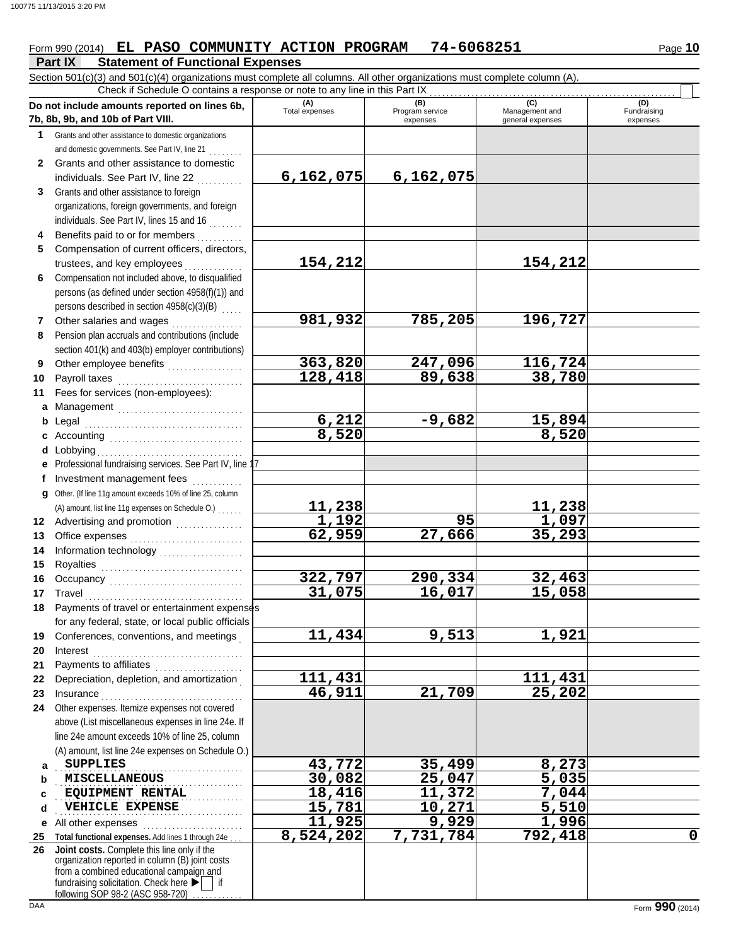### Form 990 (2014) **EL PASO COMMUNITY ACTION PROGRAM 74-6068251** Page 10

**Part IX Statement of Functional Expenses** Section 501(c)(3) and 501(c)(4) organizations must complete all columns. All other organizations must complete column (A).  $\overline{C}$ beck if Schedule O contains a response or note to any line in this Part IX

|              | Check if Schedule O contains a response or note to any line in this Part IX |                       |                        |                       |                    |  |  |  |  |  |  |
|--------------|-----------------------------------------------------------------------------|-----------------------|------------------------|-----------------------|--------------------|--|--|--|--|--|--|
|              | Do not include amounts reported on lines 6b,                                | (A)<br>Total expenses | (B)<br>Program service | (C)<br>Management and | (D)<br>Fundraising |  |  |  |  |  |  |
|              | 7b, 8b, 9b, and 10b of Part VIII.                                           |                       | expenses               | general expenses      | expenses           |  |  |  |  |  |  |
| 1.           | Grants and other assistance to domestic organizations                       |                       |                        |                       |                    |  |  |  |  |  |  |
|              | and domestic governments. See Part IV, line 21                              |                       |                        |                       |                    |  |  |  |  |  |  |
| $\mathbf{2}$ | Grants and other assistance to domestic                                     |                       |                        |                       |                    |  |  |  |  |  |  |
|              | individuals. See Part IV, line 22                                           | 6, 162, 075           | 6,162,075              |                       |                    |  |  |  |  |  |  |
| 3            | Grants and other assistance to foreign                                      |                       |                        |                       |                    |  |  |  |  |  |  |
|              | organizations, foreign governments, and foreign                             |                       |                        |                       |                    |  |  |  |  |  |  |
|              | individuals. See Part IV, lines 15 and 16                                   |                       |                        |                       |                    |  |  |  |  |  |  |
| 4            | Benefits paid to or for members                                             |                       |                        |                       |                    |  |  |  |  |  |  |
| 5            | Compensation of current officers, directors,                                |                       |                        |                       |                    |  |  |  |  |  |  |
|              | trustees, and key employees                                                 | 154,212               |                        | 154,212               |                    |  |  |  |  |  |  |
| 6            | Compensation not included above, to disqualified                            |                       |                        |                       |                    |  |  |  |  |  |  |
|              | persons (as defined under section 4958(f)(1)) and                           |                       |                        |                       |                    |  |  |  |  |  |  |
|              | persons described in section 4958(c)(3)(B)                                  |                       |                        |                       |                    |  |  |  |  |  |  |
| $\mathbf{7}$ | Other salaries and wages                                                    | 981,932               | 785,205                | 196,727               |                    |  |  |  |  |  |  |
| 8            | Pension plan accruals and contributions (include                            |                       |                        |                       |                    |  |  |  |  |  |  |
|              | section 401(k) and 403(b) employer contributions)                           |                       |                        |                       |                    |  |  |  |  |  |  |
| 9            | Other employee benefits                                                     | 363,820               | $\overline{2}47,096$   | 116,724               |                    |  |  |  |  |  |  |
| 10           |                                                                             | 128,418               | 89,638                 | 38,780                |                    |  |  |  |  |  |  |
| 11           | Fees for services (non-employees):                                          |                       |                        |                       |                    |  |  |  |  |  |  |
|              | a Management                                                                |                       |                        |                       |                    |  |  |  |  |  |  |
|              |                                                                             | 6,212                 | $-9,682$               | 15,894                |                    |  |  |  |  |  |  |
|              |                                                                             | 8,520                 |                        | 8,520                 |                    |  |  |  |  |  |  |
|              | <b>d</b> Lobbying                                                           |                       |                        |                       |                    |  |  |  |  |  |  |
|              | e Professional fundraising services. See Part IV, line 17                   |                       |                        |                       |                    |  |  |  |  |  |  |
|              | f Investment management fees                                                |                       |                        |                       |                    |  |  |  |  |  |  |
| a            | Other. (If line 11g amount exceeds 10% of line 25, column                   |                       |                        |                       |                    |  |  |  |  |  |  |
|              | (A) amount, list line 11g expenses on Schedule O.)                          | 11,238                |                        | 11,238                |                    |  |  |  |  |  |  |
|              | 12 Advertising and promotion [1] [1] Advertising and promotion              | 1,192                 | 95                     | 1,097                 |                    |  |  |  |  |  |  |
| 13           |                                                                             | 62,959                | 27,666                 | 35,293                |                    |  |  |  |  |  |  |
| 14           |                                                                             |                       |                        |                       |                    |  |  |  |  |  |  |
| 15           |                                                                             |                       |                        |                       |                    |  |  |  |  |  |  |
| 16           |                                                                             | 322,797               | 290,334                | 32,463                |                    |  |  |  |  |  |  |
| 17           |                                                                             | 31,075                | 16,017                 | 15,058                |                    |  |  |  |  |  |  |
| 18           | Payments of travel or entertainment expenses                                |                       |                        |                       |                    |  |  |  |  |  |  |
|              | for any federal, state, or local public officials                           |                       |                        |                       |                    |  |  |  |  |  |  |
| 19           | Conferences, conventions, and meetings                                      | 11,434                | 9,513                  | 1,921                 |                    |  |  |  |  |  |  |
| 20           | Interest                                                                    |                       |                        |                       |                    |  |  |  |  |  |  |
| 21           |                                                                             |                       |                        |                       |                    |  |  |  |  |  |  |
| 22           | Depreciation, depletion, and amortization                                   | 111,431               |                        | 111,431               |                    |  |  |  |  |  |  |
| 23           |                                                                             | 46,911                | 21,709                 | 25,202                |                    |  |  |  |  |  |  |
| 24           | Other expenses. Itemize expenses not covered                                |                       |                        |                       |                    |  |  |  |  |  |  |
|              | above (List miscellaneous expenses in line 24e. If                          |                       |                        |                       |                    |  |  |  |  |  |  |
|              | line 24e amount exceeds 10% of line 25, column                              |                       |                        |                       |                    |  |  |  |  |  |  |
|              | (A) amount, list line 24e expenses on Schedule O.)<br><b>SUPPLIES</b>       | 43,772                |                        |                       |                    |  |  |  |  |  |  |
| a            | MISCELLANEOUS                                                               | 30,082                | 35,499                 | 8,273                 |                    |  |  |  |  |  |  |
| b            | EQUIPMENT RENTAL                                                            | 18,416                | 25,047<br>11,372       | 5,035                 |                    |  |  |  |  |  |  |
| c            | VEHICLE EXPENSE                                                             | 15,781                | 10,271                 | 7,044<br>5,510        |                    |  |  |  |  |  |  |
| d            |                                                                             | 11,925                | 9,929                  | 1,996                 |                    |  |  |  |  |  |  |
| е            | All other expenses<br>Total functional expenses. Add lines 1 through 24e    | 8,524,202             | 7,731,784              | 792,418               | 0                  |  |  |  |  |  |  |
| 25<br>26     | Joint costs. Complete this line only if the                                 |                       |                        |                       |                    |  |  |  |  |  |  |
|              | organization reported in column (B) joint costs                             |                       |                        |                       |                    |  |  |  |  |  |  |
|              | from a combined educational campaign and                                    |                       |                        |                       |                    |  |  |  |  |  |  |
|              | fundraising solicitation. Check here ▶<br>following SOP 98-2 (ASC 958-720)  |                       |                        |                       |                    |  |  |  |  |  |  |
| <b>DAA</b>   |                                                                             |                       |                        |                       | Form 990 (2014)    |  |  |  |  |  |  |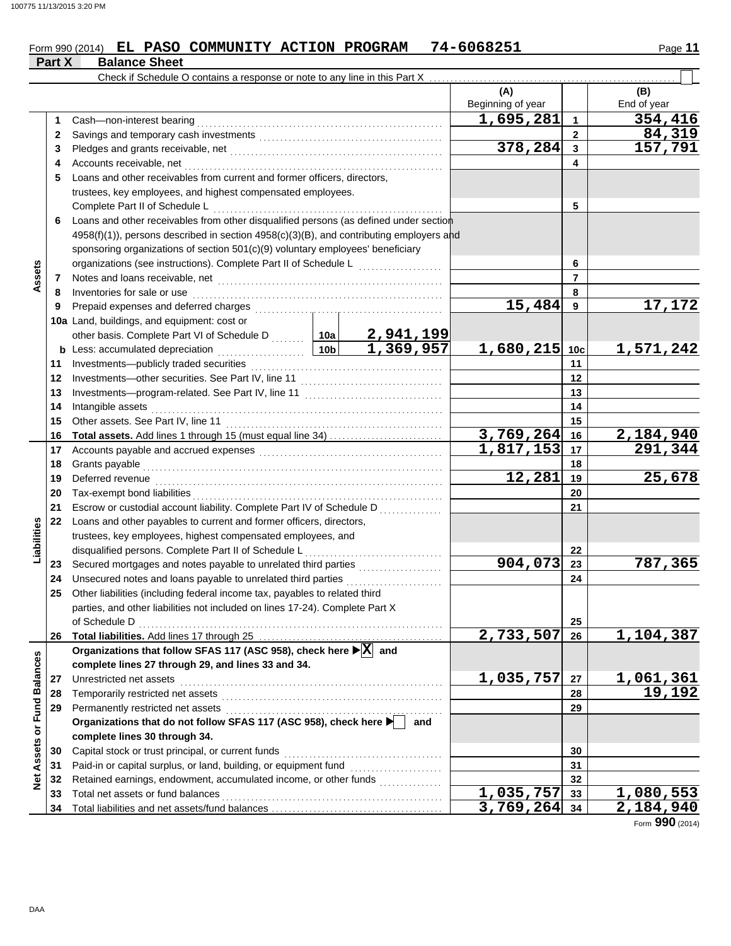#### Form 990 (2014) EL PASO COMMUNITY ACTION PROGRAM 74-6068251 Page 11 **EL PASO COMMUNITY ACTION PROGRAM 74-6068251**

|                         | Part X | <b>Balance Sheet</b>                                                                                                                        |        |                                         |                           |                |                        |
|-------------------------|--------|---------------------------------------------------------------------------------------------------------------------------------------------|--------|-----------------------------------------|---------------------------|----------------|------------------------|
|                         |        | Check if Schedule O contains a response or note to any line in this Part X                                                                  |        |                                         |                           |                |                        |
|                         |        |                                                                                                                                             |        |                                         | (A)<br>Beginning of year  |                | (B)<br>End of year     |
|                         | 1      | Cash-non-interest bearing                                                                                                                   |        |                                         | 1,695,281                 | $\mathbf{1}$   | 354,416                |
|                         | 2      |                                                                                                                                             |        |                                         |                           | $\mathbf{2}$   | 84,319                 |
|                         | 3      |                                                                                                                                             |        |                                         | 378,284                   | 3              | 157,791                |
|                         | 4      | Accounts receivable, net                                                                                                                    |        |                                         |                           | 4              |                        |
|                         | 5      | Loans and other receivables from current and former officers, directors,                                                                    |        |                                         |                           |                |                        |
|                         |        | trustees, key employees, and highest compensated employees.                                                                                 |        |                                         |                           |                |                        |
|                         |        | Complete Part II of Schedule L                                                                                                              |        |                                         |                           | 5              |                        |
|                         | 6      | Loans and other receivables from other disqualified persons (as defined under section                                                       |        |                                         |                           |                |                        |
|                         |        | 4958(f)(1)), persons described in section 4958(c)(3)(B), and contributing employers and                                                     |        |                                         |                           |                |                        |
|                         |        | sponsoring organizations of section 501(c)(9) voluntary employees' beneficiary                                                              |        |                                         |                           |                |                        |
|                         |        | organizations (see instructions). Complete Part II of Schedule L                                                                            |        | <u> 1986 - Johann Barnett, martin a</u> |                           | 6              |                        |
| Assets                  | 7      |                                                                                                                                             |        |                                         |                           | $\overline{7}$ |                        |
|                         | 8      | Inventories for sale or use                                                                                                                 |        |                                         |                           | 8              |                        |
|                         | 9      |                                                                                                                                             | 15,484 | 9                                       | 17,172                    |                |                        |
|                         |        | 10a Land, buildings, and equipment: cost or                                                                                                 |        |                                         |                           |                |                        |
|                         |        |                                                                                                                                             |        |                                         |                           |                |                        |
|                         |        | other basis. Complete Part VI of Schedule D<br>Less: accumulated depreciation<br>10b 1, 369, 957<br><b>b</b> Less: accumulated depreciation |        |                                         | 1,680,215                 | 10c            | 1,571,242              |
|                         | 11     |                                                                                                                                             |        | 11                                      |                           |                |                        |
|                         | 12     | Investments-other securities. See Part IV, line 11                                                                                          |        | 12                                      |                           |                |                        |
|                         | 13     |                                                                                                                                             |        | 13                                      |                           |                |                        |
|                         | 14     | Intangible assets                                                                                                                           |        | 14                                      |                           |                |                        |
|                         | 15     | Other assets. See Part IV, line 11                                                                                                          |        | 15                                      |                           |                |                        |
|                         | 16     |                                                                                                                                             |        |                                         | 3,769,264                 | 16             |                        |
|                         | 17     | Accounts payable and accrued expenses [[11] [11] Accounts payable and accrued expenses [[11] Accounts are not                               |        |                                         | 1,817,153                 | 17             | 2,184,940<br>291,344   |
|                         | 18     | Grants payable                                                                                                                              |        |                                         | 18                        |                |                        |
|                         | 19     | Deferred revenue                                                                                                                            |        |                                         | 12,281                    | 19             | 25,678                 |
|                         | 20     | Tax-exempt bond liabilities                                                                                                                 |        |                                         |                           | 20             |                        |
|                         | 21     | Escrow or custodial account liability. Complete Part IV of Schedule D                                                                       |        |                                         |                           | 21             |                        |
|                         | 22     | Loans and other payables to current and former officers, directors,                                                                         |        |                                         |                           |                |                        |
| Liabilities             |        | trustees, key employees, highest compensated employees, and                                                                                 |        |                                         |                           |                |                        |
|                         |        | disqualified persons. Complete Part II of Schedule L                                                                                        |        |                                         |                           | 22             |                        |
|                         | 23     |                                                                                                                                             |        |                                         | 904,073                   | 23             | 787,365                |
|                         | 24     | Unsecured notes and loans payable to unrelated third parties                                                                                |        |                                         |                           | 24             |                        |
|                         | 25     | Other liabilities (including federal income tax, payables to related third                                                                  |        |                                         |                           |                |                        |
|                         |        | parties, and other liabilities not included on lines 17-24). Complete Part X                                                                |        |                                         |                           |                |                        |
|                         |        | of Schedule D                                                                                                                               |        |                                         |                           | 25             |                        |
|                         | 26     |                                                                                                                                             |        |                                         | 2,733,507                 | 26             | 1,104,387              |
|                         |        | Organizations that follow SFAS 117 (ASC 958), check here $\blacktriangleright$ $\boxed{X}$ and                                              |        |                                         |                           |                |                        |
|                         |        | complete lines 27 through 29, and lines 33 and 34.                                                                                          |        |                                         |                           |                |                        |
|                         | 27     | Unrestricted net assets                                                                                                                     |        |                                         | 1,035,757                 | 27             | 1,061,361              |
|                         | 28     | Temporarily restricted net assets                                                                                                           |        | 28                                      | 19,192                    |                |                        |
|                         | 29     | Permanently restricted net assets                                                                                                           |        |                                         |                           | 29             |                        |
|                         |        | Permanently restricted net assets<br>Organizations that do not follow SFAS 117 (ASC 958), check here ▶ │ and                                |        |                                         |                           |                |                        |
| Assets or Fund Balances |        | complete lines 30 through 34.                                                                                                               |        |                                         |                           |                |                        |
|                         | 30     | Capital stock or trust principal, or current funds                                                                                          |        |                                         |                           | 30             |                        |
|                         | 31     |                                                                                                                                             |        |                                         |                           | 31             |                        |
| <b>Net</b>              | 32     | Retained earnings, endowment, accumulated income, or other funds                                                                            |        |                                         |                           | 32             |                        |
|                         | 33     | Total net assets or fund balances                                                                                                           |        |                                         | $\overline{1}$ , 035, 757 | 33             | 1,080,553              |
|                         | 34     |                                                                                                                                             |        |                                         | $3,769,264$ 34            |                | $\overline{2,184,940}$ |

Form **990** (2014)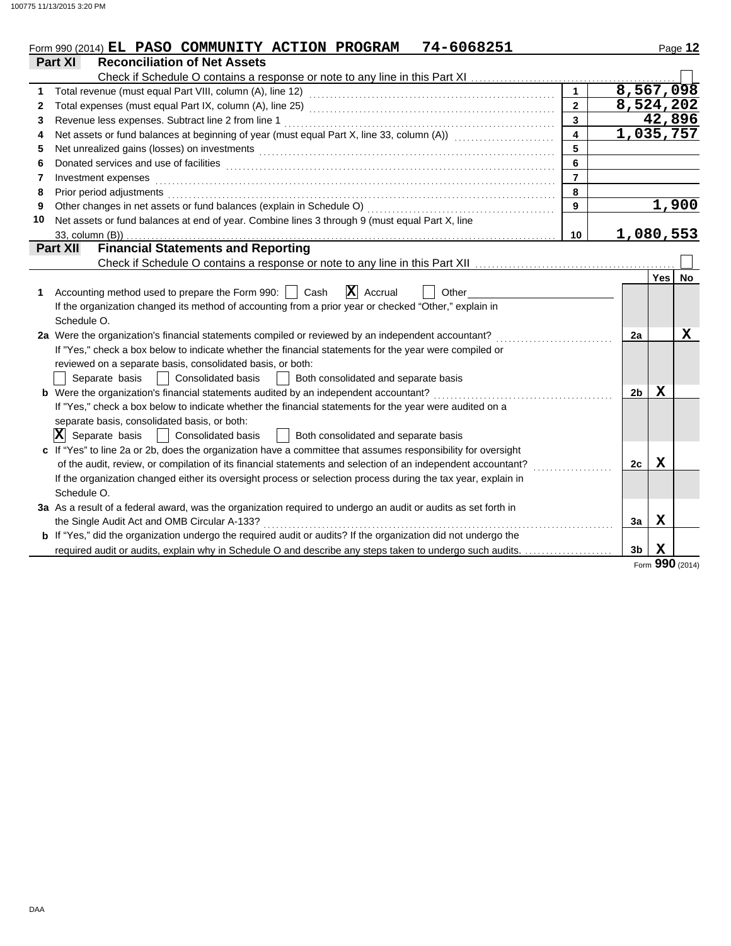|    | 74-6068251<br>Form 990 (2014) EL PASO COMMUNITY ACTION PROGRAM                                                                                                                                                                 |                         |                |             | Page 12             |
|----|--------------------------------------------------------------------------------------------------------------------------------------------------------------------------------------------------------------------------------|-------------------------|----------------|-------------|---------------------|
|    | <b>Reconciliation of Net Assets</b><br>Part XI                                                                                                                                                                                 |                         |                |             |                     |
|    |                                                                                                                                                                                                                                |                         |                |             |                     |
| 1  |                                                                                                                                                                                                                                | $\blacktriangleleft$    | 8,567,098      |             |                     |
| 2  |                                                                                                                                                                                                                                | $\overline{2}$          | 8,524,202      |             |                     |
| 3  | Revenue less expenses. Subtract line 2 from line 1                                                                                                                                                                             | $\overline{3}$          |                |             | $\overline{42,896}$ |
| 4  | Net assets or fund balances at beginning of year (must equal Part X, line 33, column (A)) [[[[[[[[[[[[[[[[[[[                                                                                                                  | $\overline{\mathbf{4}}$ | 1,035,757      |             |                     |
| 5  |                                                                                                                                                                                                                                | 5                       |                |             |                     |
| 6  |                                                                                                                                                                                                                                | 6                       |                |             |                     |
| 7  | Investment expenses                                                                                                                                                                                                            | $\overline{7}$          |                |             |                     |
| 8  | Prior period adjustments [11, 12] and the contract of the contract of the contract of the contract of the contract of the contract of the contract of the contract of the contract of the contract of the contract of the cont | 8                       |                |             |                     |
| 9  |                                                                                                                                                                                                                                | $\mathbf{Q}$            |                |             | 1,900               |
| 10 | Net assets or fund balances at end of year. Combine lines 3 through 9 (must equal Part X, line                                                                                                                                 |                         |                |             |                     |
|    | 33, column (B))                                                                                                                                                                                                                | 10                      | 1,080,553      |             |                     |
|    | <b>Financial Statements and Reporting</b><br><b>Part XII</b>                                                                                                                                                                   |                         |                |             |                     |
|    |                                                                                                                                                                                                                                |                         |                |             |                     |
|    |                                                                                                                                                                                                                                |                         |                | Yes         | <b>No</b>           |
| 1  | $\mathbf{X}$ Accrual<br>Accounting method used to prepare the Form 990:     Cash<br>Other                                                                                                                                      |                         |                |             |                     |
|    | If the organization changed its method of accounting from a prior year or checked "Other," explain in                                                                                                                          |                         |                |             |                     |
|    | Schedule O.                                                                                                                                                                                                                    |                         |                |             |                     |
|    | 2a Were the organization's financial statements compiled or reviewed by an independent accountant?                                                                                                                             |                         | 2a             |             | х                   |
|    | If "Yes," check a box below to indicate whether the financial statements for the year were compiled or                                                                                                                         |                         |                |             |                     |
|    | reviewed on a separate basis, consolidated basis, or both:                                                                                                                                                                     |                         |                |             |                     |
|    | Separate basis<br><b>Consolidated basis</b><br>Both consolidated and separate basis                                                                                                                                            |                         |                |             |                     |
|    | <b>b</b> Were the organization's financial statements audited by an independent accountant?                                                                                                                                    |                         | 2 <sub>b</sub> | х           |                     |
|    | If "Yes," check a box below to indicate whether the financial statements for the year were audited on a                                                                                                                        |                         |                |             |                     |
|    | separate basis, consolidated basis, or both:                                                                                                                                                                                   |                         |                |             |                     |
|    | $ \mathbf{X} $ Separate basis<br>Both consolidated and separate basis<br><b>Consolidated basis</b>                                                                                                                             |                         |                |             |                     |
|    | c If "Yes" to line 2a or 2b, does the organization have a committee that assumes responsibility for oversight                                                                                                                  |                         |                |             |                     |
|    | of the audit, review, or compilation of its financial statements and selection of an independent accountant?                                                                                                                   |                         | 2c             | $\mathbf X$ |                     |
|    | If the organization changed either its oversight process or selection process during the tax year, explain in                                                                                                                  |                         |                |             |                     |
|    | Schedule O.                                                                                                                                                                                                                    |                         |                |             |                     |
|    | 3a As a result of a federal award, was the organization required to undergo an audit or audits as set forth in                                                                                                                 |                         |                |             |                     |
|    | the Single Audit Act and OMB Circular A-133?                                                                                                                                                                                   |                         | 3a             | $\mathbf x$ |                     |
|    | <b>b</b> If "Yes," did the organization undergo the required audit or audits? If the organization did not undergo the                                                                                                          |                         |                |             |                     |
|    | required audit or audits, explain why in Schedule O and describe any steps taken to undergo such audits.                                                                                                                       |                         | 3 <sub>b</sub> | X           |                     |
|    |                                                                                                                                                                                                                                |                         |                |             | Form 990 (2014)     |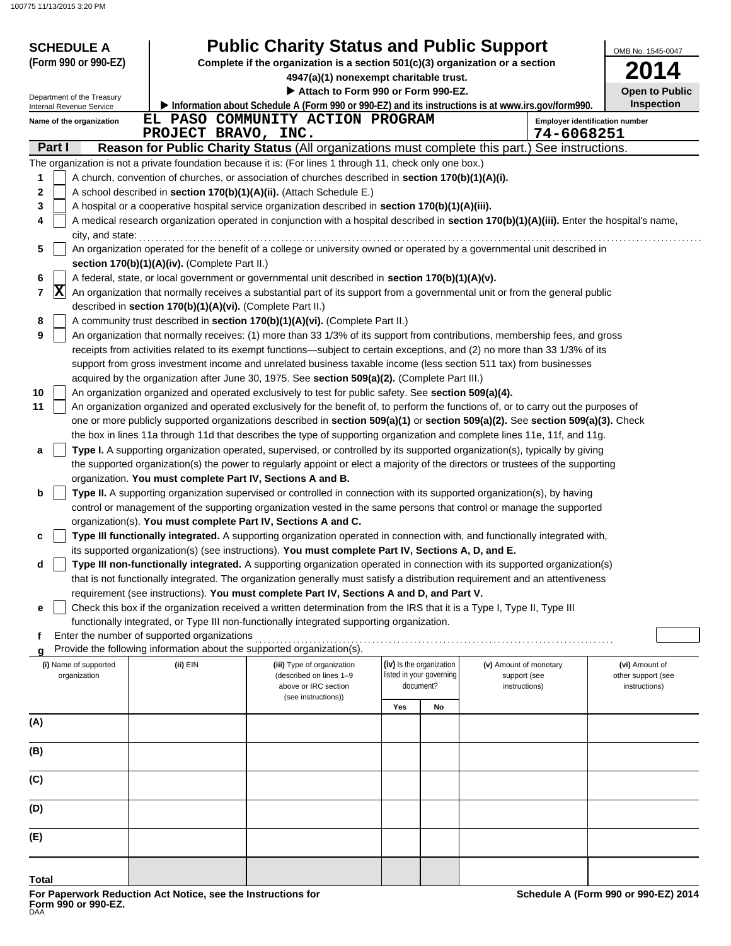| <b>SCHEDULE A</b>                     |                                                                                           | <b>Public Charity Status and Public Support</b>                                                                                                                                                                                                 |                                                      |    |                                        | OMB No. 1545-0047                     |  |  |  |  |  |
|---------------------------------------|-------------------------------------------------------------------------------------------|-------------------------------------------------------------------------------------------------------------------------------------------------------------------------------------------------------------------------------------------------|------------------------------------------------------|----|----------------------------------------|---------------------------------------|--|--|--|--|--|
| (Form 990 or 990-EZ)                  |                                                                                           | Complete if the organization is a section 501(c)(3) organization or a section                                                                                                                                                                   |                                                      |    |                                        |                                       |  |  |  |  |  |
|                                       |                                                                                           | 4947(a)(1) nonexempt charitable trust.                                                                                                                                                                                                          |                                                      |    |                                        | 2014                                  |  |  |  |  |  |
| Department of the Treasury            |                                                                                           | Attach to Form 990 or Form 990-EZ.                                                                                                                                                                                                              |                                                      |    |                                        | <b>Open to Public</b>                 |  |  |  |  |  |
| Internal Revenue Service              |                                                                                           | Information about Schedule A (Form 990 or 990-EZ) and its instructions is at www.irs.gov/form990.                                                                                                                                               |                                                      |    |                                        | <b>Inspection</b>                     |  |  |  |  |  |
| Name of the organization              |                                                                                           | EL PASO COMMUNITY ACTION PROGRAM                                                                                                                                                                                                                |                                                      |    |                                        | <b>Employer identification number</b> |  |  |  |  |  |
|                                       | PROJECT BRAVO, INC.                                                                       |                                                                                                                                                                                                                                                 |                                                      |    | 74-6068251                             |                                       |  |  |  |  |  |
| Part I                                |                                                                                           | Reason for Public Charity Status (All organizations must complete this part.) See instructions.                                                                                                                                                 |                                                      |    |                                        |                                       |  |  |  |  |  |
|                                       |                                                                                           | The organization is not a private foundation because it is: (For lines 1 through 11, check only one box.)                                                                                                                                       |                                                      |    |                                        |                                       |  |  |  |  |  |
| 1                                     |                                                                                           | A church, convention of churches, or association of churches described in section 170(b)(1)(A)(i).                                                                                                                                              |                                                      |    |                                        |                                       |  |  |  |  |  |
| 2<br>3                                |                                                                                           | A school described in section 170(b)(1)(A)(ii). (Attach Schedule E.)                                                                                                                                                                            |                                                      |    |                                        |                                       |  |  |  |  |  |
| 4                                     |                                                                                           | A hospital or a cooperative hospital service organization described in section 170(b)(1)(A)(iii).<br>A medical research organization operated in conjunction with a hospital described in section 170(b)(1)(A)(iii). Enter the hospital's name, |                                                      |    |                                        |                                       |  |  |  |  |  |
| city, and state:                      |                                                                                           |                                                                                                                                                                                                                                                 |                                                      |    |                                        |                                       |  |  |  |  |  |
| 5                                     |                                                                                           | An organization operated for the benefit of a college or university owned or operated by a governmental unit described in                                                                                                                       |                                                      |    |                                        |                                       |  |  |  |  |  |
|                                       | section 170(b)(1)(A)(iv). (Complete Part II.)                                             |                                                                                                                                                                                                                                                 |                                                      |    |                                        |                                       |  |  |  |  |  |
| 6                                     |                                                                                           | A federal, state, or local government or governmental unit described in section 170(b)(1)(A)(v).                                                                                                                                                |                                                      |    |                                        |                                       |  |  |  |  |  |
| $ \mathbf{X} $<br>7                   |                                                                                           | An organization that normally receives a substantial part of its support from a governmental unit or from the general public                                                                                                                    |                                                      |    |                                        |                                       |  |  |  |  |  |
|                                       | described in section 170(b)(1)(A)(vi). (Complete Part II.)                                |                                                                                                                                                                                                                                                 |                                                      |    |                                        |                                       |  |  |  |  |  |
| 8                                     |                                                                                           | A community trust described in section 170(b)(1)(A)(vi). (Complete Part II.)                                                                                                                                                                    |                                                      |    |                                        |                                       |  |  |  |  |  |
| 9                                     |                                                                                           | An organization that normally receives: (1) more than 33 1/3% of its support from contributions, membership fees, and gross                                                                                                                     |                                                      |    |                                        |                                       |  |  |  |  |  |
|                                       |                                                                                           | receipts from activities related to its exempt functions—subject to certain exceptions, and (2) no more than 33 1/3% of its                                                                                                                     |                                                      |    |                                        |                                       |  |  |  |  |  |
|                                       |                                                                                           | support from gross investment income and unrelated business taxable income (less section 511 tax) from businesses                                                                                                                               |                                                      |    |                                        |                                       |  |  |  |  |  |
| 10                                    |                                                                                           | acquired by the organization after June 30, 1975. See section 509(a)(2). (Complete Part III.)                                                                                                                                                   |                                                      |    |                                        |                                       |  |  |  |  |  |
| 11                                    |                                                                                           | An organization organized and operated exclusively to test for public safety. See section 509(a)(4).<br>An organization organized and operated exclusively for the benefit of, to perform the functions of, or to carry out the purposes of     |                                                      |    |                                        |                                       |  |  |  |  |  |
|                                       |                                                                                           | one or more publicly supported organizations described in section 509(a)(1) or section 509(a)(2). See section 509(a)(3). Check                                                                                                                  |                                                      |    |                                        |                                       |  |  |  |  |  |
|                                       |                                                                                           | the box in lines 11a through 11d that describes the type of supporting organization and complete lines 11e, 11f, and 11g.                                                                                                                       |                                                      |    |                                        |                                       |  |  |  |  |  |
| a                                     |                                                                                           | Type I. A supporting organization operated, supervised, or controlled by its supported organization(s), typically by giving                                                                                                                     |                                                      |    |                                        |                                       |  |  |  |  |  |
|                                       |                                                                                           | the supported organization(s) the power to regularly appoint or elect a majority of the directors or trustees of the supporting                                                                                                                 |                                                      |    |                                        |                                       |  |  |  |  |  |
|                                       | organization. You must complete Part IV, Sections A and B.                                |                                                                                                                                                                                                                                                 |                                                      |    |                                        |                                       |  |  |  |  |  |
| b                                     |                                                                                           | Type II. A supporting organization supervised or controlled in connection with its supported organization(s), by having                                                                                                                         |                                                      |    |                                        |                                       |  |  |  |  |  |
|                                       |                                                                                           | control or management of the supporting organization vested in the same persons that control or manage the supported                                                                                                                            |                                                      |    |                                        |                                       |  |  |  |  |  |
|                                       |                                                                                           | organization(s). You must complete Part IV, Sections A and C.                                                                                                                                                                                   |                                                      |    |                                        |                                       |  |  |  |  |  |
| c                                     |                                                                                           | Type III functionally integrated. A supporting organization operated in connection with, and functionally integrated with,                                                                                                                      |                                                      |    |                                        |                                       |  |  |  |  |  |
|                                       |                                                                                           | its supported organization(s) (see instructions). You must complete Part IV, Sections A, D, and E.                                                                                                                                              |                                                      |    |                                        |                                       |  |  |  |  |  |
|                                       |                                                                                           | Type III non-functionally integrated. A supporting organization operated in connection with its supported organization(s)                                                                                                                       |                                                      |    |                                        |                                       |  |  |  |  |  |
|                                       |                                                                                           | that is not functionally integrated. The organization generally must satisfy a distribution requirement and an attentiveness                                                                                                                    |                                                      |    |                                        |                                       |  |  |  |  |  |
|                                       |                                                                                           | requirement (see instructions). You must complete Part IV, Sections A and D, and Part V.                                                                                                                                                        |                                                      |    |                                        |                                       |  |  |  |  |  |
| е                                     |                                                                                           | Check this box if the organization received a written determination from the IRS that it is a Type I, Type II, Type III                                                                                                                         |                                                      |    |                                        |                                       |  |  |  |  |  |
|                                       | functionally integrated, or Type III non-functionally integrated supporting organization. |                                                                                                                                                                                                                                                 |                                                      |    |                                        |                                       |  |  |  |  |  |
|                                       |                                                                                           |                                                                                                                                                                                                                                                 |                                                      |    |                                        |                                       |  |  |  |  |  |
| f                                     | Enter the number of supported organizations                                               |                                                                                                                                                                                                                                                 |                                                      |    |                                        |                                       |  |  |  |  |  |
|                                       |                                                                                           | Provide the following information about the supported organization(s).                                                                                                                                                                          |                                                      |    |                                        |                                       |  |  |  |  |  |
| (i) Name of supported<br>organization | (ii) EIN                                                                                  | (iii) Type of organization<br>(described on lines 1-9                                                                                                                                                                                           | (iv) Is the organization<br>listed in your governing |    | (v) Amount of monetary<br>support (see | (vi) Amount of<br>other support (see  |  |  |  |  |  |
|                                       |                                                                                           | above or IRC section                                                                                                                                                                                                                            | document?                                            |    | instructions)                          | instructions)                         |  |  |  |  |  |
|                                       |                                                                                           | (see instructions))                                                                                                                                                                                                                             | Yes                                                  | No |                                        |                                       |  |  |  |  |  |
| (A)                                   |                                                                                           |                                                                                                                                                                                                                                                 |                                                      |    |                                        |                                       |  |  |  |  |  |
|                                       |                                                                                           |                                                                                                                                                                                                                                                 |                                                      |    |                                        |                                       |  |  |  |  |  |
| (B)                                   |                                                                                           |                                                                                                                                                                                                                                                 |                                                      |    |                                        |                                       |  |  |  |  |  |
|                                       |                                                                                           |                                                                                                                                                                                                                                                 |                                                      |    |                                        |                                       |  |  |  |  |  |
| (C)                                   |                                                                                           |                                                                                                                                                                                                                                                 |                                                      |    |                                        |                                       |  |  |  |  |  |
|                                       |                                                                                           |                                                                                                                                                                                                                                                 |                                                      |    |                                        |                                       |  |  |  |  |  |
| (D)                                   |                                                                                           |                                                                                                                                                                                                                                                 |                                                      |    |                                        |                                       |  |  |  |  |  |
|                                       |                                                                                           |                                                                                                                                                                                                                                                 |                                                      |    |                                        |                                       |  |  |  |  |  |
| (E)                                   |                                                                                           |                                                                                                                                                                                                                                                 |                                                      |    |                                        |                                       |  |  |  |  |  |
|                                       |                                                                                           |                                                                                                                                                                                                                                                 |                                                      |    |                                        |                                       |  |  |  |  |  |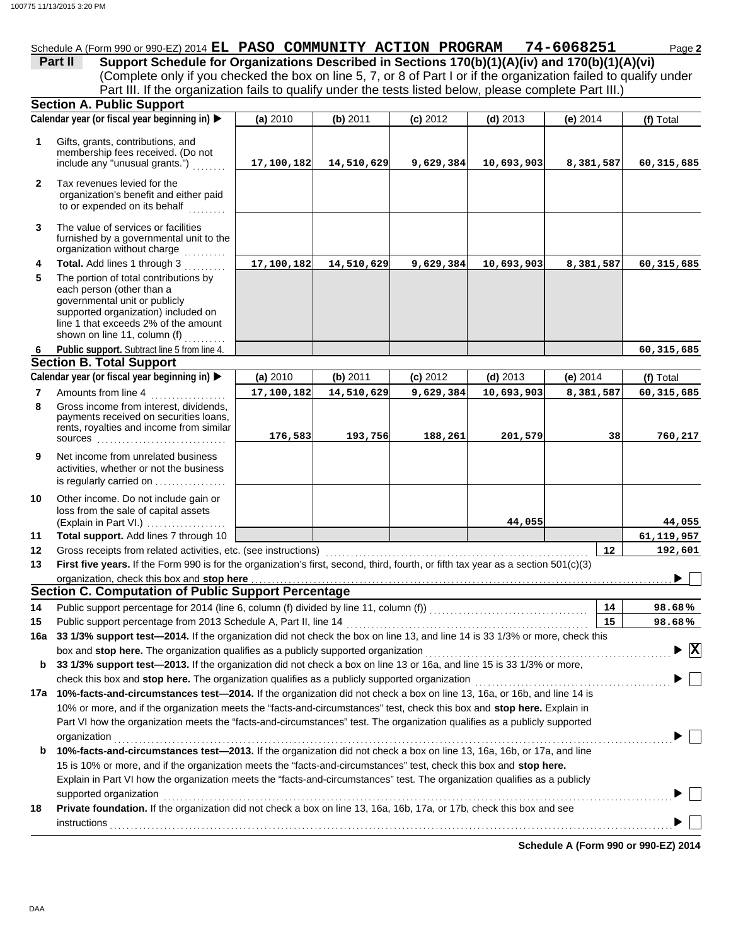(Complete only if you checked the box on line 5, 7, or 8 of Part I or if the organization failed to qualify under **Part II** Support Schedule for Organizations Described in Sections 170(b)(1)(A)(iv) and 170(b)(1)(A)(vi) Part III. If the organization fails to qualify under the tests listed below, please complete Part III.)

|              | <b>Section A. Public Support</b>                                                                                                                                                                                   |            |            |            |            |            |                                               |
|--------------|--------------------------------------------------------------------------------------------------------------------------------------------------------------------------------------------------------------------|------------|------------|------------|------------|------------|-----------------------------------------------|
|              | Calendar year (or fiscal year beginning in)                                                                                                                                                                        | (a) 2010   | (b) 2011   | $(c)$ 2012 | $(d)$ 2013 | (e) $2014$ | (f) Total                                     |
| 1.           | Gifts, grants, contributions, and<br>membership fees received. (Do not<br>include any "unusual grants.")                                                                                                           | 17,100,182 | 14,510,629 | 9,629,384  | 10,693,903 | 8,381,587  | 60,315,685                                    |
| $\mathbf{2}$ | Tax revenues levied for the<br>organization's benefit and either paid<br>to or expended on its behalf                                                                                                              |            |            |            |            |            |                                               |
| 3            | The value of services or facilities<br>furnished by a governmental unit to the<br>organization without charge                                                                                                      |            |            |            |            |            |                                               |
| 4            | Total. Add lines 1 through 3                                                                                                                                                                                       | 17,100,182 | 14,510,629 | 9,629,384  | 10,693,903 | 8,381,587  | 60,315,685                                    |
| 5            | The portion of total contributions by<br>each person (other than a<br>governmental unit or publicly<br>supported organization) included on<br>line 1 that exceeds 2% of the amount<br>shown on line 11, column (f) |            |            |            |            |            |                                               |
| 6            | Public support. Subtract line 5 from line 4.                                                                                                                                                                       |            |            |            |            |            | 60,315,685                                    |
|              | <b>Section B. Total Support</b>                                                                                                                                                                                    |            |            |            |            |            |                                               |
|              | Calendar year (or fiscal year beginning in) ▶                                                                                                                                                                      | (a) 2010   | (b) 2011   | $(c)$ 2012 | $(d)$ 2013 | (e) $2014$ | (f) Total                                     |
| 7            | Amounts from line 4                                                                                                                                                                                                | 17,100,182 | 14,510,629 | 9,629,384  | 10,693,903 | 8,381,587  | 60,315,685                                    |
| 8            | Gross income from interest, dividends,<br>payments received on securities loans,<br>rents, royalties and income from similar<br><b>sources</b>                                                                     | 176,583    | 193,756    | 188,261    | 201,579    | 38         | 760,217                                       |
| 9            | Net income from unrelated business<br>activities, whether or not the business<br>is regularly carried on                                                                                                           |            |            |            |            |            |                                               |
| 10           | Other income. Do not include gain or<br>loss from the sale of capital assets<br>(Explain in Part VI.)                                                                                                              |            |            |            | 44,055     |            | 44,055                                        |
| 11           | Total support. Add lines 7 through 10                                                                                                                                                                              |            |            |            |            |            | 61,119,957                                    |
| 12           | Gross receipts from related activities, etc. (see instructions)                                                                                                                                                    |            |            |            |            | 12         | 192,601                                       |
| 13           | First five years. If the Form 990 is for the organization's first, second, third, fourth, or fifth tax year as a section 501(c)(3)                                                                                 |            |            |            |            |            |                                               |
|              | organization, check this box and stop here                                                                                                                                                                         |            |            |            |            |            |                                               |
|              | <b>Section C. Computation of Public Support Percentage</b>                                                                                                                                                         |            |            |            |            |            |                                               |
| 14           |                                                                                                                                                                                                                    |            |            |            |            | 14         | 98.68%                                        |
| 15           | Public support percentage from 2013 Schedule A, Part II, line 14                                                                                                                                                   |            |            |            |            | 15         | 98.68%                                        |
|              | 16a 33 1/3% support test-2014. If the organization did not check the box on line 13, and line 14 is 33 1/3% or more, check this                                                                                    |            |            |            |            |            |                                               |
|              | box and stop here. The organization qualifies as a publicly supported organization                                                                                                                                 |            |            |            |            |            | $\blacktriangleright$ $\overline{\mathtt{x}}$ |
| b            | 33 1/3% support test-2013. If the organization did not check a box on line 13 or 16a, and line 15 is 33 1/3% or more,                                                                                              |            |            |            |            |            |                                               |
|              | check this box and stop here. The organization qualifies as a publicly supported organization                                                                                                                      |            |            |            |            |            |                                               |
| 17a          | 10%-facts-and-circumstances test-2014. If the organization did not check a box on line 13, 16a, or 16b, and line 14 is                                                                                             |            |            |            |            |            |                                               |
|              | 10% or more, and if the organization meets the "facts-and-circumstances" test, check this box and stop here. Explain in                                                                                            |            |            |            |            |            |                                               |
|              | Part VI how the organization meets the "facts-and-circumstances" test. The organization qualifies as a publicly supported                                                                                          |            |            |            |            |            |                                               |
|              | organization                                                                                                                                                                                                       |            |            |            |            |            |                                               |
| b            | 10%-facts-and-circumstances test-2013. If the organization did not check a box on line 13, 16a, 16b, or 17a, and line                                                                                              |            |            |            |            |            |                                               |
|              | 15 is 10% or more, and if the organization meets the "facts-and-circumstances" test, check this box and stop here.                                                                                                 |            |            |            |            |            |                                               |
|              | Explain in Part VI how the organization meets the "facts-and-circumstances" test. The organization qualifies as a publicly                                                                                         |            |            |            |            |            |                                               |
|              | supported organization                                                                                                                                                                                             |            |            |            |            |            |                                               |
| 18           | Private foundation. If the organization did not check a box on line 13, 16a, 16b, 17a, or 17b, check this box and see                                                                                              |            |            |            |            |            |                                               |
|              |                                                                                                                                                                                                                    |            |            |            |            |            |                                               |
|              |                                                                                                                                                                                                                    |            |            |            |            |            |                                               |

**Schedule A (Form 990 or 990-EZ) 2014**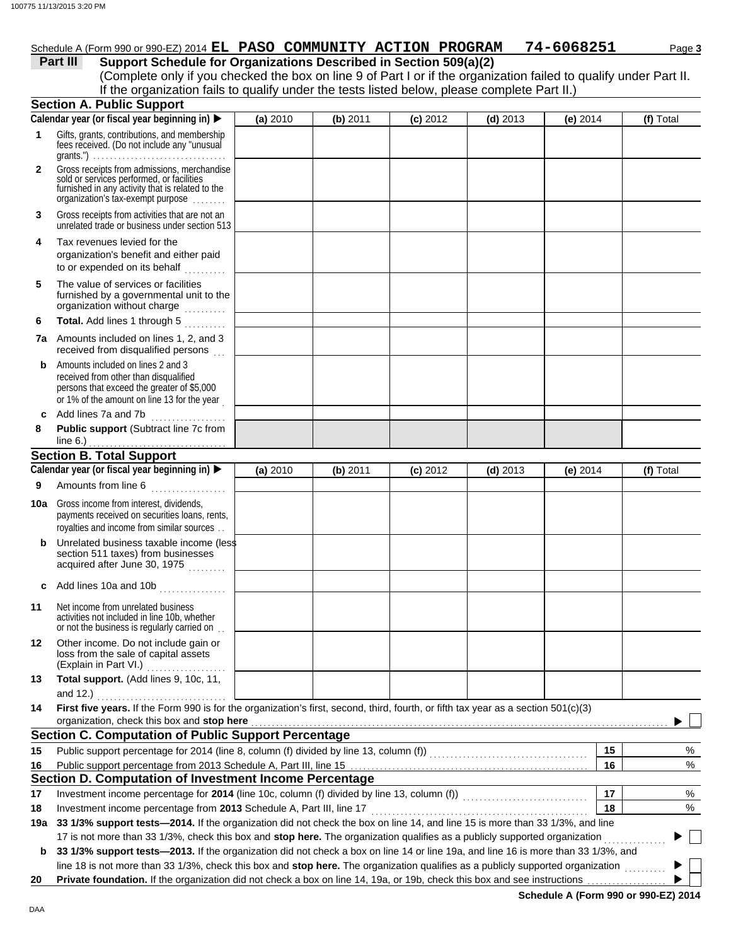### **Part III** Support Schedule for Organizations Described in Section 509(a)(2)

(Complete only if you checked the box on line 9 of Part I or if the organization failed to qualify under Part II. If the organization fails to qualify under the tests listed below, please complete Part II.)

|              | <b>Section A. Public Support</b>                                                                                                                                                  |          |            |            |            |            |           |
|--------------|-----------------------------------------------------------------------------------------------------------------------------------------------------------------------------------|----------|------------|------------|------------|------------|-----------|
|              | Calendar year (or fiscal year beginning in)                                                                                                                                       | (a) 2010 | $(b)$ 2011 | $(c)$ 2012 | $(d)$ 2013 | (e) $2014$ | (f) Total |
| 1            | Gifts, grants, contributions, and membership<br>fees received. (Do not include any "unusual                                                                                       |          |            |            |            |            |           |
| $\mathbf{2}$ | Gross receipts from admissions, merchandise<br>sold or services performed, or facilities<br>furnished in any activity that is related to the<br>organization's fax-exempt purpose |          |            |            |            |            |           |
| 3            | Gross receipts from activities that are not an<br>unrelated trade or business under section 513                                                                                   |          |            |            |            |            |           |
| 4            | Tax revenues levied for the<br>organization's benefit and either paid<br>to or expended on its behalf                                                                             |          |            |            |            |            |           |
| 5            | The value of services or facilities<br>furnished by a governmental unit to the<br>organization without charge                                                                     |          |            |            |            |            |           |
| 6            | Total. Add lines 1 through 5                                                                                                                                                      |          |            |            |            |            |           |
|              | <b>7a</b> Amounts included on lines 1, 2, and 3<br>received from disqualified persons                                                                                             |          |            |            |            |            |           |
| b            | Amounts included on lines 2 and 3<br>received from other than disqualified<br>persons that exceed the greater of \$5,000<br>or 1% of the amount on line 13 for the year           |          |            |            |            |            |           |
| c            | Add lines 7a and 7b<br>.                                                                                                                                                          |          |            |            |            |            |           |
| 8            | Public support (Subtract line 7c from                                                                                                                                             |          |            |            |            |            |           |
|              | line 6.)<br><b>Section B. Total Support</b>                                                                                                                                       |          |            |            |            |            |           |
|              | Calendar year (or fiscal year beginning in) >                                                                                                                                     | (a) 2010 | $(b)$ 2011 | $(c)$ 2012 | $(d)$ 2013 | (e) $2014$ | (f) Total |
| 9            | Amounts from line 6                                                                                                                                                               |          |            |            |            |            |           |
| 10a          | Gross income from interest, dividends,<br>payments received on securities loans, rents,<br>royalties and income from similar sources.                                             |          |            |            |            |            |           |
| b            | Unrelated business taxable income (less<br>section 511 taxes) from businesses<br>acquired after June 30, 1975                                                                     |          |            |            |            |            |           |
| c            | Add lines 10a and 10b                                                                                                                                                             |          |            |            |            |            |           |
| 11           | Net income from unrelated business<br>activities not included in line 10b, whether<br>or not the business is regularly carried on                                                 |          |            |            |            |            |           |
| 12           | Other income. Do not include gain or<br>loss from the sale of capital assets<br>(Explain in Part VI.)                                                                             |          |            |            |            |            |           |
| 13           | Total support. (Add lines 9, 10c, 11,<br>and 12.)                                                                                                                                 |          |            |            |            |            |           |
| 14           | First five years. If the Form 990 is for the organization's first, second, third, fourth, or fifth tax year as a section 501(c)(3)                                                |          |            |            |            |            |           |
|              | organization, check this box and stop here                                                                                                                                        |          |            |            |            |            |           |
|              | <b>Section C. Computation of Public Support Percentage</b>                                                                                                                        |          |            |            |            |            |           |
| 15           |                                                                                                                                                                                   |          |            |            |            | 15         | $\%$      |
| 16           |                                                                                                                                                                                   |          |            |            |            | 16         | %         |
|              | Section D. Computation of Investment Income Percentage                                                                                                                            |          |            |            |            |            |           |
| 17<br>18     | Investment income percentage from 2013 Schedule A, Part III, line 17                                                                                                              |          |            |            |            | 17<br>18   | %<br>%    |
| 19a          | 33 1/3% support tests-2014. If the organization did not check the box on line 14, and line 15 is more than 33 1/3%, and line                                                      |          |            |            |            |            |           |
|              | 17 is not more than 33 1/3%, check this box and stop here. The organization qualifies as a publicly supported organization                                                        |          |            |            |            |            |           |
| b            | 33 1/3% support tests-2013. If the organization did not check a box on line 14 or line 19a, and line 16 is more than 33 1/3%, and                                                 |          |            |            |            |            |           |
|              | line 18 is not more than 33 1/3%, check this box and stop here. The organization qualifies as a publicly supported organization                                                   |          |            |            |            |            |           |
| 20           | Private foundation. If the organization did not check a box on line 14, 19a, or 19b, check this box and see instructions                                                          |          |            |            |            |            |           |

**Schedule A (Form 990 or 990-EZ) 2014**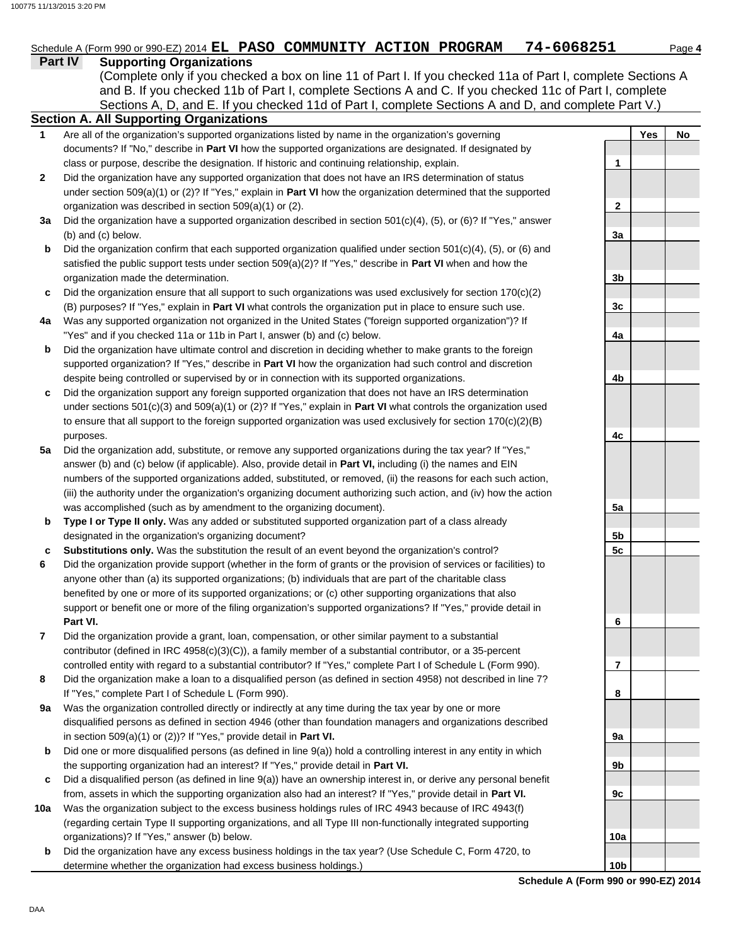#### **Part IV Supporting Organizations** Sections A, D, and E. If you checked 11d of Part I, complete Sections A and D, and complete Part V.) **Section A. All Supporting Organizations** (Complete only if you checked a box on line 11 of Part I. If you checked 11a of Part I, complete Sections A and B. If you checked 11b of Part I, complete Sections A and C. If you checked 11c of Part I, complete Are all of the organization's supported organizations listed by name in the organization's governing documents? If "No," describe in **Part VI** how the supported organizations are designated. If designated by class or purpose, describe the designation. If historic and continuing relationship, explain. Did the organization have any supported organization that does not have an IRS determination of status under section 509(a)(1) or (2)? If "Yes," explain in **Part VI** how the organization determined that the supported organization was described in section 509(a)(1) or (2). **1 2 3a** Did the organization have a supported organization described in section 501(c)(4), (5), or (6)? If "Yes," answer **b c 4a b c** Did the organization support any foreign supported organization that does not have an IRS determination **5a** Did the organization add, substitute, or remove any supported organizations during the tax year? If "Yes," **b c 6 7 8 9a b c 10a b** (b) and (c) below. Did the organization confirm that each supported organization qualified under section  $501(c)(4)$ ,  $(5)$ , or  $(6)$  and satisfied the public support tests under section 509(a)(2)? If "Yes," describe in **Part VI** when and how the organization made the determination. Did the organization ensure that all support to such organizations was used exclusively for section 170(c)(2) (B) purposes? If "Yes," explain in **Part VI** what controls the organization put in place to ensure such use. Was any supported organization not organized in the United States ("foreign supported organization")? If "Yes" and if you checked 11a or 11b in Part I, answer (b) and (c) below. Did the organization have ultimate control and discretion in deciding whether to make grants to the foreign supported organization? If "Yes," describe in **Part VI** how the organization had such control and discretion despite being controlled or supervised by or in connection with its supported organizations. under sections 501(c)(3) and 509(a)(1) or (2)? If "Yes," explain in **Part VI** what controls the organization used to ensure that all support to the foreign supported organization was used exclusively for section 170(c)(2)(B) purposes. answer (b) and (c) below (if applicable). Also, provide detail in **Part VI,** including (i) the names and EIN numbers of the supported organizations added, substituted, or removed, (ii) the reasons for each such action, (iii) the authority under the organization's organizing document authorizing such action, and (iv) how the action was accomplished (such as by amendment to the organizing document). **Type I or Type II only.** Was any added or substituted supported organization part of a class already designated in the organization's organizing document? **Substitutions only.** Was the substitution the result of an event beyond the organization's control? Did the organization provide support (whether in the form of grants or the provision of services or facilities) to anyone other than (a) its supported organizations; (b) individuals that are part of the charitable class benefited by one or more of its supported organizations; or (c) other supporting organizations that also support or benefit one or more of the filing organization's supported organizations? If "Yes," provide detail in **Part VI.** Did the organization provide a grant, loan, compensation, or other similar payment to a substantial contributor (defined in IRC 4958(c)(3)(C)), a family member of a substantial contributor, or a 35-percent controlled entity with regard to a substantial contributor? If "Yes," complete Part I of Schedule L (Form 990). Did the organization make a loan to a disqualified person (as defined in section 4958) not described in line 7? If "Yes," complete Part I of Schedule L (Form 990). Was the organization controlled directly or indirectly at any time during the tax year by one or more disqualified persons as defined in section 4946 (other than foundation managers and organizations described in section 509(a)(1) or (2))? If "Yes," provide detail in **Part VI.** Did one or more disqualified persons (as defined in line 9(a)) hold a controlling interest in any entity in which the supporting organization had an interest? If "Yes," provide detail in **Part VI.** Did a disqualified person (as defined in line 9(a)) have an ownership interest in, or derive any personal benefit from, assets in which the supporting organization also had an interest? If "Yes," provide detail in **Part VI.** Was the organization subject to the excess business holdings rules of IRC 4943 because of IRC 4943(f) (regarding certain Type II supporting organizations, and all Type III non-functionally integrated supporting organizations)? If "Yes," answer (b) below. Did the organization have any excess business holdings in the tax year? (Use Schedule C, Form 4720, to determine whether the organization had excess business holdings.) **Yes No 1 2 3a 3b 3c 4a 4b 4c 5a 5b 5c 6 7 8 9a 9b 9c 10a 10b**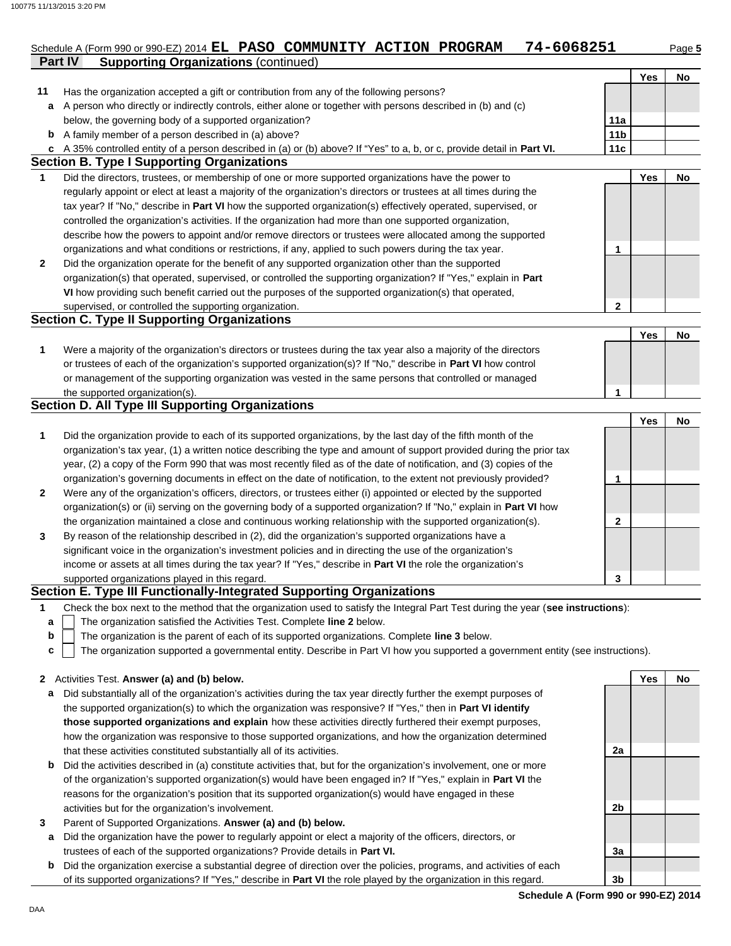|              | Part IV<br><b>Supporting Organizations (continued)</b>                                                                            |                 |     |    |
|--------------|-----------------------------------------------------------------------------------------------------------------------------------|-----------------|-----|----|
|              |                                                                                                                                   |                 | Yes | No |
| 11           | Has the organization accepted a gift or contribution from any of the following persons?                                           |                 |     |    |
| a            | A person who directly or indirectly controls, either alone or together with persons described in (b) and (c)                      |                 |     |    |
|              | below, the governing body of a supported organization?                                                                            | 11a             |     |    |
| b            | A family member of a person described in (a) above?                                                                               | 11 <sub>b</sub> |     |    |
|              | c A 35% controlled entity of a person described in (a) or (b) above? If "Yes" to a, b, or c, provide detail in Part VI.           | 11c             |     |    |
|              | <b>Section B. Type I Supporting Organizations</b>                                                                                 |                 |     |    |
| 1            | Did the directors, trustees, or membership of one or more supported organizations have the power to                               |                 | Yes | No |
|              | regularly appoint or elect at least a majority of the organization's directors or trustees at all times during the                |                 |     |    |
|              | tax year? If "No," describe in Part VI how the supported organization(s) effectively operated, supervised, or                     |                 |     |    |
|              | controlled the organization's activities. If the organization had more than one supported organization,                           |                 |     |    |
|              | describe how the powers to appoint and/or remove directors or trustees were allocated among the supported                         |                 |     |    |
|              |                                                                                                                                   |                 |     |    |
|              | organizations and what conditions or restrictions, if any, applied to such powers during the tax year.                            | 1               |     |    |
| $\mathbf{2}$ | Did the organization operate for the benefit of any supported organization other than the supported                               |                 |     |    |
|              | organization(s) that operated, supervised, or controlled the supporting organization? If "Yes," explain in Part                   |                 |     |    |
|              | VI how providing such benefit carried out the purposes of the supported organization(s) that operated,                            |                 |     |    |
|              | supervised, or controlled the supporting organization.                                                                            | $\mathbf{2}$    |     |    |
|              | <b>Section C. Type II Supporting Organizations</b>                                                                                |                 |     |    |
|              |                                                                                                                                   |                 | Yes | No |
| 1            | Were a majority of the organization's directors or trustees during the tax year also a majority of the directors                  |                 |     |    |
|              | or trustees of each of the organization's supported organization(s)? If "No," describe in Part VI how control                     |                 |     |    |
|              | or management of the supporting organization was vested in the same persons that controlled or managed                            |                 |     |    |
|              | the supported organization(s).                                                                                                    | 1               |     |    |
|              | <b>Section D. All Type III Supporting Organizations</b>                                                                           |                 |     |    |
|              |                                                                                                                                   |                 | Yes | No |
| 1            | Did the organization provide to each of its supported organizations, by the last day of the fifth month of the                    |                 |     |    |
|              | organization's tax year, (1) a written notice describing the type and amount of support provided during the prior tax             |                 |     |    |
|              | year, (2) a copy of the Form 990 that was most recently filed as of the date of notification, and (3) copies of the               |                 |     |    |
|              | organization's governing documents in effect on the date of notification, to the extent not previously provided?                  | 1               |     |    |
| $\mathbf{2}$ | Were any of the organization's officers, directors, or trustees either (i) appointed or elected by the supported                  |                 |     |    |
|              | organization(s) or (ii) serving on the governing body of a supported organization? If "No," explain in Part VI how                |                 |     |    |
|              | the organization maintained a close and continuous working relationship with the supported organization(s).                       | 2               |     |    |
| 3            | By reason of the relationship described in (2), did the organization's supported organizations have a                             |                 |     |    |
|              | significant voice in the organization's investment policies and in directing the use of the organization's                        |                 |     |    |
|              | income or assets at all times during the tax year? If "Yes," describe in Part VI the role the organization's                      |                 |     |    |
|              | supported organizations played in this regard.                                                                                    | 3               |     |    |
|              | Section E. Type III Functionally-Integrated Supporting Organizations                                                              |                 |     |    |
| 1            | Check the box next to the method that the organization used to satisfy the Integral Part Test during the year (see instructions): |                 |     |    |
| а            | The organization satisfied the Activities Test. Complete line 2 below.                                                            |                 |     |    |
| b            | The organization is the parent of each of its supported organizations. Complete line 3 below.                                     |                 |     |    |
| c            | The organization supported a governmental entity. Describe in Part VI how you supported a government entity (see instructions).   |                 |     |    |
|              |                                                                                                                                   |                 |     |    |
|              | 2 Activities Test. Answer (a) and (b) below.                                                                                      |                 | Yes | No |
| а            | Did substantially all of the organization's activities during the tax year directly further the exempt purposes of                |                 |     |    |
|              | the supported organization(s) to which the organization was responsive? If "Yes," then in Part VI identify                        |                 |     |    |
|              | those supported organizations and explain how these activities directly furthered their exempt purposes,                          |                 |     |    |
|              | how the organization was responsive to those supported organizations, and how the organization determined                         |                 |     |    |
|              | that these activities constituted substantially all of its activities.                                                            | 2a              |     |    |
| b            | Did the activities described in (a) constitute activities that, but for the organization's involvement, one or more               |                 |     |    |
|              | of the organization's supported organization(s) would have been engaged in? If "Yes," explain in Part VI the                      |                 |     |    |
|              | reasons for the organization's position that its supported organization(s) would have engaged in these                            |                 |     |    |
|              | activities but for the organization's involvement.                                                                                | 2b              |     |    |
| 3            | Parent of Supported Organizations. Answer (a) and (b) below.                                                                      |                 |     |    |
| a            | Did the organization have the power to regularly appoint or elect a majority of the officers, directors, or                       |                 |     |    |
|              | trustees of each of the supported organizations? Provide details in Part VI.                                                      | 3a              |     |    |
| b            | Did the organization exercise a substantial degree of direction over the policies, programs, and activities of each               |                 |     |    |
|              | of its supported organizations? If "Yes," describe in Part VI the role played by the organization in this regard.                 | 3 <sub>b</sub>  |     |    |

**Schedule A (Form 990 or 990-EZ) 2014**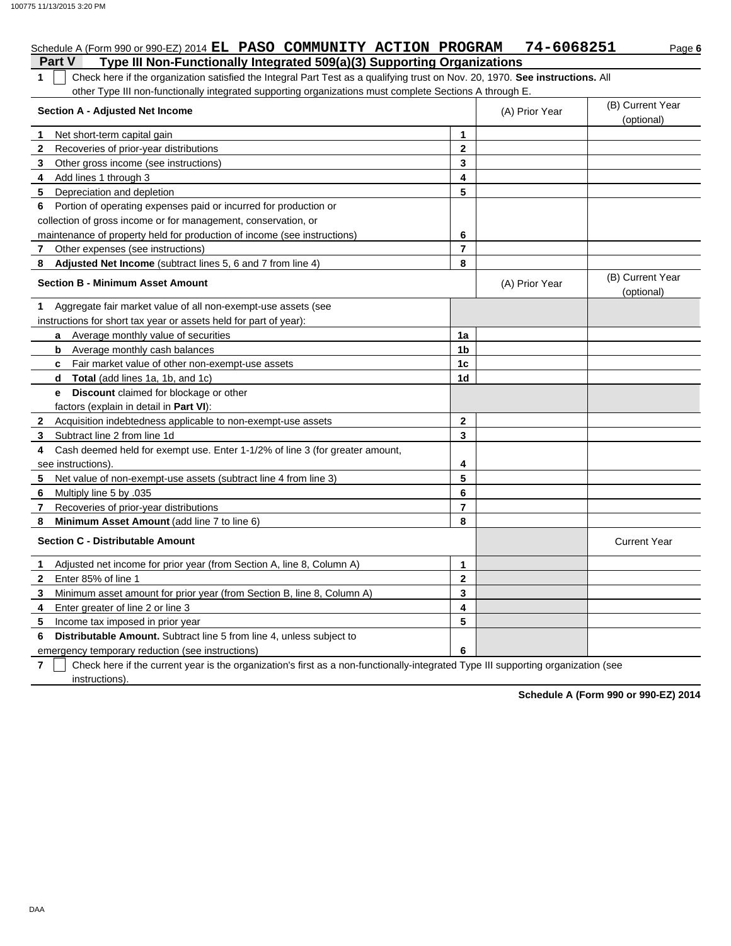**Part V Type III Non-Functionally Integrated 509(a)(3) Supporting Organizations 1** Check here if the organization satisfied the Integral Part Test as a qualifying trust on Nov. 20, 1970. **See instructions.** All other Type III non-functionally integrated supporting organizations must complete Sections A through E.

|              | <b>Section A - Adjusted Net Income</b>                                       |                | (A) Prior Year | (B) Current Year<br>(optional) |
|--------------|------------------------------------------------------------------------------|----------------|----------------|--------------------------------|
| 1            | Net short-term capital gain                                                  | 1              |                |                                |
| $\mathbf{2}$ | Recoveries of prior-year distributions                                       | $\overline{2}$ |                |                                |
| 3            | Other gross income (see instructions)                                        | 3              |                |                                |
| 4            | Add lines 1 through 3                                                        | 4              |                |                                |
|              | 5 Depreciation and depletion                                                 | 5              |                |                                |
|              | 6 Portion of operating expenses paid or incurred for production or           |                |                |                                |
|              | collection of gross income or for management, conservation, or               |                |                |                                |
|              | maintenance of property held for production of income (see instructions)     | 6              |                |                                |
| $\mathbf{7}$ | Other expenses (see instructions)                                            | $\overline{7}$ |                |                                |
| 8            | Adjusted Net Income (subtract lines 5, 6 and 7 from line 4)                  | 8              |                |                                |
|              | <b>Section B - Minimum Asset Amount</b>                                      |                | (A) Prior Year | (B) Current Year<br>(optional) |
| 1            | Aggregate fair market value of all non-exempt-use assets (see                |                |                |                                |
|              | instructions for short tax year or assets held for part of year):            |                |                |                                |
|              | a Average monthly value of securities                                        | 1a             |                |                                |
|              | Average monthly cash balances<br>b                                           | 1b             |                |                                |
|              | Fair market value of other non-exempt-use assets<br>c                        | 1 <sub>c</sub> |                |                                |
|              | <b>Total</b> (add lines 1a, 1b, and 1c)<br>d                                 | 1 <sub>d</sub> |                |                                |
|              | Discount claimed for blockage or other<br>e                                  |                |                |                                |
|              | factors (explain in detail in <b>Part VI)</b> :                              |                |                |                                |
| $\mathbf{2}$ | Acquisition indebtedness applicable to non-exempt-use assets                 | $\mathbf{2}$   |                |                                |
| 3            | Subtract line 2 from line 1d                                                 | 3              |                |                                |
| 4            | Cash deemed held for exempt use. Enter 1-1/2% of line 3 (for greater amount, |                |                |                                |
|              | see instructions).                                                           | 4              |                |                                |
| 5.           | Net value of non-exempt-use assets (subtract line 4 from line 3)             | 5              |                |                                |
| 6            | 035. Multiply line 5 by                                                      | 6              |                |                                |
| 7            | Recoveries of prior-year distributions                                       | $\overline{7}$ |                |                                |
| 8            | Minimum Asset Amount (add line 7 to line 6)                                  | 8              |                |                                |
|              | <b>Section C - Distributable Amount</b>                                      |                |                | <b>Current Year</b>            |
| 1.           | Adjusted net income for prior year (from Section A, line 8, Column A)        | 1              |                |                                |
| $\mathbf{2}$ | Enter 85% of line 1                                                          | 2              |                |                                |
| 3            | Minimum asset amount for prior year (from Section B, line 8, Column A)       | 3              |                |                                |
| 4            | Enter greater of line 2 or line 3                                            | 4              |                |                                |
| 5.           | Income tax imposed in prior year                                             | 5              |                |                                |
| 6            | Distributable Amount. Subtract line 5 from line 4, unless subject to         |                |                |                                |
|              | emergency temporary reduction (see instructions)                             | 6              |                |                                |

**7** instructions). Check here if the current year is the organization's first as a non-functionally-integrated Type III supporting organization (see

**Schedule A (Form 990 or 990-EZ) 2014**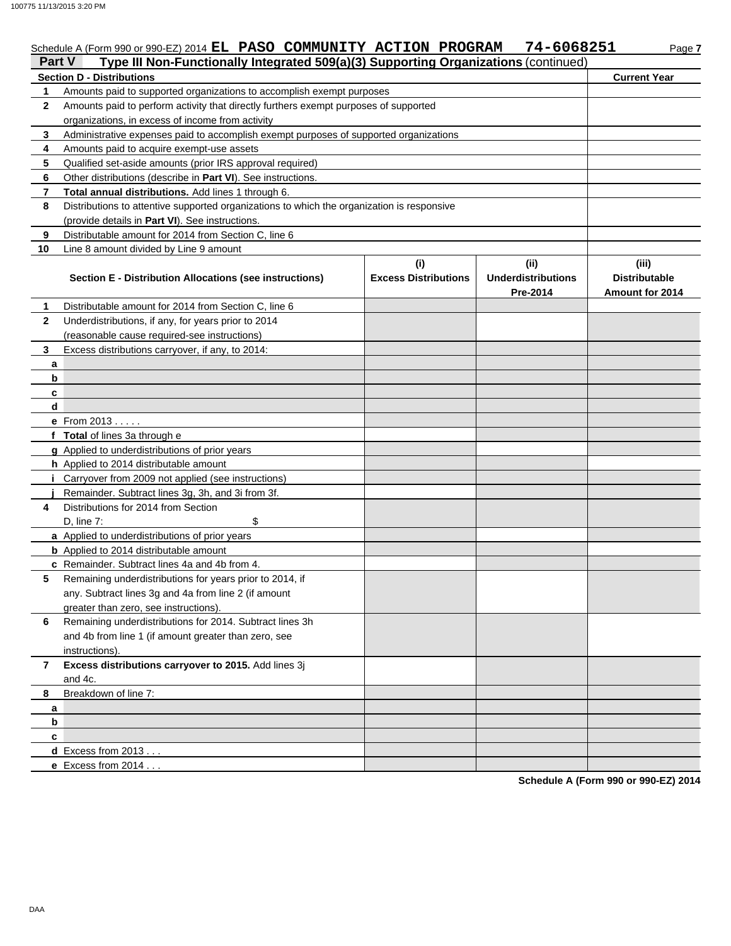#### Schedule A (Form 990 or 990-EZ) 2014 **EL PASO COMMUNITY ACTION PROGRAM 74-6068251** Page 7 **Part V Type III Non-Functionally Integrated 509(a)(3) Supporting Organizations** (continued) **Section D - Distributions Current Year 1 2 3 4 5 6** Other distributions (describe in **Part VI**). See instructions. **7 8 9 10** Line 8 amount divided by Line 9 amount Amounts paid to supported organizations to accomplish exempt purposes Amounts paid to perform activity that directly furthers exempt purposes of supported organizations, in excess of income from activity Administrative expenses paid to accomplish exempt purposes of supported organizations Amounts paid to acquire exempt-use assets Qualified set-aside amounts (prior IRS approval required) **Total annual distributions.** Add lines 1 through 6. Distributions to attentive supported organizations to which the organization is responsive (provide details in **Part VI**). See instructions. Distributable amount for 2014 from Section C, line 6 **Section E - Distribution Allocations (see instructions) Excess Distributions (i) (ii) Underdistributions Pre-2014 (iii) Distributable Amount for 2014 5 4** Distributions for 2014 from Section **3** Excess distributions carryover, if any, to 2014: **2 1 a b c d e** From 2013 . . . . . **f Total** of lines 3a through e **g** Applied to underdistributions of prior years **h** Applied to 2014 distributable amount **i** Carryover from 2009 not applied (see instructions) **j** Remainder. Subtract lines 3g, 3h, and 3i from 3f. **a** Applied to underdistributions of prior years **b** Applied to 2014 distributable amount **c** Remainder. Subtract lines 4a and 4b from 4. Distributable amount for 2014 from Section C, line 6 Underdistributions, if any, for years prior to 2014 (reasonable cause required-see instructions) D, line  $7:$  \$ Remaining underdistributions for years prior to 2014, if any. Subtract lines 3g and 4a from line 2 (if amount greater than zero, see instructions).

**Schedule A (Form 990 or 990-EZ) 2014**

**8**

**a b c**

> **d** Excess from 2013 . . . **e** Excess from 2014 . . .

Breakdown of line 7:

instructions).

and 4c.

**7**

**6** Remaining underdistributions for 2014. Subtract lines 3h

and 4b from line 1 (if amount greater than zero, see

**Excess distributions carryover to 2015.** Add lines 3j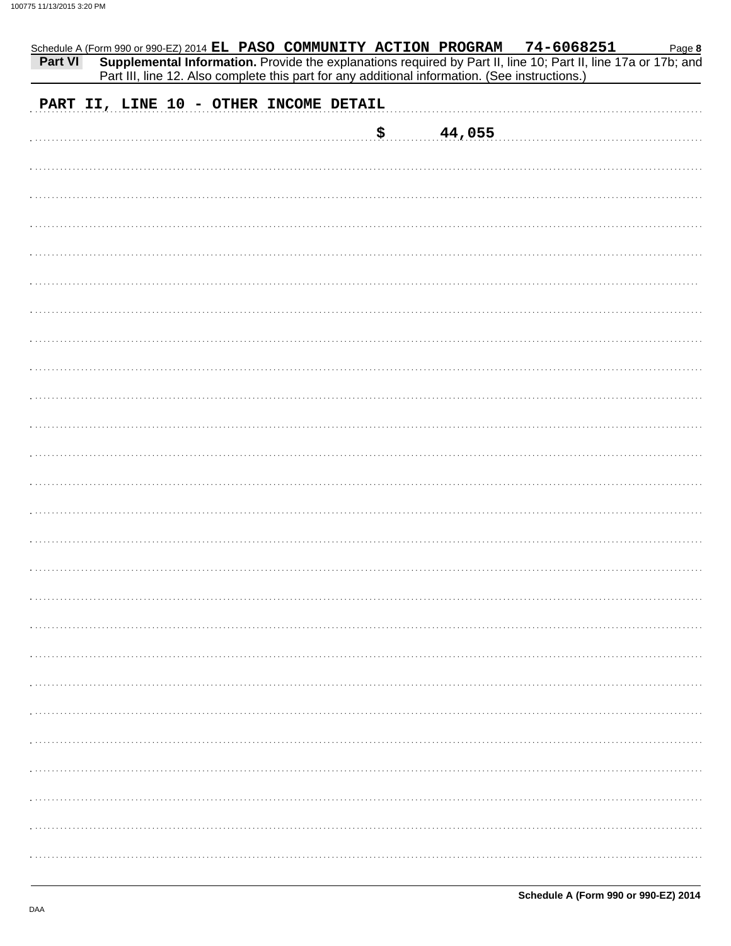|         |                                        |  |  | Schedule A (Form 990 or 990-EZ) 2014 EL PASO COMMUNITY ACTION PROGRAM | 74-6068251                                                                                     | Page 8                                                                                                         |
|---------|----------------------------------------|--|--|-----------------------------------------------------------------------|------------------------------------------------------------------------------------------------|----------------------------------------------------------------------------------------------------------------|
| Part VI |                                        |  |  |                                                                       | Part III, line 12. Also complete this part for any additional information. (See instructions.) | Supplemental Information. Provide the explanations required by Part II, line 10; Part II, line 17a or 17b; and |
|         | PART II, LINE 10 - OTHER INCOME DETAIL |  |  |                                                                       |                                                                                                |                                                                                                                |
|         |                                        |  |  | \$<br>44,055                                                          |                                                                                                |                                                                                                                |
|         |                                        |  |  |                                                                       |                                                                                                |                                                                                                                |
|         |                                        |  |  |                                                                       |                                                                                                |                                                                                                                |
|         |                                        |  |  |                                                                       |                                                                                                |                                                                                                                |
|         |                                        |  |  |                                                                       |                                                                                                |                                                                                                                |
|         |                                        |  |  |                                                                       |                                                                                                |                                                                                                                |
|         |                                        |  |  |                                                                       |                                                                                                |                                                                                                                |
|         |                                        |  |  |                                                                       |                                                                                                |                                                                                                                |
|         |                                        |  |  |                                                                       |                                                                                                |                                                                                                                |
|         |                                        |  |  |                                                                       |                                                                                                |                                                                                                                |
|         |                                        |  |  |                                                                       |                                                                                                |                                                                                                                |
|         |                                        |  |  |                                                                       |                                                                                                |                                                                                                                |
|         |                                        |  |  |                                                                       |                                                                                                |                                                                                                                |
|         |                                        |  |  |                                                                       |                                                                                                |                                                                                                                |
|         |                                        |  |  |                                                                       |                                                                                                |                                                                                                                |
|         |                                        |  |  |                                                                       |                                                                                                |                                                                                                                |
|         |                                        |  |  |                                                                       |                                                                                                |                                                                                                                |
|         |                                        |  |  |                                                                       |                                                                                                |                                                                                                                |
|         |                                        |  |  |                                                                       |                                                                                                |                                                                                                                |
|         |                                        |  |  |                                                                       |                                                                                                |                                                                                                                |
|         |                                        |  |  |                                                                       |                                                                                                |                                                                                                                |
|         |                                        |  |  |                                                                       |                                                                                                |                                                                                                                |
|         |                                        |  |  |                                                                       |                                                                                                |                                                                                                                |
|         |                                        |  |  |                                                                       |                                                                                                |                                                                                                                |
|         |                                        |  |  |                                                                       |                                                                                                |                                                                                                                |
|         |                                        |  |  |                                                                       |                                                                                                |                                                                                                                |
|         |                                        |  |  |                                                                       |                                                                                                |                                                                                                                |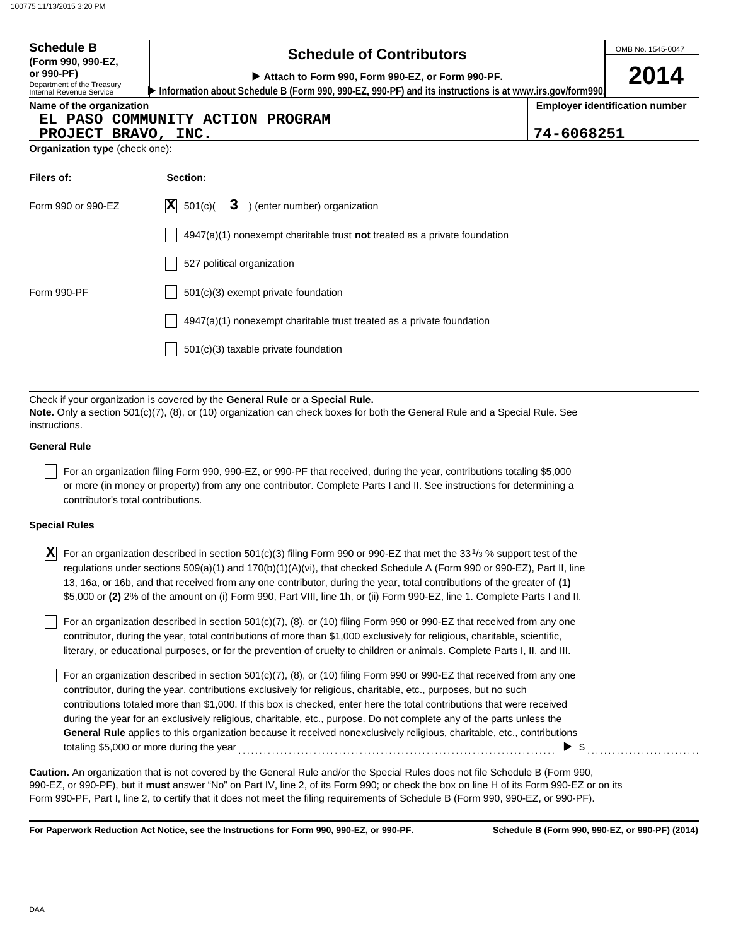| <b>Schedule B</b>                                      | <b>Schedule of Contributors</b>                                                                                                                                                                                                               |            | OMB No. 1545-0047                     |
|--------------------------------------------------------|-----------------------------------------------------------------------------------------------------------------------------------------------------------------------------------------------------------------------------------------------|------------|---------------------------------------|
| (Form 990, 990-EZ,<br>or 990-PF)                       | Attach to Form 990, Form 990-EZ, or Form 990-PF.                                                                                                                                                                                              |            | 2014                                  |
| Department of the Treasury<br>Internal Revenue Service | Information about Schedule B (Form 990, 990-EZ, 990-PF) and its instructions is at www.irs.gov/form990.                                                                                                                                       |            |                                       |
| Name of the organization                               | EL PASO COMMUNITY ACTION PROGRAM                                                                                                                                                                                                              |            | <b>Employer identification number</b> |
| PROJECT BRAVO, INC.                                    |                                                                                                                                                                                                                                               | 74-6068251 |                                       |
| Organization type (check one):                         |                                                                                                                                                                                                                                               |            |                                       |
| Filers of:                                             | Section:                                                                                                                                                                                                                                      |            |                                       |
| Form 990 or 990-EZ                                     | 3 ) (enter number) organization<br>$ \mathbf{X} $ 501(c)(                                                                                                                                                                                     |            |                                       |
|                                                        | $4947(a)(1)$ nonexempt charitable trust not treated as a private foundation                                                                                                                                                                   |            |                                       |
|                                                        | 527 political organization                                                                                                                                                                                                                    |            |                                       |
| Form 990-PF                                            | $501(c)(3)$ exempt private foundation                                                                                                                                                                                                         |            |                                       |
|                                                        | 4947(a)(1) nonexempt charitable trust treated as a private foundation                                                                                                                                                                         |            |                                       |
|                                                        | 501(c)(3) taxable private foundation                                                                                                                                                                                                          |            |                                       |
|                                                        |                                                                                                                                                                                                                                               |            |                                       |
| instructions.                                          | Check if your organization is covered by the General Rule or a Special Rule.<br>Note. Only a section $501(c)(7)$ , (8), or (10) organization can check boxes for both the General Rule and a Special Rule. See                                |            |                                       |
| <b>General Rule</b>                                    |                                                                                                                                                                                                                                               |            |                                       |
| contributor's total contributions.                     | For an organization filing Form 990, 990-EZ, or 990-PF that received, during the year, contributions totaling \$5,000<br>or more (in money or property) from any one contributor. Complete Parts I and II. See instructions for determining a |            |                                       |
| <b>Special Rules</b>                                   |                                                                                                                                                                                                                                               |            |                                       |
|                                                        | $\mathbf{Y}$ Equipment ration described in section $E(1/\sqrt{2})$ filing Equipment Can and Equipment the 331/2 % support toot of the                                                                                                         |            |                                       |

 $\overline{\textbf{X}}$  For an organization described in section 501(c)(3) filing Form 990 or 990-EZ that met the 33<sup>1</sup>/3 % support test of the regulations under sections 509(a)(1) and 170(b)(1)(A)(vi), that checked Schedule A (Form 990 or 990-EZ), Part II, line 13, 16a, or 16b, and that received from any one contributor, during the year, total contributions of the greater of **(1)** \$5,000 or **(2)** 2% of the amount on (i) Form 990, Part VIII, line 1h, or (ii) Form 990-EZ, line 1. Complete Parts I and II.

literary, or educational purposes, or for the prevention of cruelty to children or animals. Complete Parts I, II, and III. For an organization described in section 501(c)(7), (8), or (10) filing Form 990 or 990-EZ that received from any one contributor, during the year, total contributions of more than \$1,000 exclusively for religious, charitable, scientific,

For an organization described in section 501(c)(7), (8), or (10) filing Form 990 or 990-EZ that received from any one contributor, during the year, contributions exclusively for religious, charitable, etc., purposes, but no such contributions totaled more than \$1,000. If this box is checked, enter here the total contributions that were received during the year for an exclusively religious, charitable, etc., purpose. Do not complete any of the parts unless the **General Rule** applies to this organization because it received nonexclusively religious, charitable, etc., contributions totaling \$5,000 or more during the year . . . . . . . . . . . . . . . . . . . . . . . . . . . . . . . . . . . . . . . . . . . . . . . . . . . . . . . . . . . . . . . . . . . . . . . . . . . . \$ . . . . . . . . . . . . . . . . . . . . . . . . . . .

990-EZ, or 990-PF), but it **must** answer "No" on Part IV, line 2, of its Form 990; or check the box on line H of its Form 990-EZ or on its Form 990-PF, Part I, line 2, to certify that it does not meet the filing requirements of Schedule B (Form 990, 990-EZ, or 990-PF). **Caution.** An organization that is not covered by the General Rule and/or the Special Rules does not file Schedule B (Form 990,

**For Paperwork Reduction Act Notice, see the Instructions for Form 990, 990-EZ, or 990-PF.**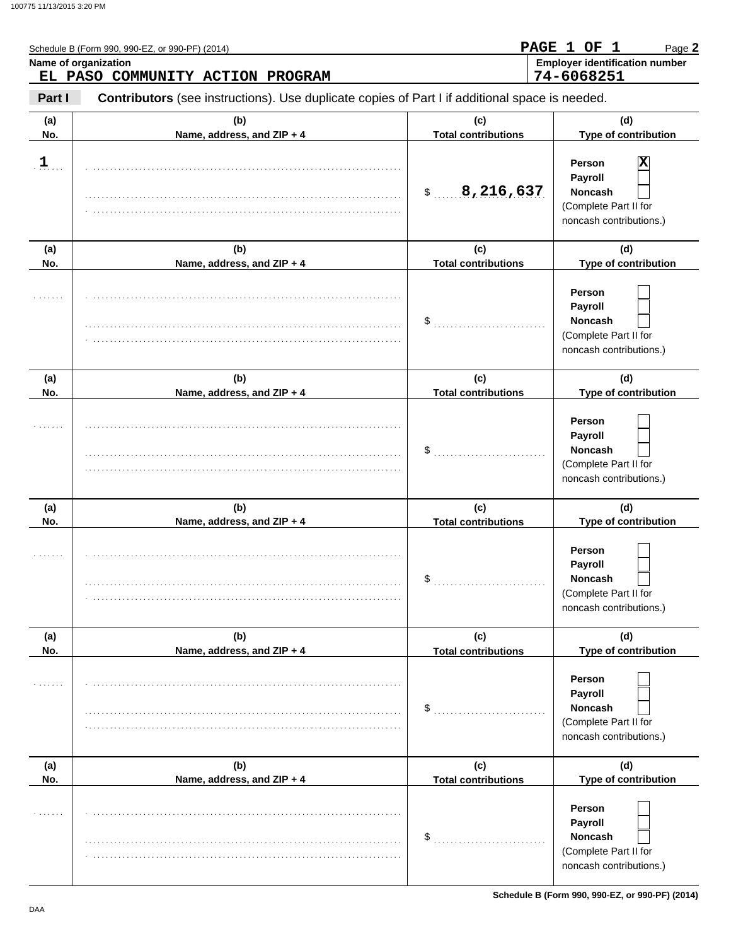| Name of organization | Schedule B (Form 990, 990-EZ, or 990-PF) (2014)<br>EL PASO COMMUNITY ACTION PROGRAM            |                                   | PAGE 1 OF 1<br>Page 2<br><b>Employer identification number</b><br>74-6068251                 |
|----------------------|------------------------------------------------------------------------------------------------|-----------------------------------|----------------------------------------------------------------------------------------------|
| Part I               | Contributors (see instructions). Use duplicate copies of Part I if additional space is needed. |                                   |                                                                                              |
| (a)<br>No.           | (b)<br>Name, address, and ZIP + 4                                                              | (c)<br><b>Total contributions</b> | (d)<br>Type of contribution                                                                  |
| 1                    |                                                                                                | 8,216,637<br>$\frac{1}{2}$        | X<br>Person<br>Payroll<br><b>Noncash</b><br>(Complete Part II for<br>noncash contributions.) |
| (a)<br>No.           | (b)<br>Name, address, and ZIP + 4                                                              | (c)<br><b>Total contributions</b> | (d)<br>Type of contribution                                                                  |
|                      |                                                                                                | \$                                | Person<br>Payroll<br><b>Noncash</b><br>(Complete Part II for<br>noncash contributions.)      |
| (a)<br>No.           | (b)<br>Name, address, and ZIP + 4                                                              | (c)<br><b>Total contributions</b> | (d)<br>Type of contribution                                                                  |
|                      |                                                                                                | \$                                | Person<br>Payroll<br><b>Noncash</b><br>(Complete Part II for<br>noncash contributions.)      |
| (a)<br>No.           | (b)<br>Name, address, and ZIP + 4                                                              | (c)<br><b>Total contributions</b> | (d)<br>Type of contribution                                                                  |
|                      |                                                                                                | \$                                | Person<br>Payroll<br>Noncash<br>(Complete Part II for<br>noncash contributions.)             |
| (a)<br>No.           | (b)<br>Name, address, and ZIP + 4                                                              | (c)<br><b>Total contributions</b> | (d)<br>Type of contribution                                                                  |
|                      |                                                                                                | \$                                | Person<br>Payroll<br>Noncash<br>(Complete Part II for<br>noncash contributions.)             |
| (a)<br>No.           | (b)<br>Name, address, and ZIP + 4                                                              | (c)<br><b>Total contributions</b> | (d)<br>Type of contribution                                                                  |
|                      |                                                                                                | \$                                | Person<br>Payroll<br>Noncash<br>(Complete Part II for<br>noncash contributions.)             |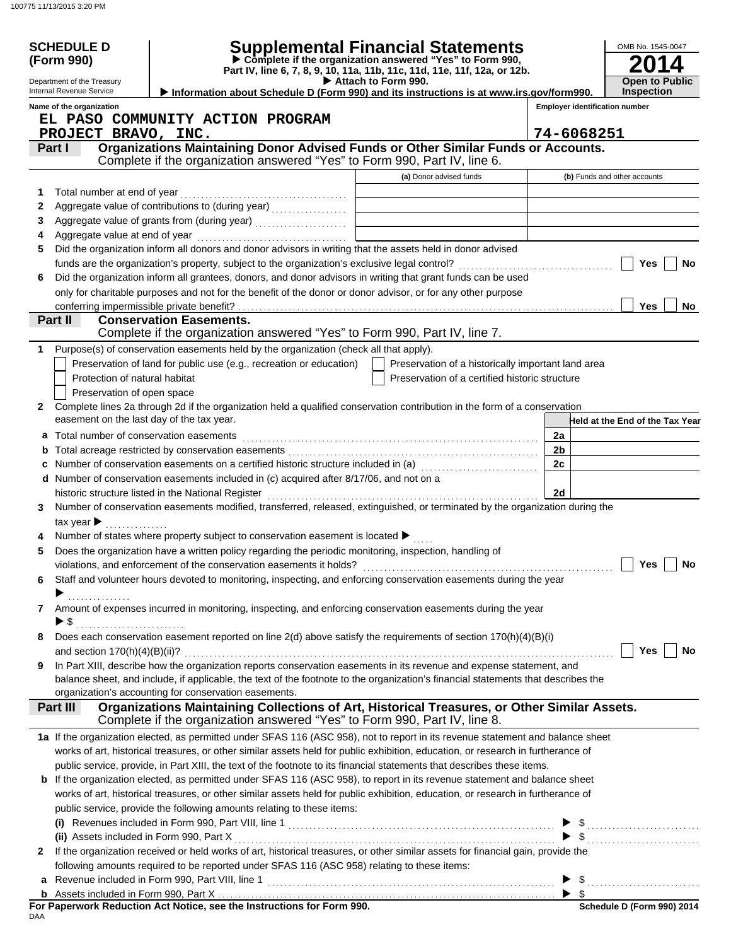|              | <b>SCHEDULE D</b><br>(Form 990)                        | Supplemental Financial Statements<br>Complete if the organization answered "Yes" to Form 990,<br>Part IV, line 6, 7, 8, 9, 10, 11a, 11b, 11c, 11d, 11e, 11f, 12a, or 12b. |                                                    | OMB No. 1545-0047                                                                                                                                                                                                                                                                                         |
|--------------|--------------------------------------------------------|---------------------------------------------------------------------------------------------------------------------------------------------------------------------------|----------------------------------------------------|-----------------------------------------------------------------------------------------------------------------------------------------------------------------------------------------------------------------------------------------------------------------------------------------------------------|
|              | Department of the Treasury<br>Internal Revenue Service | Attach to Form 990.<br>Information about Schedule D (Form 990) and its instructions is at www.irs.gov/form990.                                                            |                                                    | <b>Open to Public</b><br><b>Inspection</b>                                                                                                                                                                                                                                                                |
|              | Name of the organization                               |                                                                                                                                                                           |                                                    | <b>Employer identification number</b>                                                                                                                                                                                                                                                                     |
|              |                                                        | EL PASO COMMUNITY ACTION PROGRAM                                                                                                                                          |                                                    |                                                                                                                                                                                                                                                                                                           |
|              | PROJECT BRAVO, INC.                                    |                                                                                                                                                                           | 74-6068251                                         |                                                                                                                                                                                                                                                                                                           |
|              | Part I                                                 | Organizations Maintaining Donor Advised Funds or Other Similar Funds or Accounts.<br>Complete if the organization answered "Yes" to Form 990, Part IV, line 6.            |                                                    |                                                                                                                                                                                                                                                                                                           |
|              |                                                        | (a) Donor advised funds                                                                                                                                                   |                                                    | (b) Funds and other accounts                                                                                                                                                                                                                                                                              |
| 1            | Total number at end of year                            |                                                                                                                                                                           |                                                    |                                                                                                                                                                                                                                                                                                           |
| 2            |                                                        |                                                                                                                                                                           |                                                    |                                                                                                                                                                                                                                                                                                           |
| 3            |                                                        |                                                                                                                                                                           |                                                    |                                                                                                                                                                                                                                                                                                           |
| 4            |                                                        |                                                                                                                                                                           |                                                    |                                                                                                                                                                                                                                                                                                           |
| 5            |                                                        | Did the organization inform all donors and donor advisors in writing that the assets held in donor advised                                                                |                                                    |                                                                                                                                                                                                                                                                                                           |
|              |                                                        |                                                                                                                                                                           |                                                    | Yes<br>No                                                                                                                                                                                                                                                                                                 |
| 6            |                                                        | Did the organization inform all grantees, donors, and donor advisors in writing that grant funds can be used                                                              |                                                    |                                                                                                                                                                                                                                                                                                           |
|              |                                                        | only for charitable purposes and not for the benefit of the donor or donor advisor, or for any other purpose                                                              |                                                    |                                                                                                                                                                                                                                                                                                           |
|              |                                                        |                                                                                                                                                                           |                                                    | Yes<br>No.                                                                                                                                                                                                                                                                                                |
|              | Part II                                                | <b>Conservation Easements.</b><br>Complete if the organization answered "Yes" to Form 990, Part IV, line 7.                                                               |                                                    |                                                                                                                                                                                                                                                                                                           |
| 1            |                                                        | Purpose(s) of conservation easements held by the organization (check all that apply).                                                                                     |                                                    |                                                                                                                                                                                                                                                                                                           |
|              |                                                        | Preservation of land for public use (e.g., recreation or education)                                                                                                       | Preservation of a historically important land area |                                                                                                                                                                                                                                                                                                           |
|              | Protection of natural habitat                          |                                                                                                                                                                           | Preservation of a certified historic structure     |                                                                                                                                                                                                                                                                                                           |
|              | Preservation of open space                             |                                                                                                                                                                           |                                                    |                                                                                                                                                                                                                                                                                                           |
| $\mathbf{2}$ |                                                        | Complete lines 2a through 2d if the organization held a qualified conservation contribution in the form of a conservation                                                 |                                                    |                                                                                                                                                                                                                                                                                                           |
|              | easement on the last day of the tax year.              |                                                                                                                                                                           |                                                    | Held at the End of the Tax Year                                                                                                                                                                                                                                                                           |
|              |                                                        |                                                                                                                                                                           | 2a                                                 |                                                                                                                                                                                                                                                                                                           |
| b            |                                                        |                                                                                                                                                                           | 2 <sub>b</sub>                                     |                                                                                                                                                                                                                                                                                                           |
| c            |                                                        |                                                                                                                                                                           | 2c                                                 |                                                                                                                                                                                                                                                                                                           |
|              |                                                        | d Number of conservation easements included in (c) acquired after 8/17/06, and not on a                                                                                   |                                                    |                                                                                                                                                                                                                                                                                                           |
|              |                                                        | historic structure listed in the National Register                                                                                                                        | 2d                                                 |                                                                                                                                                                                                                                                                                                           |
| 3            |                                                        | Number of conservation easements modified, transferred, released, extinguished, or terminated by the organization during the                                              |                                                    |                                                                                                                                                                                                                                                                                                           |
|              | tax year $\blacktriangleright$<br>.                    |                                                                                                                                                                           |                                                    |                                                                                                                                                                                                                                                                                                           |
|              |                                                        | Number of states where property subject to conservation easement is located ▶                                                                                             |                                                    |                                                                                                                                                                                                                                                                                                           |
| 5            |                                                        | Does the organization have a written policy regarding the periodic monitoring, inspection, handling of                                                                    |                                                    |                                                                                                                                                                                                                                                                                                           |
|              |                                                        | violations, and enforcement of the conservation easements it holds?                                                                                                       |                                                    | Yes<br>No                                                                                                                                                                                                                                                                                                 |
| 6.           |                                                        | Staff and volunteer hours devoted to monitoring, inspecting, and enforcing conservation easements during the year                                                         |                                                    |                                                                                                                                                                                                                                                                                                           |
|              |                                                        |                                                                                                                                                                           |                                                    |                                                                                                                                                                                                                                                                                                           |
| 7            |                                                        | Amount of expenses incurred in monitoring, inspecting, and enforcing conservation easements during the year                                                               |                                                    |                                                                                                                                                                                                                                                                                                           |
|              |                                                        | Does each conservation easement reported on line $2(d)$ above satisfy the requirements of section $170(h)(4)(B)(i)$                                                       |                                                    |                                                                                                                                                                                                                                                                                                           |
| 8            |                                                        |                                                                                                                                                                           |                                                    | Yes<br>No                                                                                                                                                                                                                                                                                                 |
| 9            |                                                        | In Part XIII, describe how the organization reports conservation easements in its revenue and expense statement, and                                                      |                                                    |                                                                                                                                                                                                                                                                                                           |
|              |                                                        | balance sheet, and include, if applicable, the text of the footnote to the organization's financial statements that describes the                                         |                                                    |                                                                                                                                                                                                                                                                                                           |
|              |                                                        | organization's accounting for conservation easements.                                                                                                                     |                                                    |                                                                                                                                                                                                                                                                                                           |
|              | Part III                                               | Organizations Maintaining Collections of Art, Historical Treasures, or Other Similar Assets.<br>Complete if the organization answered "Yes" to Form 990, Part IV, line 8. |                                                    |                                                                                                                                                                                                                                                                                                           |
|              |                                                        | 1a If the organization elected, as permitted under SFAS 116 (ASC 958), not to report in its revenue statement and balance sheet                                           |                                                    |                                                                                                                                                                                                                                                                                                           |
|              |                                                        | works of art, historical treasures, or other similar assets held for public exhibition, education, or research in furtherance of                                          |                                                    |                                                                                                                                                                                                                                                                                                           |
|              |                                                        | public service, provide, in Part XIII, the text of the footnote to its financial statements that describes these items.                                                   |                                                    |                                                                                                                                                                                                                                                                                                           |
|              |                                                        | <b>b</b> If the organization elected, as permitted under SFAS 116 (ASC 958), to report in its revenue statement and balance sheet                                         |                                                    |                                                                                                                                                                                                                                                                                                           |
|              |                                                        | works of art, historical treasures, or other similar assets held for public exhibition, education, or research in furtherance of                                          |                                                    |                                                                                                                                                                                                                                                                                                           |
|              |                                                        | public service, provide the following amounts relating to these items:                                                                                                    |                                                    |                                                                                                                                                                                                                                                                                                           |
|              |                                                        |                                                                                                                                                                           |                                                    | $\frac{1}{2}$ , $\frac{1}{2}$ , $\frac{1}{2}$ , $\frac{1}{2}$ , $\frac{1}{2}$ , $\frac{1}{2}$ , $\frac{1}{2}$ , $\frac{1}{2}$ , $\frac{1}{2}$ , $\frac{1}{2}$ , $\frac{1}{2}$ , $\frac{1}{2}$ , $\frac{1}{2}$ , $\frac{1}{2}$ , $\frac{1}{2}$ , $\frac{1}{2}$ , $\frac{1}{2}$ , $\frac{1}{2}$ , $\frac{1$ |
|              | (ii) Assets included in Form 990, Part X               |                                                                                                                                                                           |                                                    | $\int$                                                                                                                                                                                                                                                                                                    |
| $\mathbf{2}$ |                                                        | If the organization received or held works of art, historical treasures, or other similar assets for financial gain, provide the                                          |                                                    |                                                                                                                                                                                                                                                                                                           |
|              |                                                        | following amounts required to be reported under SFAS 116 (ASC 958) relating to these items:                                                                               |                                                    |                                                                                                                                                                                                                                                                                                           |
|              |                                                        |                                                                                                                                                                           |                                                    |                                                                                                                                                                                                                                                                                                           |
|              |                                                        |                                                                                                                                                                           |                                                    |                                                                                                                                                                                                                                                                                                           |
|              |                                                        | For Paperwork Reduction Act Notice, see the Instructions for Form 990.                                                                                                    |                                                    | Schedule D (Form 990) 2014                                                                                                                                                                                                                                                                                |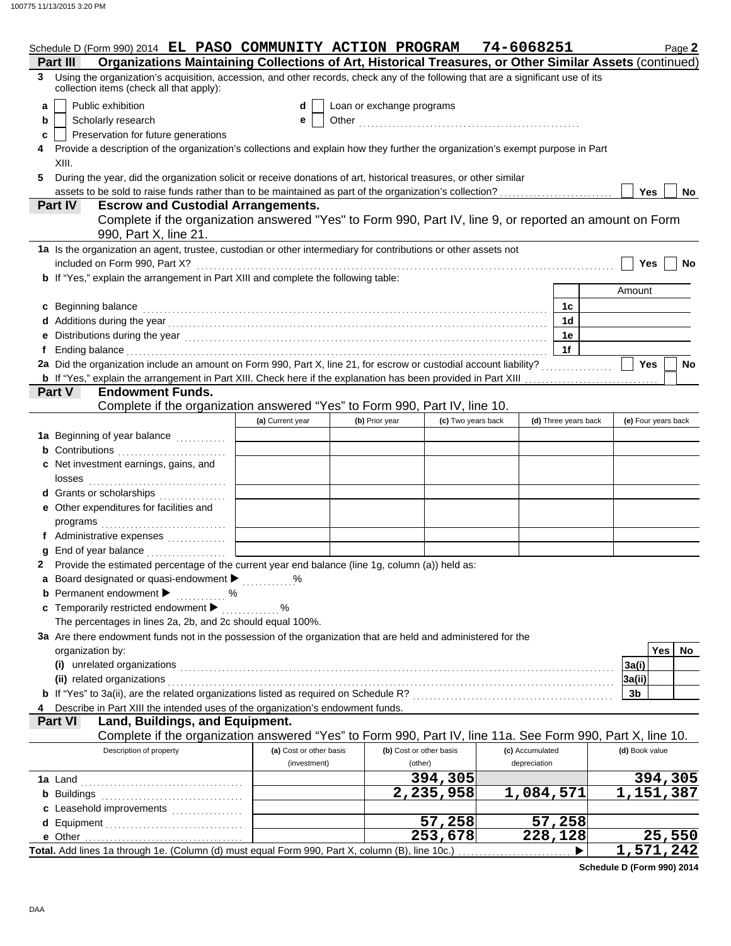|   | Schedule D (Form 990) 2014 EL PASO COMMUNITY ACTION PROGRAM 74-6068251                                                                                                                                                                                                                                                                               |                         |                           |                         |                 |                      |                           | Page 2    |
|---|------------------------------------------------------------------------------------------------------------------------------------------------------------------------------------------------------------------------------------------------------------------------------------------------------------------------------------------------------|-------------------------|---------------------------|-------------------------|-----------------|----------------------|---------------------------|-----------|
|   | Organizations Maintaining Collections of Art, Historical Treasures, or Other Similar Assets (continued)<br>Part III                                                                                                                                                                                                                                  |                         |                           |                         |                 |                      |                           |           |
|   | 3 Using the organization's acquisition, accession, and other records, check any of the following that are a significant use of its<br>collection items (check all that apply):                                                                                                                                                                       |                         |                           |                         |                 |                      |                           |           |
| a | Public exhibition                                                                                                                                                                                                                                                                                                                                    | d                       | Loan or exchange programs |                         |                 |                      |                           |           |
| b | Scholarly research                                                                                                                                                                                                                                                                                                                                   | е                       |                           |                         |                 |                      |                           |           |
| c | Preservation for future generations                                                                                                                                                                                                                                                                                                                  |                         |                           |                         |                 |                      |                           |           |
|   | Provide a description of the organization's collections and explain how they further the organization's exempt purpose in Part                                                                                                                                                                                                                       |                         |                           |                         |                 |                      |                           |           |
|   | XIII.                                                                                                                                                                                                                                                                                                                                                |                         |                           |                         |                 |                      |                           |           |
| 5 | During the year, did the organization solicit or receive donations of art, historical treasures, or other similar                                                                                                                                                                                                                                    |                         |                           |                         |                 |                      |                           |           |
|   | assets to be sold to raise funds rather than to be maintained as part of the organization's collection?                                                                                                                                                                                                                                              |                         |                           |                         |                 |                      | Yes                       | <b>No</b> |
|   | <b>Escrow and Custodial Arrangements.</b><br><b>Part IV</b>                                                                                                                                                                                                                                                                                          |                         |                           |                         |                 |                      |                           |           |
|   | Complete if the organization answered "Yes" to Form 990, Part IV, line 9, or reported an amount on Form<br>990, Part X, line 21.                                                                                                                                                                                                                     |                         |                           |                         |                 |                      |                           |           |
|   | 1a Is the organization an agent, trustee, custodian or other intermediary for contributions or other assets not                                                                                                                                                                                                                                      |                         |                           |                         |                 |                      |                           |           |
|   | included on Form 990, Part X?                                                                                                                                                                                                                                                                                                                        |                         |                           |                         |                 |                      | Yes                       | <b>No</b> |
|   | <b>b</b> If "Yes," explain the arrangement in Part XIII and complete the following table:                                                                                                                                                                                                                                                            |                         |                           |                         |                 |                      |                           |           |
|   |                                                                                                                                                                                                                                                                                                                                                      |                         |                           |                         |                 |                      | Amount                    |           |
|   |                                                                                                                                                                                                                                                                                                                                                      |                         |                           |                         |                 | 1с                   |                           |           |
|   | c Beginning balance                                                                                                                                                                                                                                                                                                                                  |                         |                           |                         |                 | 1 <sub>d</sub>       |                           |           |
|   |                                                                                                                                                                                                                                                                                                                                                      |                         |                           |                         |                 | 1e                   |                           |           |
|   |                                                                                                                                                                                                                                                                                                                                                      |                         |                           |                         |                 | 1f                   |                           |           |
|   | Ending balance with a continuum and continuum and continuum and continuum and continuum and continuum and continuum and continuum and continuum and continuum and continuum and continuum and continuum and continuum and cont<br>2a Did the organization include an amount on Form 990, Part X, line 21, for escrow or custodial account liability? |                         |                           |                         |                 |                      | Yes                       | <b>No</b> |
|   | <b>b</b> If "Yes," explain the arrangement in Part XIII. Check here if the explanation has been provided in Part XIII                                                                                                                                                                                                                                |                         |                           |                         |                 | .                    |                           |           |
|   | Part V<br><b>Endowment Funds.</b>                                                                                                                                                                                                                                                                                                                    |                         |                           |                         |                 |                      |                           |           |
|   | Complete if the organization answered "Yes" to Form 990, Part IV, line 10.                                                                                                                                                                                                                                                                           |                         |                           |                         |                 |                      |                           |           |
|   |                                                                                                                                                                                                                                                                                                                                                      | (a) Current year        | (b) Prior year            | (c) Two years back      |                 | (d) Three years back | (e) Four years back       |           |
|   |                                                                                                                                                                                                                                                                                                                                                      |                         |                           |                         |                 |                      |                           |           |
|   | 1a Beginning of year balance                                                                                                                                                                                                                                                                                                                         |                         |                           |                         |                 |                      |                           |           |
|   | c Net investment earnings, gains, and                                                                                                                                                                                                                                                                                                                |                         |                           |                         |                 |                      |                           |           |
|   | losses                                                                                                                                                                                                                                                                                                                                               |                         |                           |                         |                 |                      |                           |           |
|   | d Grants or scholarships                                                                                                                                                                                                                                                                                                                             |                         |                           |                         |                 |                      |                           |           |
|   | .<br>e Other expenditures for facilities and                                                                                                                                                                                                                                                                                                         |                         |                           |                         |                 |                      |                           |           |
|   |                                                                                                                                                                                                                                                                                                                                                      |                         |                           |                         |                 |                      |                           |           |
|   |                                                                                                                                                                                                                                                                                                                                                      |                         |                           |                         |                 |                      |                           |           |
|   | f Administrative expenses<br>End of year balance                                                                                                                                                                                                                                                                                                     |                         |                           |                         |                 |                      |                           |           |
|   | 2 Provide the estimated percentage of the current year end balance (line 1g, column (a)) held as:                                                                                                                                                                                                                                                    |                         |                           |                         |                 |                      |                           |           |
|   | a Board designated or quasi-endowment > %                                                                                                                                                                                                                                                                                                            |                         |                           |                         |                 |                      |                           |           |
|   | <b>b</b> Permanent endowment                                                                                                                                                                                                                                                                                                                         |                         |                           |                         |                 |                      |                           |           |
|   | . %<br>c Temporarily restricted endowment                                                                                                                                                                                                                                                                                                            |                         |                           |                         |                 |                      |                           |           |
|   | The percentages in lines 2a, 2b, and 2c should equal 100%.                                                                                                                                                                                                                                                                                           |                         |                           |                         |                 |                      |                           |           |
|   | 3a Are there endowment funds not in the possession of the organization that are held and administered for the                                                                                                                                                                                                                                        |                         |                           |                         |                 |                      |                           |           |
|   | organization by:                                                                                                                                                                                                                                                                                                                                     |                         |                           |                         |                 |                      | Yes                       | No.       |
|   | (i) unrelated organizations                                                                                                                                                                                                                                                                                                                          |                         |                           |                         |                 |                      | 3a(i)                     |           |
|   | (ii) related organizations                                                                                                                                                                                                                                                                                                                           |                         |                           |                         |                 |                      | 3a(ii)                    |           |
|   | <b>b</b> If "Yes" to 3a(ii), are the related organizations listed as required on Schedule R? [[[[[[[[[[[[[[[[[[[[[[[[]]]]]]]]]                                                                                                                                                                                                                       |                         |                           |                         |                 |                      | 3b                        |           |
|   | Describe in Part XIII the intended uses of the organization's endowment funds.                                                                                                                                                                                                                                                                       |                         |                           |                         |                 |                      |                           |           |
|   | Part VI<br>Land, Buildings, and Equipment.                                                                                                                                                                                                                                                                                                           |                         |                           |                         |                 |                      |                           |           |
|   | Complete if the organization answered "Yes" to Form 990, Part IV, line 11a. See Form 990, Part X, line 10.                                                                                                                                                                                                                                           |                         |                           |                         |                 |                      |                           |           |
|   | Description of property                                                                                                                                                                                                                                                                                                                              | (a) Cost or other basis |                           | (b) Cost or other basis | (c) Accumulated |                      | (d) Book value            |           |
|   |                                                                                                                                                                                                                                                                                                                                                      | (investment)            |                           | (other)                 | depreciation    |                      |                           |           |
|   | 1a Land                                                                                                                                                                                                                                                                                                                                              |                         |                           | 394,305                 |                 |                      | 394,305                   |           |
|   | <b>b</b> Buildings                                                                                                                                                                                                                                                                                                                                   |                         |                           | $\overline{2,235,958}$  | 1,084,571       |                      | $\overline{1}$ , 151, 387 |           |
|   | c Leasehold improvements                                                                                                                                                                                                                                                                                                                             |                         |                           |                         |                 |                      |                           |           |
|   |                                                                                                                                                                                                                                                                                                                                                      |                         |                           | 57,258                  |                 | 57,258               |                           |           |
|   | d Equipment                                                                                                                                                                                                                                                                                                                                          |                         |                           | 253,678                 |                 | $\sqrt{228,128}$     |                           | 25,550    |
|   | Total. Add lines 1a through 1e. (Column (d) must equal Form 990, Part X, column (B), line 10c.)                                                                                                                                                                                                                                                      |                         |                           |                         |                 |                      | 1,571,242                 |           |
|   |                                                                                                                                                                                                                                                                                                                                                      |                         |                           |                         |                 |                      |                           |           |

**Schedule D (Form 990) 2014**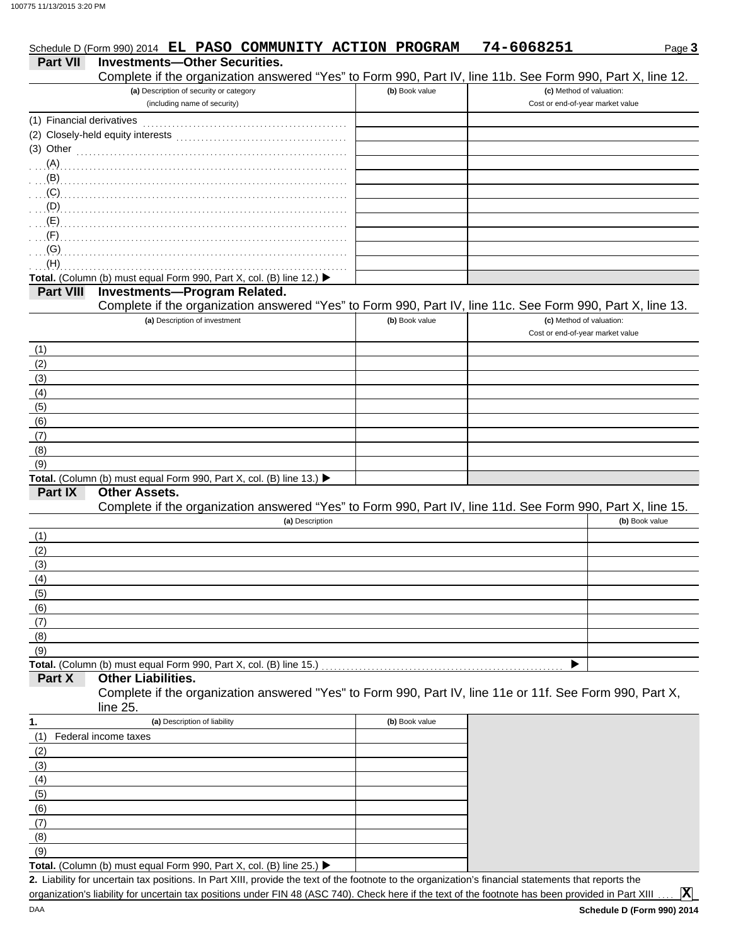| Part VII                  | Schedule D (Form 990) 2014 EL PASO COMMUNITY ACTION PROGRAM                                                |                | 74-6068251                                                   | Page 3         |
|---------------------------|------------------------------------------------------------------------------------------------------------|----------------|--------------------------------------------------------------|----------------|
|                           | <b>Investments-Other Securities.</b>                                                                       |                |                                                              |                |
|                           | Complete if the organization answered "Yes" to Form 990, Part IV, line 11b. See Form 990, Part X, line 12. |                |                                                              |                |
|                           | (a) Description of security or category<br>(including name of security)                                    | (b) Book value | (c) Method of valuation:<br>Cost or end-of-year market value |                |
| (1) Financial derivatives |                                                                                                            |                |                                                              |                |
|                           | (2) Closely-held equity interests                                                                          |                |                                                              |                |
| (3) Other                 |                                                                                                            |                |                                                              |                |
| $(A)$ .                   |                                                                                                            |                |                                                              |                |
| (B)                       |                                                                                                            |                |                                                              |                |
| (C)                       |                                                                                                            |                |                                                              |                |
| $\mathbf{Q}(\mathsf{D})$  |                                                                                                            |                |                                                              |                |
| (E)<br>(F)                |                                                                                                            |                |                                                              |                |
| (G)                       |                                                                                                            |                |                                                              |                |
| (H)                       |                                                                                                            |                |                                                              |                |
|                           | Total. (Column (b) must equal Form 990, Part X, col. (B) line 12.) ▶                                       |                |                                                              |                |
| Part VIII                 | <b>Investments-Program Related.</b>                                                                        |                |                                                              |                |
|                           | Complete if the organization answered "Yes" to Form 990, Part IV, line 11c. See Form 990, Part X, line 13. |                |                                                              |                |
|                           | (a) Description of investment                                                                              | (b) Book value | (c) Method of valuation:                                     |                |
|                           |                                                                                                            |                | Cost or end-of-year market value                             |                |
| (1)                       |                                                                                                            |                |                                                              |                |
| (2)                       |                                                                                                            |                |                                                              |                |
| (3)<br>(4)                |                                                                                                            |                |                                                              |                |
| (5)                       |                                                                                                            |                |                                                              |                |
| (6)                       |                                                                                                            |                |                                                              |                |
| (7)                       |                                                                                                            |                |                                                              |                |
| (8)                       |                                                                                                            |                |                                                              |                |
| (9)                       |                                                                                                            |                |                                                              |                |
|                           | Total. (Column (b) must equal Form 990, Part X, col. (B) line 13.) ▶                                       |                |                                                              |                |
| Part IX                   | <b>Other Assets.</b>                                                                                       |                |                                                              |                |
|                           | Complete if the organization answered "Yes" to Form 990, Part IV, line 11d. See Form 990, Part X, line 15. |                |                                                              |                |
|                           | (a) Description                                                                                            |                |                                                              | (b) Book value |
| (1)<br>(2)                |                                                                                                            |                |                                                              |                |
| (3)                       |                                                                                                            |                |                                                              |                |
| (4)                       |                                                                                                            |                |                                                              |                |
| (5)                       |                                                                                                            |                |                                                              |                |
| (6)                       |                                                                                                            |                |                                                              |                |
| (7)                       |                                                                                                            |                |                                                              |                |
| (8)                       |                                                                                                            |                |                                                              |                |
| (9)                       |                                                                                                            |                |                                                              |                |
| Part X                    | Total. (Column (b) must equal Form 990, Part X, col. (B) line 15.)<br><b>Other Liabilities.</b>            |                | ▶                                                            |                |
|                           | Complete if the organization answered "Yes" to Form 990, Part IV, line 11e or 11f. See Form 990, Part X,   |                |                                                              |                |
|                           | line 25.                                                                                                   |                |                                                              |                |
| 1.                        | (a) Description of liability                                                                               | (b) Book value |                                                              |                |
| (1)                       | Federal income taxes                                                                                       |                |                                                              |                |
| (2)                       |                                                                                                            |                |                                                              |                |
|                           |                                                                                                            |                |                                                              |                |
| (3)                       |                                                                                                            |                |                                                              |                |
| (4)                       |                                                                                                            |                |                                                              |                |
| (5)                       |                                                                                                            |                |                                                              |                |
| (6)                       |                                                                                                            |                |                                                              |                |
| (7)                       |                                                                                                            |                |                                                              |                |
| (8)<br>(9)                |                                                                                                            |                |                                                              |                |

Total. (Column (b) must equal Form 990, Part X, col. (B) line 25.) ▶

Liability for uncertain tax positions. In Part XIII, provide the text of the footnote to the organization's financial statements that reports the **2.** organization's liability for uncertain tax positions under FIN 48 (ASC 740). Check here if the text of the footnote has been provided in Part XIII

**X**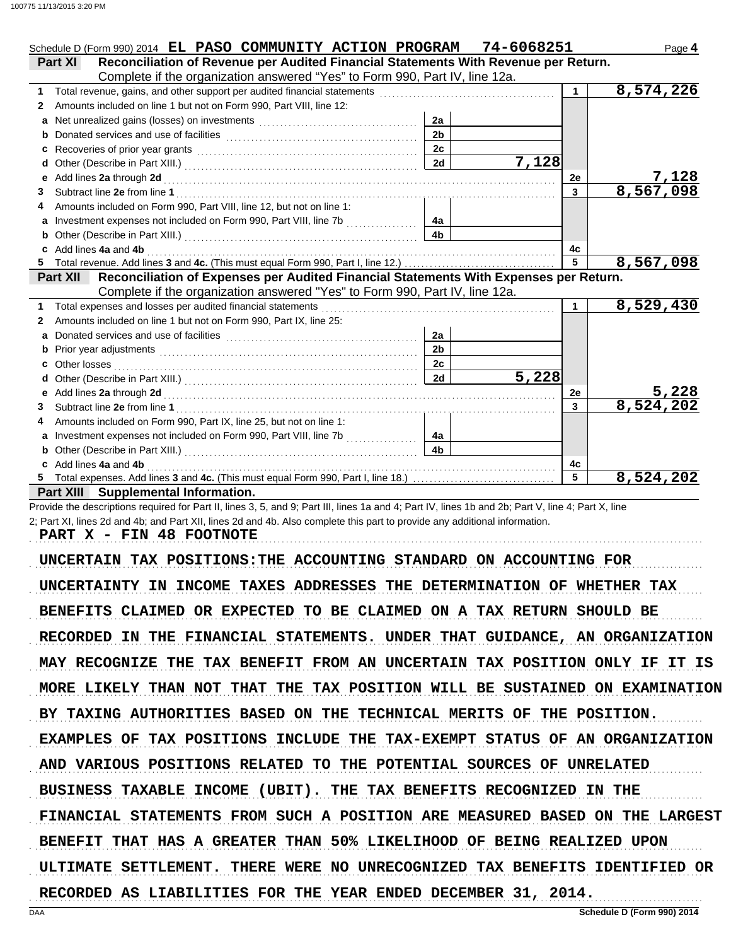| Complete if the organization answered "Yes" to Form 990, Part IV, line 12a.                                                                                                                                                                                                                                                                                                                                                                                                                                                                                                 | Reconciliation of Revenue per Audited Financial Statements With Revenue per Return. |       |    |           |
|-----------------------------------------------------------------------------------------------------------------------------------------------------------------------------------------------------------------------------------------------------------------------------------------------------------------------------------------------------------------------------------------------------------------------------------------------------------------------------------------------------------------------------------------------------------------------------|-------------------------------------------------------------------------------------|-------|----|-----------|
| 1.                                                                                                                                                                                                                                                                                                                                                                                                                                                                                                                                                                          |                                                                                     |       | 1  | 8,574,226 |
| Amounts included on line 1 but not on Form 990, Part VIII, line 12:<br>$\mathbf{2}$                                                                                                                                                                                                                                                                                                                                                                                                                                                                                         |                                                                                     |       |    |           |
|                                                                                                                                                                                                                                                                                                                                                                                                                                                                                                                                                                             | 2a                                                                                  |       |    |           |
|                                                                                                                                                                                                                                                                                                                                                                                                                                                                                                                                                                             | 2 <sub>b</sub>                                                                      |       |    |           |
| Recoveries of prior year grants [11] March 1999 and Theorem and Theorem 1999 and Theorem 1999 and Theorem 1999<br>c                                                                                                                                                                                                                                                                                                                                                                                                                                                         | 2c                                                                                  |       |    |           |
| d                                                                                                                                                                                                                                                                                                                                                                                                                                                                                                                                                                           | 2d                                                                                  | 7,128 |    |           |
|                                                                                                                                                                                                                                                                                                                                                                                                                                                                                                                                                                             |                                                                                     |       | 2e | 7,128     |
| 3                                                                                                                                                                                                                                                                                                                                                                                                                                                                                                                                                                           |                                                                                     |       | 3  | 8,567,098 |
| Amounts included on Form 990, Part VIII, line 12, but not on line 1:<br>4                                                                                                                                                                                                                                                                                                                                                                                                                                                                                                   |                                                                                     |       |    |           |
| a Investment expenses not included on Form 990, Part VIII, line 7b                                                                                                                                                                                                                                                                                                                                                                                                                                                                                                          | 4а                                                                                  |       |    |           |
| <b>b</b> Other (Describe in Part XIII.) <b>CONSIDENT DESCRIPTION DESCRIPTION DESCRIPTION DESCRIPTION DESCRIPTION DESCRIPTION DESCRIPTION DESCRIPTION DESCRIPTION DESCRIPTION DESCRIPTION DESCRIPTION DESCRI</b>                                                                                                                                                                                                                                                                                                                                                             | 4 <sub>b</sub>                                                                      |       |    |           |
| c Add lines 4a and 4b                                                                                                                                                                                                                                                                                                                                                                                                                                                                                                                                                       |                                                                                     |       | 4c |           |
| 5                                                                                                                                                                                                                                                                                                                                                                                                                                                                                                                                                                           |                                                                                     |       | 5  | 8,567,098 |
| Reconciliation of Expenses per Audited Financial Statements With Expenses per Return.<br><b>Part XII</b>                                                                                                                                                                                                                                                                                                                                                                                                                                                                    |                                                                                     |       |    |           |
| Complete if the organization answered "Yes" to Form 990, Part IV, line 12a.                                                                                                                                                                                                                                                                                                                                                                                                                                                                                                 |                                                                                     |       |    |           |
| Total expenses and losses per audited financial statements<br>1.                                                                                                                                                                                                                                                                                                                                                                                                                                                                                                            |                                                                                     |       | 1. | 8,529,430 |
| Amounts included on line 1 but not on Form 990, Part IX, line 25:<br>2                                                                                                                                                                                                                                                                                                                                                                                                                                                                                                      |                                                                                     |       |    |           |
|                                                                                                                                                                                                                                                                                                                                                                                                                                                                                                                                                                             | 2a                                                                                  |       |    |           |
|                                                                                                                                                                                                                                                                                                                                                                                                                                                                                                                                                                             | 2 <sub>b</sub>                                                                      |       |    |           |
| c                                                                                                                                                                                                                                                                                                                                                                                                                                                                                                                                                                           | 2c                                                                                  |       |    |           |
| d                                                                                                                                                                                                                                                                                                                                                                                                                                                                                                                                                                           | 2d                                                                                  | 5,228 |    |           |
|                                                                                                                                                                                                                                                                                                                                                                                                                                                                                                                                                                             |                                                                                     |       | 2e | 5,228     |
| 3                                                                                                                                                                                                                                                                                                                                                                                                                                                                                                                                                                           |                                                                                     |       | 3  | 8,524,202 |
| Amounts included on Form 990, Part IX, line 25, but not on line 1:<br>4                                                                                                                                                                                                                                                                                                                                                                                                                                                                                                     |                                                                                     |       |    |           |
| a Investment expenses not included on Form 990, Part VIII, line 7b                                                                                                                                                                                                                                                                                                                                                                                                                                                                                                          | 4а                                                                                  |       |    |           |
|                                                                                                                                                                                                                                                                                                                                                                                                                                                                                                                                                                             | 4 <sub>b</sub>                                                                      |       |    |           |
|                                                                                                                                                                                                                                                                                                                                                                                                                                                                                                                                                                             |                                                                                     |       | 4c |           |
| c Add lines 4a and 4b                                                                                                                                                                                                                                                                                                                                                                                                                                                                                                                                                       |                                                                                     |       |    |           |
| 5                                                                                                                                                                                                                                                                                                                                                                                                                                                                                                                                                                           |                                                                                     |       | 5  |           |
|                                                                                                                                                                                                                                                                                                                                                                                                                                                                                                                                                                             |                                                                                     |       |    |           |
|                                                                                                                                                                                                                                                                                                                                                                                                                                                                                                                                                                             |                                                                                     |       |    |           |
|                                                                                                                                                                                                                                                                                                                                                                                                                                                                                                                                                                             |                                                                                     |       |    |           |
|                                                                                                                                                                                                                                                                                                                                                                                                                                                                                                                                                                             |                                                                                     |       |    |           |
|                                                                                                                                                                                                                                                                                                                                                                                                                                                                                                                                                                             |                                                                                     |       |    |           |
|                                                                                                                                                                                                                                                                                                                                                                                                                                                                                                                                                                             |                                                                                     |       |    |           |
|                                                                                                                                                                                                                                                                                                                                                                                                                                                                                                                                                                             |                                                                                     |       |    |           |
|                                                                                                                                                                                                                                                                                                                                                                                                                                                                                                                                                                             |                                                                                     |       |    |           |
|                                                                                                                                                                                                                                                                                                                                                                                                                                                                                                                                                                             |                                                                                     |       |    |           |
| Part XIII Supplemental Information.<br>Provide the descriptions required for Part II, lines 3, 5, and 9; Part III, lines 1a and 4; Part IV, lines 1b and 2b; Part V, line 4; Part X, line<br>2; Part XI, lines 2d and 4b; and Part XII, lines 2d and 4b. Also complete this part to provide any additional information.<br>PART X - FIN 48 FOOTNOTE<br>UNCERTAIN TAX POSITIONS: THE ACCOUNTING STANDARD ON ACCOUNTING FOR<br>UNCERTAINTY IN INCOME TAXES ADDRESSES THE DETERMINATION OF WHETHER TAX<br>BENEFITS CLAIMED OR EXPECTED TO BE CLAIMED ON A TAX RETURN SHOULD BE |                                                                                     |       |    | 8,524,202 |

MORE LIKELY THAN NOT THAT THE TAX POSITION WILL BE SUSTAINED ON EXAMINATION BY TAXING AUTHORITIES BASED ON THE TECHNICAL MERITS OF THE POSITION.

AND VARIOUS POSITIONS RELATED TO THE POTENTIAL SOURCES OF UNRELATED EXAMPLES OF TAX POSITIONS INCLUDE THE TAX-EXEMPT STATUS OF AN ORGANIZATION

BUSINESS TAXABLE INCOME (UBIT). THE TAX BENEFITS RECOGNIZED IN THE

FINANCIAL STATEMENTS FROM SUCH A POSITION ARE MEASURED BASED ON THE LARGEST ULTIMATE SETTLEMENT. THERE WERE NO UNRECOGNIZED TAX BENEFITS IDENTIFIED OR BENEFIT THAT HAS A GREATER THAN 50% LIKELIHOOD OF BEING REALIZED UPON RECORDED AS LIABILITIES FOR THE YEAR ENDED DECEMBER 31, 2014.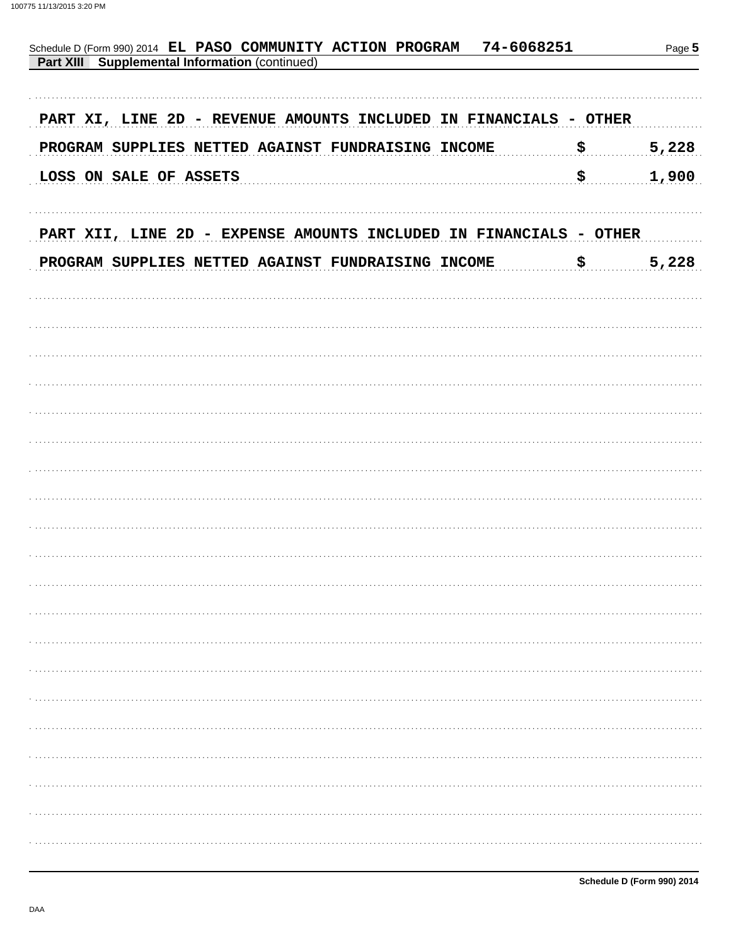| 74-6068251<br>Schedule D (Form 990) 2014 EL PASO COMMUNITY ACTION PROGRAM<br>Part XIII Supplemental Information (continued) |         | Page 5 |
|-----------------------------------------------------------------------------------------------------------------------------|---------|--------|
|                                                                                                                             |         |        |
|                                                                                                                             |         |        |
| PART XI, LINE 2D - REVENUE AMOUNTS INCLUDED IN FINANCIALS - OTHER                                                           |         |        |
| PROGRAM SUPPLIES NETTED AGAINST FUNDRAISING INCOME                                                                          | .\$<br> | 5,228  |
| LOSS ON SALE OF ASSETS                                                                                                      | ₿       | 1,900  |
|                                                                                                                             |         |        |
| PART XII, LINE 2D - EXPENSE AMOUNTS INCLUDED IN FINANCIALS - OTHER                                                          |         |        |
| PROGRAM SUPPLIES NETTED AGAINST FUNDRAISING INCOME                                                                          | .\$……   | 5,228  |
|                                                                                                                             |         |        |
|                                                                                                                             |         |        |
|                                                                                                                             |         |        |
|                                                                                                                             |         |        |
|                                                                                                                             |         |        |
|                                                                                                                             |         |        |
|                                                                                                                             |         |        |
|                                                                                                                             |         |        |
|                                                                                                                             |         |        |
|                                                                                                                             |         |        |
|                                                                                                                             |         |        |
|                                                                                                                             |         |        |
|                                                                                                                             |         |        |
|                                                                                                                             |         |        |
|                                                                                                                             |         |        |
|                                                                                                                             |         |        |
|                                                                                                                             |         |        |
|                                                                                                                             |         |        |
|                                                                                                                             |         |        |
|                                                                                                                             |         |        |
|                                                                                                                             |         |        |
|                                                                                                                             |         |        |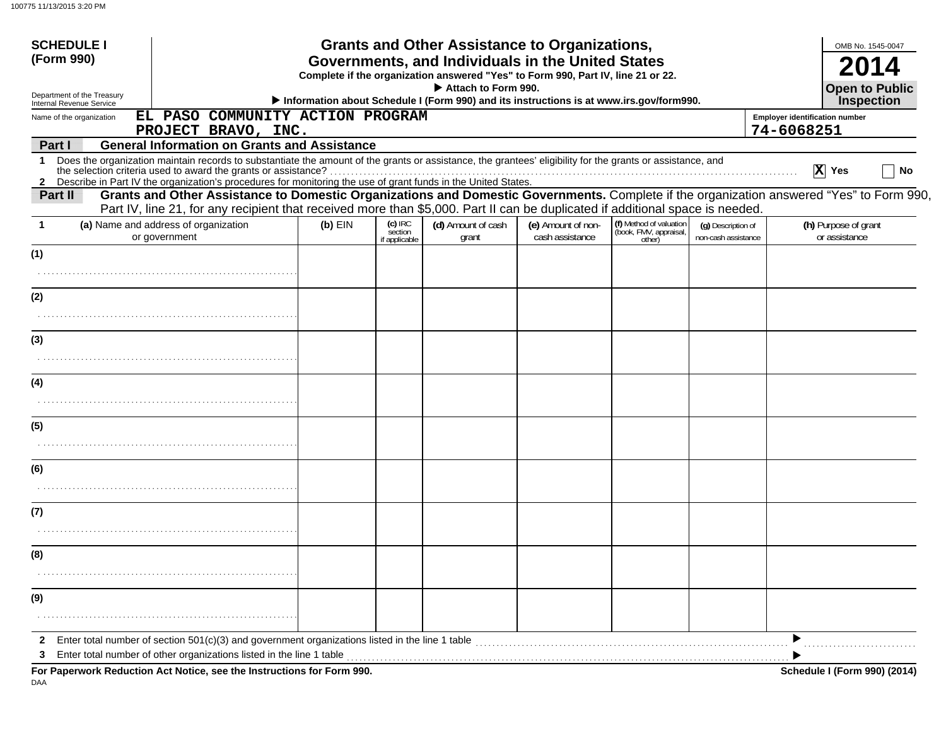| <b>SCHEDULE I</b>                                      |                                                                                                                                                                                                                                                                                                                                               |           |                                       | <b>Grants and Other Assistance to Organizations,</b>                                                                                  |                                       |                                                             |                                           | OMB No. 1545-0047                                   |    |
|--------------------------------------------------------|-----------------------------------------------------------------------------------------------------------------------------------------------------------------------------------------------------------------------------------------------------------------------------------------------------------------------------------------------|-----------|---------------------------------------|---------------------------------------------------------------------------------------------------------------------------------------|---------------------------------------|-------------------------------------------------------------|-------------------------------------------|-----------------------------------------------------|----|
| (Form 990)                                             |                                                                                                                                                                                                                                                                                                                                               |           |                                       | Governments, and Individuals in the United States<br>Complete if the organization answered "Yes" to Form 990, Part IV, line 21 or 22. |                                       |                                                             |                                           |                                                     |    |
| Department of the Treasury<br>Internal Revenue Service |                                                                                                                                                                                                                                                                                                                                               |           |                                       | Attach to Form 990.<br>Information about Schedule I (Form 990) and its instructions is at www.irs.gov/form990.                        |                                       |                                                             |                                           | <b>Open to Public</b><br><b>Inspection</b>          |    |
| Name of the organization                               | EL PASO COMMUNITY ACTION PROGRAM<br>PROJECT BRAVO, INC.                                                                                                                                                                                                                                                                                       |           |                                       |                                                                                                                                       |                                       |                                                             |                                           | <b>Employer identification number</b><br>74-6068251 |    |
| Part I                                                 | <b>General Information on Grants and Assistance</b>                                                                                                                                                                                                                                                                                           |           |                                       |                                                                                                                                       |                                       |                                                             |                                           |                                                     |    |
| 1<br>$\mathbf{2}$                                      | Does the organization maintain records to substantiate the amount of the grants or assistance, the grantees' eligibility for the grants or assistance, and<br>the selection criteria used to award the grants or assistance?<br>Describe in Part IV the organization's procedures for monitoring the use of grant funds in the United States. |           |                                       |                                                                                                                                       |                                       |                                                             |                                           | $ \mathbf{X} $ Yes                                  | No |
| Part II                                                | Grants and Other Assistance to Domestic Organizations and Domestic Governments. Complete if the organization answered "Yes" to Form 990.<br>Part IV, line 21, for any recipient that received more than \$5,000. Part II can be duplicated if additional space is needed.                                                                     |           |                                       |                                                                                                                                       |                                       |                                                             |                                           |                                                     |    |
| -1                                                     | (a) Name and address of organization<br>or government                                                                                                                                                                                                                                                                                         | $(b)$ EIN | $(c)$ IRC<br>section<br>if applicable | (d) Amount of cash<br>grant                                                                                                           | (e) Amount of non-<br>cash assistance | (f) Method of valuation<br>(book, FMV, appraisal,<br>other) | (g) Description of<br>non-cash assistance | (h) Purpose of grant<br>or assistance               |    |
| (1)                                                    |                                                                                                                                                                                                                                                                                                                                               |           |                                       |                                                                                                                                       |                                       |                                                             |                                           |                                                     |    |
|                                                        |                                                                                                                                                                                                                                                                                                                                               |           |                                       |                                                                                                                                       |                                       |                                                             |                                           |                                                     |    |
| (2)                                                    |                                                                                                                                                                                                                                                                                                                                               |           |                                       |                                                                                                                                       |                                       |                                                             |                                           |                                                     |    |
|                                                        |                                                                                                                                                                                                                                                                                                                                               |           |                                       |                                                                                                                                       |                                       |                                                             |                                           |                                                     |    |
| (3)                                                    |                                                                                                                                                                                                                                                                                                                                               |           |                                       |                                                                                                                                       |                                       |                                                             |                                           |                                                     |    |
|                                                        |                                                                                                                                                                                                                                                                                                                                               |           |                                       |                                                                                                                                       |                                       |                                                             |                                           |                                                     |    |
| (4)                                                    |                                                                                                                                                                                                                                                                                                                                               |           |                                       |                                                                                                                                       |                                       |                                                             |                                           |                                                     |    |
|                                                        |                                                                                                                                                                                                                                                                                                                                               |           |                                       |                                                                                                                                       |                                       |                                                             |                                           |                                                     |    |
| (5)                                                    |                                                                                                                                                                                                                                                                                                                                               |           |                                       |                                                                                                                                       |                                       |                                                             |                                           |                                                     |    |
|                                                        |                                                                                                                                                                                                                                                                                                                                               |           |                                       |                                                                                                                                       |                                       |                                                             |                                           |                                                     |    |
| (6)                                                    |                                                                                                                                                                                                                                                                                                                                               |           |                                       |                                                                                                                                       |                                       |                                                             |                                           |                                                     |    |
|                                                        |                                                                                                                                                                                                                                                                                                                                               |           |                                       |                                                                                                                                       |                                       |                                                             |                                           |                                                     |    |
|                                                        |                                                                                                                                                                                                                                                                                                                                               |           |                                       |                                                                                                                                       |                                       |                                                             |                                           |                                                     |    |
| (7)                                                    |                                                                                                                                                                                                                                                                                                                                               |           |                                       |                                                                                                                                       |                                       |                                                             |                                           |                                                     |    |
|                                                        |                                                                                                                                                                                                                                                                                                                                               |           |                                       |                                                                                                                                       |                                       |                                                             |                                           |                                                     |    |
| (8)                                                    |                                                                                                                                                                                                                                                                                                                                               |           |                                       |                                                                                                                                       |                                       |                                                             |                                           |                                                     |    |
|                                                        |                                                                                                                                                                                                                                                                                                                                               |           |                                       |                                                                                                                                       |                                       |                                                             |                                           |                                                     |    |
| (9)                                                    |                                                                                                                                                                                                                                                                                                                                               |           |                                       |                                                                                                                                       |                                       |                                                             |                                           |                                                     |    |
|                                                        |                                                                                                                                                                                                                                                                                                                                               |           |                                       |                                                                                                                                       |                                       |                                                             |                                           |                                                     |    |
| 2                                                      |                                                                                                                                                                                                                                                                                                                                               |           |                                       |                                                                                                                                       |                                       |                                                             |                                           |                                                     |    |
| 3                                                      | For Paperwork Reduction Act Notice, see the Instructions for Form 990.                                                                                                                                                                                                                                                                        |           |                                       |                                                                                                                                       |                                       |                                                             |                                           | <b>Schedule I (Form 990) (2014)</b>                 |    |

DAA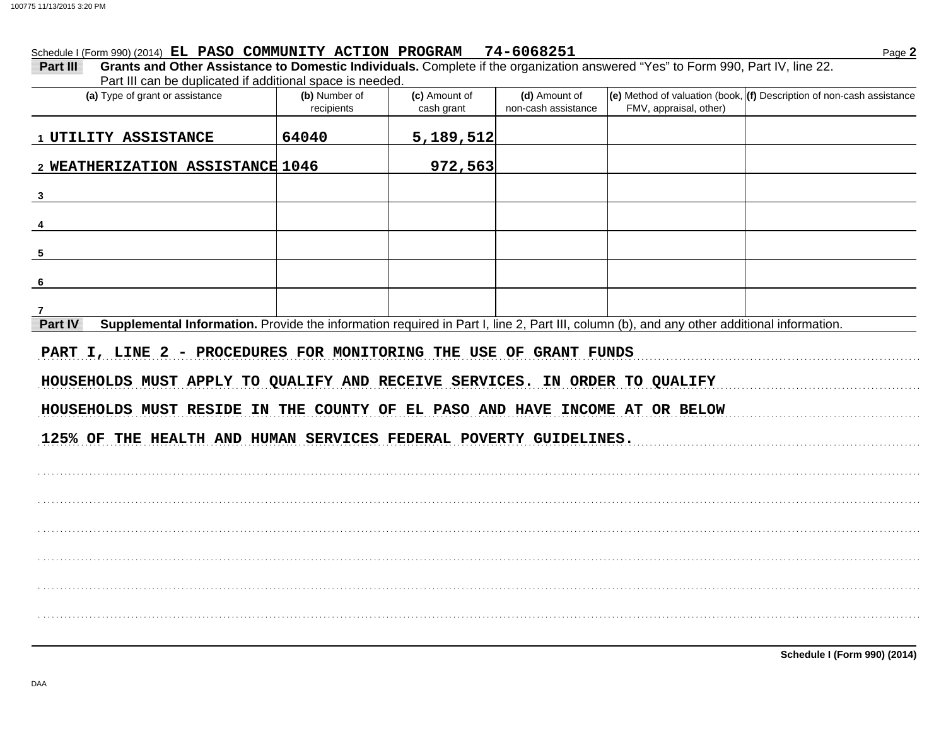# Schedule I (Form 990) (2014) EL PASO COMMUNITY ACTION PROGRAM 74-6068251<br>Part III Grants and Other Assistance to Domestic Individuals Complete if the organization answered "Yes" to Form 990 Part IV line 22

|                                                                                                                                                      | (b) Number of<br>recipients | (c) Amount of<br>cash grant | (d) Amount of<br>non-cash assistance | FMV, appraisal, other) | (e) Method of valuation (book, $(f)$ Description of non-cash assistance |
|------------------------------------------------------------------------------------------------------------------------------------------------------|-----------------------------|-----------------------------|--------------------------------------|------------------------|-------------------------------------------------------------------------|
| 1 UTILITY ASSISTANCE                                                                                                                                 | 64040                       | 5,189,512                   |                                      |                        |                                                                         |
| 2 WEATHERIZATION ASSISTANCE 1046                                                                                                                     |                             | 972,563                     |                                      |                        |                                                                         |
| $\frac{3}{2}$                                                                                                                                        |                             |                             |                                      |                        |                                                                         |
|                                                                                                                                                      |                             |                             |                                      |                        |                                                                         |
| 5                                                                                                                                                    |                             |                             |                                      |                        |                                                                         |
| -6                                                                                                                                                   |                             |                             |                                      |                        |                                                                         |
| 7                                                                                                                                                    |                             |                             |                                      |                        |                                                                         |
| Supplemental Information. Provide the information required in Part I, line 2, Part III, column (b), and any other additional information.<br>Part IV |                             |                             |                                      |                        |                                                                         |
| PART I, LINE 2 - PROCEDURES FOR MONITORING THE USE OF GRANT FUNDS                                                                                    |                             |                             |                                      |                        |                                                                         |
|                                                                                                                                                      |                             |                             |                                      |                        |                                                                         |
| HOUSEHOLDS MUST APPLY TO QUALIFY AND RECEIVE SERVICES. IN ORDER TO QUALIFY                                                                           |                             |                             |                                      |                        |                                                                         |
| HOUSEHOLDS MUST RESIDE IN THE COUNTY OF EL PASO AND HAVE INCOME AT OR BELOW                                                                          |                             |                             |                                      |                        |                                                                         |
| 125% OF THE HEALTH AND HUMAN SERVICES FEDERAL POVERTY GUIDELINES.                                                                                    |                             |                             |                                      |                        |                                                                         |
|                                                                                                                                                      |                             |                             |                                      |                        |                                                                         |
|                                                                                                                                                      |                             |                             |                                      |                        |                                                                         |
|                                                                                                                                                      |                             |                             |                                      |                        |                                                                         |
|                                                                                                                                                      |                             |                             |                                      |                        |                                                                         |
|                                                                                                                                                      |                             |                             |                                      |                        |                                                                         |
|                                                                                                                                                      |                             |                             |                                      |                        |                                                                         |

**Schedule I (Form 990) (2014)**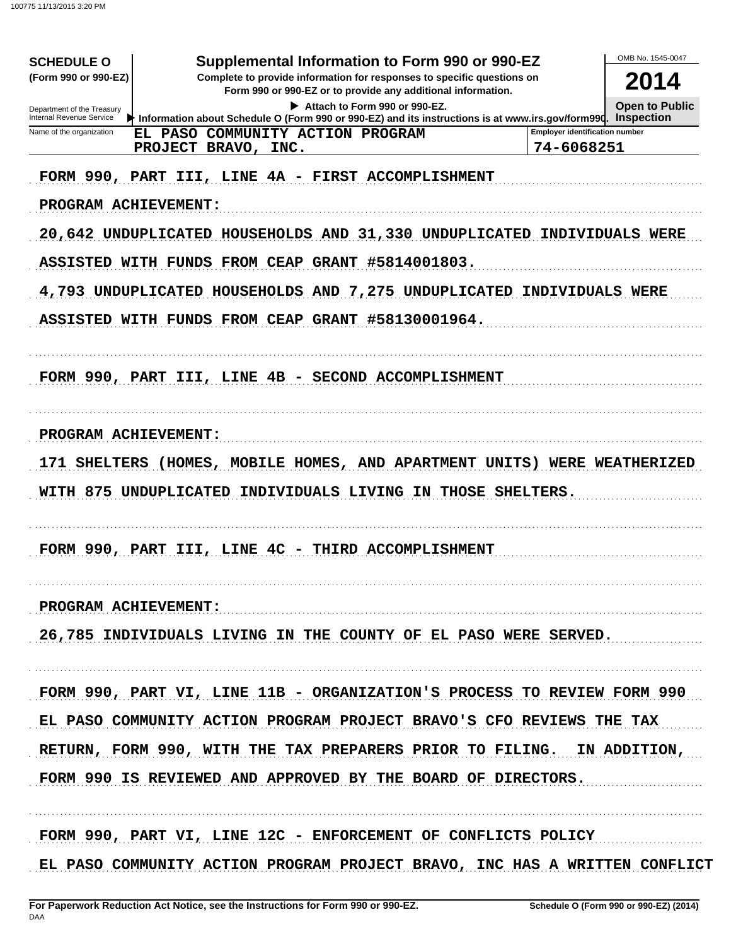| (Form 990 or 990-EZ)       | Complete to provide information for responses to specific questions on                            | Supplemental Information to Form 990 or 990-EZ<br>2014                                                                                            |
|----------------------------|---------------------------------------------------------------------------------------------------|---------------------------------------------------------------------------------------------------------------------------------------------------|
| Department of the Treasury | Form 990 or 990-EZ or to provide any additional information.<br>Attach to Form 990 or 990-EZ.     | <b>Open to Public</b>                                                                                                                             |
| Internal Revenue Service   | Information about Schedule O (Form 990 or 990-EZ) and its instructions is at www.irs.gov/form990. | <b>Inspection</b>                                                                                                                                 |
| Name of the organization   | EL PASO COMMUNITY ACTION PROGRAM<br>PROJECT BRAVO, INC.                                           | <b>Employer identification number</b><br>74-6068251                                                                                               |
|                            |                                                                                                   |                                                                                                                                                   |
|                            | FORM 990, PART III, LINE 4A - FIRST ACCOMPLISHMENT                                                |                                                                                                                                                   |
| PROGRAM ACHIEVEMENT:       |                                                                                                   |                                                                                                                                                   |
|                            |                                                                                                   | 20,642 UNDUPLICATED HOUSEHOLDS AND 31,330 UNDUPLICATED INDIVIDUALS WERE                                                                           |
|                            | ASSISTED WITH FUNDS FROM CEAP GRANT #5814001803.                                                  |                                                                                                                                                   |
|                            |                                                                                                   |                                                                                                                                                   |
|                            | 4,793 UNDUPLICATED HOUSEHOLDS AND 7,275 UNDUPLICATED                                              | INDIVIDUALS WERE                                                                                                                                  |
|                            | ASSISTED WITH FUNDS FROM CEAP GRANT #58130001964.                                                 |                                                                                                                                                   |
|                            |                                                                                                   |                                                                                                                                                   |
|                            | FORM 990, PART III, LINE 4B - SECOND ACCOMPLISHMENT                                               |                                                                                                                                                   |
|                            |                                                                                                   |                                                                                                                                                   |
|                            |                                                                                                   |                                                                                                                                                   |
| PROGRAM ACHIEVEMENT:       |                                                                                                   |                                                                                                                                                   |
| <b>SHELTERS</b><br>171     | (HOMES,<br>MOBILE HOMES,                                                                          | AND APARTMENT<br>UNITS)<br>WERE<br>WEATHERIZED                                                                                                    |
|                            | WITH 875 UNDUPLICATED INDIVIDUALS LIVING IN THOSE SHELTERS.                                       |                                                                                                                                                   |
|                            |                                                                                                   |                                                                                                                                                   |
|                            |                                                                                                   |                                                                                                                                                   |
| <b>FORM 990, PART III,</b> | LINE 4C                                                                                           | THIRD ACCOMPLISHMENT                                                                                                                              |
|                            |                                                                                                   |                                                                                                                                                   |
| PROGRAM ACHIEVEMENT:       |                                                                                                   |                                                                                                                                                   |
|                            |                                                                                                   |                                                                                                                                                   |
|                            | 26,785 INDIVIDUALS LIVING IN THE COUNTY OF EL PASO WERE SERVED.                                   |                                                                                                                                                   |
|                            |                                                                                                   |                                                                                                                                                   |
|                            |                                                                                                   |                                                                                                                                                   |
|                            |                                                                                                   |                                                                                                                                                   |
|                            |                                                                                                   | EL PASO COMMUNITY ACTION PROGRAM PROJECT BRAVO'S CFO REVIEWS THE TAX                                                                              |
|                            |                                                                                                   |                                                                                                                                                   |
|                            | FORM 990 IS REVIEWED AND APPROVED BY THE BOARD OF DIRECTORS.                                      |                                                                                                                                                   |
|                            |                                                                                                   | FORM 990, PART VI, LINE 11B - ORGANIZATION'S PROCESS TO REVIEW FORM 990<br>RETURN, FORM 990, WITH THE TAX PREPARERS PRIOR TO FILING. IN ADDITION, |
|                            |                                                                                                   |                                                                                                                                                   |
|                            | FORM 990, PART VI, LINE 12C - ENFORCEMENT OF CONFLICTS POLICY                                     | EL PASO COMMUNITY ACTION PROGRAM PROJECT BRAVO, INC HAS A WRITTEN CONFLICT                                                                        |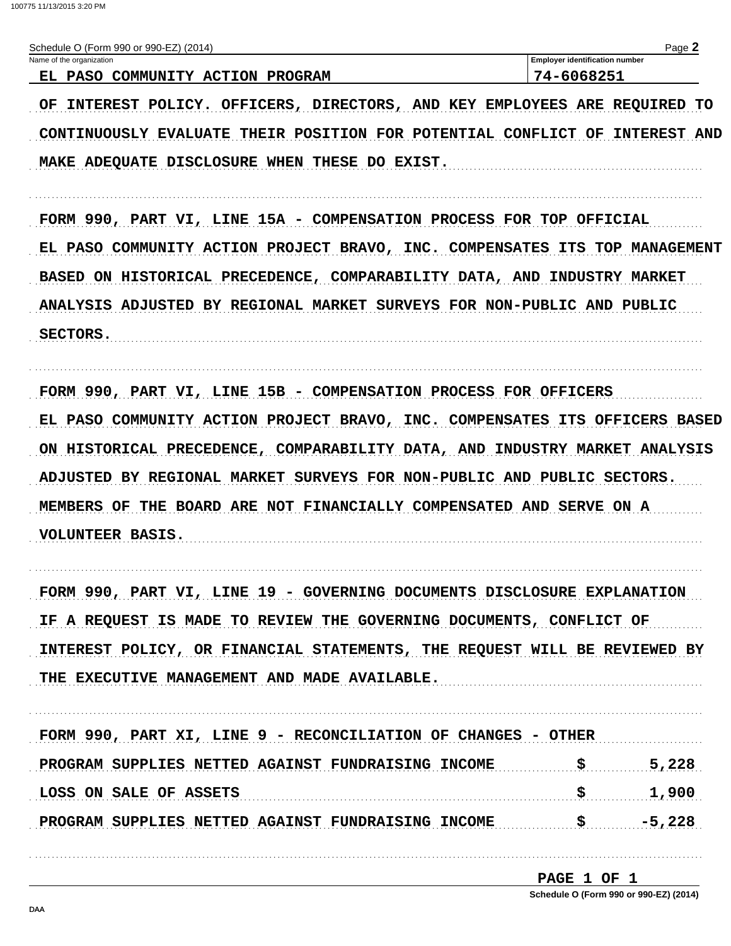100775 11/13/2015 3:20 PM Schedule O (Form 990 or 990-EZ) (2014) Page 2 **Employer identification number** Name of the organization EL PASO COMMUNITY ACTION PROGRAM 74-6068251 OF INTEREST POLICY. OFFICERS, DIRECTORS, AND KEY EMPLOYEES ARE REQUIRED TO CONTINUOUSLY EVALUATE THEIR POSITION FOR POTENTIAL CONFLICT OF INTEREST AND MAKE ADEQUATE DISCLOSURE WHEN THESE DO EXIST. FORM 990, PART VI, LINE 15A - COMPENSATION PROCESS FOR TOP OFFICIAL EL PASO COMMUNITY ACTION PROJECT BRAVO, INC. COMPENSATES ITS TOP MANAGEMENT BASED ON HISTORICAL PRECEDENCE, COMPARABILITY DATA, AND INDUSTRY MARKET ANALYSIS ADJUSTED BY REGIONAL MARKET SURVEYS FOR NON-PUBLIC AND PUBLIC SECTORS. FORM 990, PART VI, LINE 15B - COMPENSATION PROCESS FOR OFFICERS EL PASO COMMUNITY ACTION PROJECT BRAVO, INC. COMPENSATES ITS OFFICERS BASED ON HISTORICAL PRECEDENCE, COMPARABILITY DATA, AND INDUSTRY MARKET ANALYSIS ADJUSTED BY REGIONAL MARKET SURVEYS FOR NON-PUBLIC AND PUBLIC SECTORS. MEMBERS OF THE BOARD ARE NOT FINANCIALLY COMPENSATED AND SERVE ON A **VOLUNTEER BASIS.** FORM 990, PART VI, LINE 19 - GOVERNING DOCUMENTS DISCLOSURE EXPLANATION IF A REQUEST IS MADE TO REVIEW THE GOVERNING DOCUMENTS, CONFLICT OF INTEREST POLICY, OR FINANCIAL STATEMENTS, THE REQUEST WILL BE REVIEWED BY THE EXECUTIVE MANAGEMENT AND MADE AVAILABLE. FORM 990, PART XI, LINE 9 - RECONCILIATION OF CHANGES - OTHER

\$............. PROGRAM SUPPLIES NETTED AGAINST FUNDRAISING INCOME 5,228 LOSS ON SALE OF ASSETS  $1,900$ . . . . . . . . . . . . . . . . . . \$ PROGRAM SUPPLIES NETTED AGAINST FUNDRAISING INCOME \$  $-5,228$ 

PAGE 1 OF 1

Schedule O (Form 990 or 990-EZ) (2014)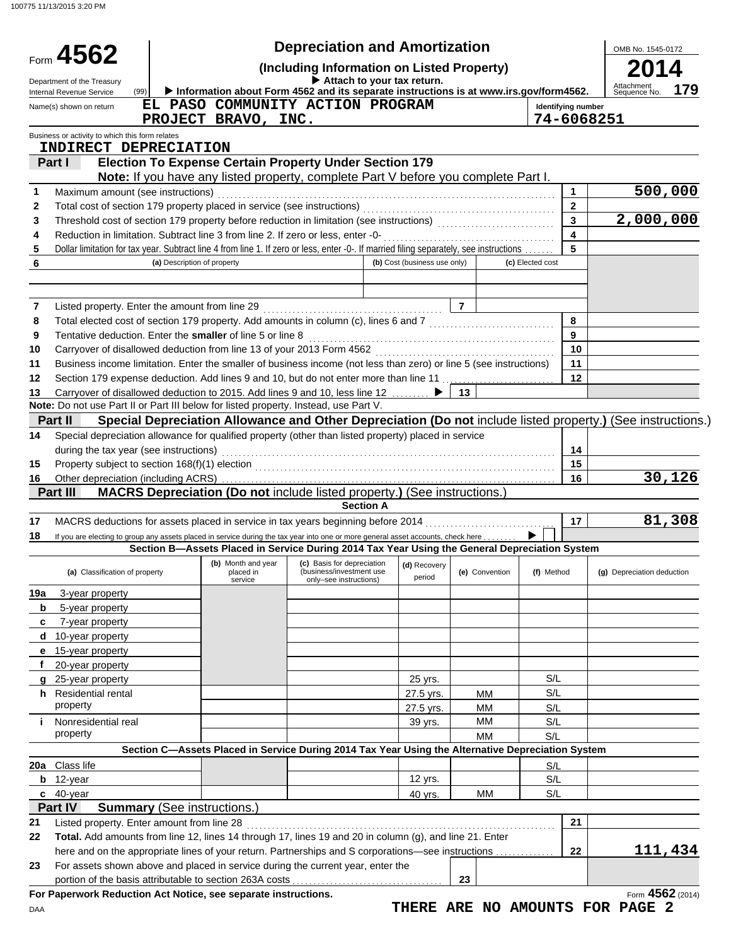100775 11/13/2015 3:20 PM

| Form 4562                                                                                                                                                                             |                                    |                      | <b>Depreciation and Amortization</b>                                                                                                                |                              |                |                  |                           | OMB No. 1545-0172                                                                                           |
|---------------------------------------------------------------------------------------------------------------------------------------------------------------------------------------|------------------------------------|----------------------|-----------------------------------------------------------------------------------------------------------------------------------------------------|------------------------------|----------------|------------------|---------------------------|-------------------------------------------------------------------------------------------------------------|
|                                                                                                                                                                                       |                                    |                      | (Including Information on Listed Property)                                                                                                          |                              |                |                  |                           |                                                                                                             |
| Department of the Treasury<br>(99)<br>Internal Revenue Service                                                                                                                        |                                    |                      | Information about Form 4562 and its separate instructions is at www.irs.gov/form4562.                                                               | Attach to your tax return.   |                |                  |                           | Attachment<br>179<br>Sequence No.                                                                           |
| Name(s) shown on return                                                                                                                                                               |                                    |                      | EL PASO COMMUNITY ACTION PROGRAM                                                                                                                    |                              |                |                  | <b>Identifying number</b> |                                                                                                             |
|                                                                                                                                                                                       |                                    | PROJECT BRAVO, INC.  |                                                                                                                                                     |                              |                |                  | 74-6068251                |                                                                                                             |
| Business or activity to which this form relates                                                                                                                                       |                                    |                      |                                                                                                                                                     |                              |                |                  |                           |                                                                                                             |
| INDIRECT DEPRECIATION                                                                                                                                                                 |                                    |                      |                                                                                                                                                     |                              |                |                  |                           |                                                                                                             |
| Part I                                                                                                                                                                                |                                    |                      | <b>Election To Expense Certain Property Under Section 179</b><br>Note: If you have any listed property, complete Part V before you complete Part I. |                              |                |                  |                           |                                                                                                             |
| Maximum amount (see instructions)<br>1                                                                                                                                                |                                    |                      |                                                                                                                                                     |                              |                |                  | 1                         | 500,000                                                                                                     |
| 2                                                                                                                                                                                     |                                    |                      |                                                                                                                                                     |                              |                |                  | $\mathbf{2}$              |                                                                                                             |
| 3                                                                                                                                                                                     |                                    |                      |                                                                                                                                                     |                              |                |                  | $\mathbf{3}$              | 2,000,000                                                                                                   |
| Reduction in limitation. Subtract line 3 from line 2. If zero or less, enter -0-<br>4                                                                                                 |                                    |                      |                                                                                                                                                     |                              |                |                  | 4                         |                                                                                                             |
| Dollar limitation for tax year. Subtract line 4 from line 1. If zero or less, enter -0-. If married filing separately, see instructions<br>5                                          |                                    |                      |                                                                                                                                                     |                              |                |                  | 5                         |                                                                                                             |
| 6                                                                                                                                                                                     | (a) Description of property        |                      |                                                                                                                                                     | (b) Cost (business use only) |                | (c) Elected cost |                           |                                                                                                             |
|                                                                                                                                                                                       |                                    |                      |                                                                                                                                                     |                              |                |                  |                           |                                                                                                             |
|                                                                                                                                                                                       |                                    |                      |                                                                                                                                                     |                              |                |                  |                           |                                                                                                             |
| Listed property. Enter the amount from line 29<br>7                                                                                                                                   |                                    |                      |                                                                                                                                                     |                              | $\overline{7}$ |                  |                           |                                                                                                             |
| Total elected cost of section 179 property. Add amounts in column (c), lines 6 and 7 [[[[[[[[[[[[[[[[[[[[[[[[<br>8<br>Tentative deduction. Enter the smaller of line 5 or line 8<br>9 |                                    |                      |                                                                                                                                                     |                              |                |                  | 8<br>9                    |                                                                                                             |
| 10                                                                                                                                                                                    |                                    |                      |                                                                                                                                                     |                              |                |                  | 10                        |                                                                                                             |
| Business income limitation. Enter the smaller of business income (not less than zero) or line 5 (see instructions)<br>11                                                              |                                    |                      |                                                                                                                                                     |                              |                |                  | 11                        |                                                                                                             |
| Section 179 expense deduction. Add lines 9 and 10, but do not enter more than line 11<br>12                                                                                           |                                    |                      |                                                                                                                                                     |                              |                |                  | $12 \,$                   |                                                                                                             |
| Carryover of disallowed deduction to 2015. Add lines 9 and 10, less line 12<br>13                                                                                                     |                                    |                      |                                                                                                                                                     |                              | 13             |                  |                           |                                                                                                             |
| Note: Do not use Part II or Part III below for listed property. Instead, use Part V.                                                                                                  |                                    |                      |                                                                                                                                                     |                              |                |                  |                           |                                                                                                             |
| Part II                                                                                                                                                                               |                                    |                      |                                                                                                                                                     |                              |                |                  |                           | Special Depreciation Allowance and Other Depreciation (Do not include listed property.) (See instructions.) |
| Special depreciation allowance for qualified property (other than listed property) placed in service<br>14                                                                            |                                    |                      |                                                                                                                                                     |                              |                |                  |                           |                                                                                                             |
| during the tax year (see instructions)                                                                                                                                                |                                    |                      |                                                                                                                                                     |                              |                |                  | 14                        |                                                                                                             |
| 15                                                                                                                                                                                    |                                    |                      |                                                                                                                                                     |                              |                |                  | 15                        |                                                                                                             |
| 16<br>Part III                                                                                                                                                                        |                                    |                      |                                                                                                                                                     |                              |                |                  | 16                        | 30,126                                                                                                      |
|                                                                                                                                                                                       |                                    |                      | <b>MACRS Depreciation (Do not include listed property.) (See instructions.)</b><br><b>Section A</b>                                                 |                              |                |                  |                           |                                                                                                             |
| MACRS deductions for assets placed in service in tax years beginning before 2014<br>17                                                                                                |                                    |                      |                                                                                                                                                     |                              |                |                  | 17                        | 81,308                                                                                                      |
| If you are electing to group any assets placed in service during the tax year into one or more general asset accounts, check here<br>18                                               |                                    |                      |                                                                                                                                                     |                              |                |                  |                           |                                                                                                             |
|                                                                                                                                                                                       |                                    |                      | Section B-Assets Placed in Service During 2014 Tax Year Using the General Depreciation System                                                       |                              |                |                  |                           |                                                                                                             |
| (a) Classification of property                                                                                                                                                        |                                    | placed in<br>service | (b) Month and year (c) Basis for depreciation (d) Recovery<br>(business/investment use<br>only-see instructions)                                    | period                       | (e) Convention | (f) Method       |                           | (g) Depreciation deduction                                                                                  |
| 3-year property<br>19а                                                                                                                                                                |                                    |                      |                                                                                                                                                     |                              |                |                  |                           |                                                                                                             |
|                                                                                                                                                                                       |                                    |                      |                                                                                                                                                     |                              |                |                  |                           |                                                                                                             |
| b<br>5-year property                                                                                                                                                                  |                                    |                      |                                                                                                                                                     |                              |                |                  |                           |                                                                                                             |
| 7-year property<br>c                                                                                                                                                                  |                                    |                      |                                                                                                                                                     |                              |                |                  |                           |                                                                                                             |
| 10-year property<br>d                                                                                                                                                                 |                                    |                      |                                                                                                                                                     |                              |                |                  |                           |                                                                                                             |
| 15-year property<br>е                                                                                                                                                                 |                                    |                      |                                                                                                                                                     |                              |                |                  |                           |                                                                                                             |
| 20-year property                                                                                                                                                                      |                                    |                      |                                                                                                                                                     |                              |                |                  |                           |                                                                                                             |
| 25-year property                                                                                                                                                                      |                                    |                      |                                                                                                                                                     | 25 yrs.                      |                | S/L              |                           |                                                                                                             |
| h Residential rental                                                                                                                                                                  |                                    |                      |                                                                                                                                                     | 27.5 yrs.                    | ΜМ             | S/L              |                           |                                                                                                             |
| property                                                                                                                                                                              |                                    |                      |                                                                                                                                                     | 27.5 yrs.                    | <b>MM</b>      | S/L              |                           |                                                                                                             |
| Nonresidential real<br>i.<br>property                                                                                                                                                 |                                    |                      |                                                                                                                                                     | 39 yrs.                      | ΜМ             | S/L              |                           |                                                                                                             |
|                                                                                                                                                                                       |                                    |                      |                                                                                                                                                     |                              | MM             | S/L              |                           |                                                                                                             |
| Class life                                                                                                                                                                            |                                    |                      | Section C-Assets Placed in Service During 2014 Tax Year Using the Alternative Depreciation System                                                   |                              |                | S/L              |                           |                                                                                                             |
| $b$ 12-year                                                                                                                                                                           |                                    |                      |                                                                                                                                                     | 12 yrs.                      |                | S/L              |                           |                                                                                                             |
| c 40-year                                                                                                                                                                             |                                    |                      |                                                                                                                                                     | 40 yrs.                      | <b>MM</b>      | S/L              |                           |                                                                                                             |
| Part IV                                                                                                                                                                               | <b>Summary</b> (See instructions.) |                      |                                                                                                                                                     |                              |                |                  |                           |                                                                                                             |
| Listed property. Enter amount from line 28                                                                                                                                            |                                    |                      |                                                                                                                                                     |                              |                |                  | 21                        |                                                                                                             |
| 20a<br>21<br>Total. Add amounts from line 12, lines 14 through 17, lines 19 and 20 in column (g), and line 21. Enter<br>22                                                            |                                    |                      |                                                                                                                                                     |                              |                |                  |                           |                                                                                                             |
| here and on the appropriate lines of your return. Partnerships and S corporations-see instructions                                                                                    |                                    |                      |                                                                                                                                                     |                              |                |                  | 22                        | 111,434                                                                                                     |
| For assets shown above and placed in service during the current year, enter the<br>23<br>portion of the basis attributable to section 263A costs                                      |                                    |                      |                                                                                                                                                     |                              | 23             |                  |                           |                                                                                                             |

**THERE ARE NO AMOUNTS FOR PAGE 2**

DAA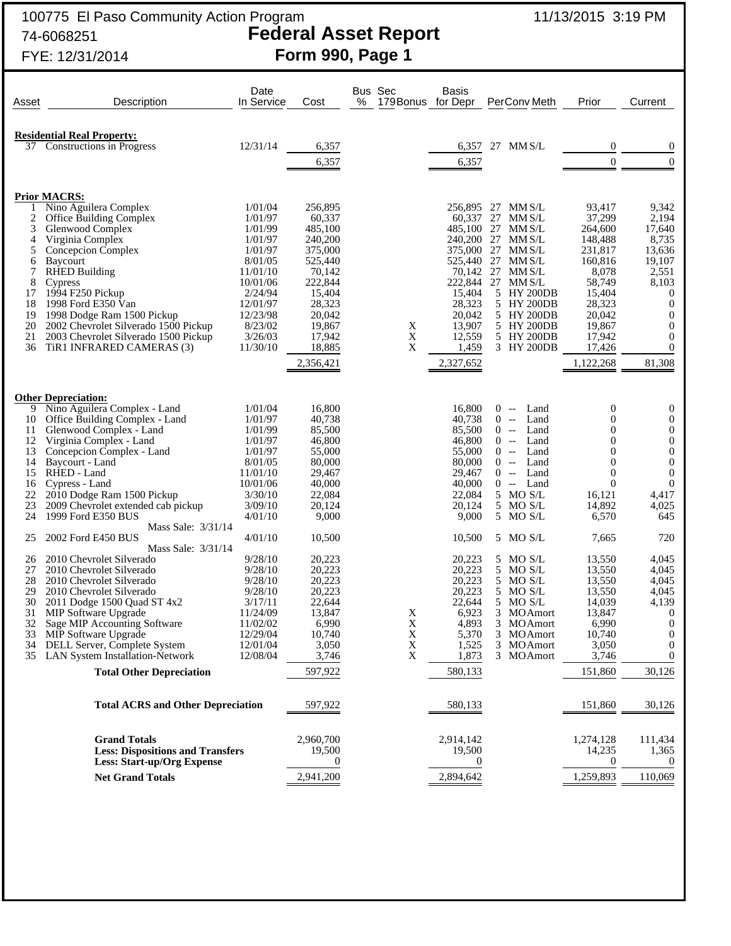# 100775 El Paso Community Action Program 11/13/2015 3:19 PM

|                                                                                                                                         | 100775 El Paso Community Action Program<br><b>Federal Asset Report</b><br>74-6068251                                                                                                                                                                                                                                               |                                                                                                                                                             |                                                                                                                                                             |                  |                                                                                    |                                                                                                                                                                                                                                            |                                                                                                                                                          | 11/13/2015 3:19 PM                                                                                                                                                |
|-----------------------------------------------------------------------------------------------------------------------------------------|------------------------------------------------------------------------------------------------------------------------------------------------------------------------------------------------------------------------------------------------------------------------------------------------------------------------------------|-------------------------------------------------------------------------------------------------------------------------------------------------------------|-------------------------------------------------------------------------------------------------------------------------------------------------------------|------------------|------------------------------------------------------------------------------------|--------------------------------------------------------------------------------------------------------------------------------------------------------------------------------------------------------------------------------------------|----------------------------------------------------------------------------------------------------------------------------------------------------------|-------------------------------------------------------------------------------------------------------------------------------------------------------------------|
|                                                                                                                                         | FYE: 12/31/2014                                                                                                                                                                                                                                                                                                                    |                                                                                                                                                             |                                                                                                                                                             | Form 990, Page 1 |                                                                                    |                                                                                                                                                                                                                                            |                                                                                                                                                          |                                                                                                                                                                   |
| Asset                                                                                                                                   | Description                                                                                                                                                                                                                                                                                                                        | Date<br>In Service                                                                                                                                          | Cost                                                                                                                                                        | Bus Sec<br>$\%$  | Basis<br>179Bonus for Depr                                                         | PerConv Meth                                                                                                                                                                                                                               | Prior                                                                                                                                                    | Current                                                                                                                                                           |
|                                                                                                                                         | <b>Residential Real Property:</b><br>37 Constructions in Progress                                                                                                                                                                                                                                                                  | 12/31/14                                                                                                                                                    | 6,357<br>6,357                                                                                                                                              |                  | 6,357<br>6,357                                                                     | 27 MM S/L                                                                                                                                                                                                                                  | $\mathbf{0}$<br>$\overline{0}$                                                                                                                           | $\theta$<br>$\theta$                                                                                                                                              |
| <b>Prior MACRS:</b><br>3<br>$\overline{4}$<br>5<br><b>Baycourt</b><br>6<br>7<br>8<br><b>Cypress</b><br>17<br>18<br>19<br>20<br>21<br>36 | Nino Aguilera Complex<br><b>Office Building Complex</b><br>Glenwood Complex<br>Virginia Complex<br>Concepcion Complex<br><b>RHED Building</b><br>1994 F250 Pickup<br>1998 Ford E350 Van<br>1998 Dodge Ram 1500 Pickup<br>2002 Chevrolet Silverado 1500 Pickup<br>2003 Chevrolet Silverado 1500 Pickup<br>TIR1 INFRARED CAMERAS (3) | 1/01/04<br>1/01/97<br>1/01/99<br>1/01/97<br>1/01/97<br>8/01/05<br>11/01/10<br>10/01/06<br>2/24/94<br>12/01/97<br>12/23/98<br>8/23/02<br>3/26/03<br>11/30/10 | 256,895<br>60,337<br>485,100<br>240,200<br>375,000<br>525,440<br>70,142<br>222,844<br>15,404<br>28,323<br>20,042<br>19,867<br>17,942<br>18,885<br>2,356,421 | X<br>X<br>X      | 240,200 27<br>15,404<br>28,323<br>20,042<br>13,907<br>12,559<br>1,459<br>2,327,652 | 256,895 27 MM S/L<br>60,337 27 MM S/L<br>485,100 27 MM S/L<br>MM S/L<br>375,000 27 MMS/L<br>525,440 27 MM S/L<br>70,142 27 MM S/L<br>222,844 27 MM S/L<br>5 HY 200DB<br>5 HY 200DB<br>5 HY 200DB<br>5 HY 200DB<br>5 HY 200DB<br>3 HY 200DB | 93,417<br>37,299<br>264,600<br>148,488<br>231,817<br>160,816<br>8,078<br>58,749<br>15,404<br>28,323<br>20,042<br>19,867<br>17,942<br>17,426<br>1,122,268 | 9,342<br>2,194<br>17,640<br>8,735<br>13,636<br>19,107<br>2,551<br>8,103<br>0<br>0<br>$\theta$<br>$\boldsymbol{0}$<br>$\boldsymbol{0}$<br>$\overline{0}$<br>81,308 |
| <b>Other Depreciation:</b><br>10<br>11                                                                                                  | 9 Nino Aguilera Complex - Land<br>Office Building Complex - Land<br>Glenwood Complex - Land                                                                                                                                                                                                                                        | 1/01/04<br>1/01/97<br>1/01/99                                                                                                                               | 16,800<br>40,738<br>85,500                                                                                                                                  |                  | 16,800<br>40,738<br>85,500                                                         | $\Omega$<br>Land<br>$\hspace{0.05cm} -\hspace{0.05cm} -\hspace{0.05cm}$<br>Land<br>$\Omega$<br>$\hspace{0.05cm} -\hspace{0.05cm} -\hspace{0.05cm}$<br>$\Omega$<br>Land<br>$\hspace{0.05cm} -\hspace{0.05cm} -\hspace{0.05cm}$              | 0<br>$\overline{0}$<br>$\theta$                                                                                                                          | 0<br>$\theta$<br>$\theta$                                                                                                                                         |

| 2002 Chevrolet Silverado 1500 Pickup<br>2003 Chevrolet Silverado 1500 Pickup | 8/23/02<br>3/26/03<br>11/30/10                                                                                                                                                                                                                                                                                                                                                                                                                                                                                                                             | 19,80/<br>17,942<br>18,885                                                                                                                                                                                                                                                                                 | $\mathbf{A}$<br>$\mathbf X$<br>X                                                                                                                                                | 13,907<br>12,559<br>1,459            | 5 HY 200DB<br>5<br><b>HY 200DB</b><br>3 HY 200DB                                                                                                                 | 19,807<br>17,942<br>17,426                                                                                                                                                                                                           | v<br>$\theta$<br>$\boldsymbol{0}$                                                                                                                                                     |
|------------------------------------------------------------------------------|------------------------------------------------------------------------------------------------------------------------------------------------------------------------------------------------------------------------------------------------------------------------------------------------------------------------------------------------------------------------------------------------------------------------------------------------------------------------------------------------------------------------------------------------------------|------------------------------------------------------------------------------------------------------------------------------------------------------------------------------------------------------------------------------------------------------------------------------------------------------------|---------------------------------------------------------------------------------------------------------------------------------------------------------------------------------|--------------------------------------|------------------------------------------------------------------------------------------------------------------------------------------------------------------|--------------------------------------------------------------------------------------------------------------------------------------------------------------------------------------------------------------------------------------|---------------------------------------------------------------------------------------------------------------------------------------------------------------------------------------|
|                                                                              |                                                                                                                                                                                                                                                                                                                                                                                                                                                                                                                                                            | 2,356,421                                                                                                                                                                                                                                                                                                  |                                                                                                                                                                                 | 2,327,652                            |                                                                                                                                                                  | 1,122,268                                                                                                                                                                                                                            | 81,308                                                                                                                                                                                |
|                                                                              |                                                                                                                                                                                                                                                                                                                                                                                                                                                                                                                                                            |                                                                                                                                                                                                                                                                                                            |                                                                                                                                                                                 |                                      |                                                                                                                                                                  |                                                                                                                                                                                                                                      |                                                                                                                                                                                       |
|                                                                              | 1/01/04                                                                                                                                                                                                                                                                                                                                                                                                                                                                                                                                                    | 16,800                                                                                                                                                                                                                                                                                                     |                                                                                                                                                                                 | 16.800                               | $0 -$<br>Land                                                                                                                                                    | $\theta$                                                                                                                                                                                                                             | $\boldsymbol{0}$                                                                                                                                                                      |
|                                                                              |                                                                                                                                                                                                                                                                                                                                                                                                                                                                                                                                                            |                                                                                                                                                                                                                                                                                                            |                                                                                                                                                                                 |                                      |                                                                                                                                                                  |                                                                                                                                                                                                                                      | $\mathbf{0}$                                                                                                                                                                          |
|                                                                              |                                                                                                                                                                                                                                                                                                                                                                                                                                                                                                                                                            |                                                                                                                                                                                                                                                                                                            |                                                                                                                                                                                 |                                      |                                                                                                                                                                  |                                                                                                                                                                                                                                      | $\mathbf{0}$                                                                                                                                                                          |
|                                                                              |                                                                                                                                                                                                                                                                                                                                                                                                                                                                                                                                                            |                                                                                                                                                                                                                                                                                                            |                                                                                                                                                                                 |                                      |                                                                                                                                                                  |                                                                                                                                                                                                                                      | $\mathbf{0}$                                                                                                                                                                          |
|                                                                              |                                                                                                                                                                                                                                                                                                                                                                                                                                                                                                                                                            |                                                                                                                                                                                                                                                                                                            |                                                                                                                                                                                 |                                      |                                                                                                                                                                  |                                                                                                                                                                                                                                      | $\boldsymbol{0}$                                                                                                                                                                      |
|                                                                              |                                                                                                                                                                                                                                                                                                                                                                                                                                                                                                                                                            |                                                                                                                                                                                                                                                                                                            |                                                                                                                                                                                 |                                      |                                                                                                                                                                  |                                                                                                                                                                                                                                      | $\mathbf{0}$                                                                                                                                                                          |
|                                                                              |                                                                                                                                                                                                                                                                                                                                                                                                                                                                                                                                                            |                                                                                                                                                                                                                                                                                                            |                                                                                                                                                                                 |                                      |                                                                                                                                                                  |                                                                                                                                                                                                                                      | $\boldsymbol{0}$                                                                                                                                                                      |
|                                                                              |                                                                                                                                                                                                                                                                                                                                                                                                                                                                                                                                                            |                                                                                                                                                                                                                                                                                                            |                                                                                                                                                                                 |                                      |                                                                                                                                                                  |                                                                                                                                                                                                                                      | $\theta$                                                                                                                                                                              |
|                                                                              |                                                                                                                                                                                                                                                                                                                                                                                                                                                                                                                                                            |                                                                                                                                                                                                                                                                                                            |                                                                                                                                                                                 |                                      |                                                                                                                                                                  |                                                                                                                                                                                                                                      | 4,417                                                                                                                                                                                 |
|                                                                              |                                                                                                                                                                                                                                                                                                                                                                                                                                                                                                                                                            |                                                                                                                                                                                                                                                                                                            |                                                                                                                                                                                 |                                      |                                                                                                                                                                  |                                                                                                                                                                                                                                      | 4,025<br>645                                                                                                                                                                          |
|                                                                              |                                                                                                                                                                                                                                                                                                                                                                                                                                                                                                                                                            |                                                                                                                                                                                                                                                                                                            |                                                                                                                                                                                 |                                      |                                                                                                                                                                  |                                                                                                                                                                                                                                      |                                                                                                                                                                                       |
|                                                                              |                                                                                                                                                                                                                                                                                                                                                                                                                                                                                                                                                            |                                                                                                                                                                                                                                                                                                            |                                                                                                                                                                                 |                                      |                                                                                                                                                                  |                                                                                                                                                                                                                                      | 720                                                                                                                                                                                   |
|                                                                              |                                                                                                                                                                                                                                                                                                                                                                                                                                                                                                                                                            |                                                                                                                                                                                                                                                                                                            |                                                                                                                                                                                 |                                      |                                                                                                                                                                  |                                                                                                                                                                                                                                      |                                                                                                                                                                                       |
| 2010 Chevrolet Silverado                                                     | 9/28/10                                                                                                                                                                                                                                                                                                                                                                                                                                                                                                                                                    | 20,223                                                                                                                                                                                                                                                                                                     |                                                                                                                                                                                 | 20,223                               | 5 MO S/L                                                                                                                                                         | 13,550                                                                                                                                                                                                                               | 4,045                                                                                                                                                                                 |
| 2010 Chevrolet Silverado                                                     | 9/28/10                                                                                                                                                                                                                                                                                                                                                                                                                                                                                                                                                    |                                                                                                                                                                                                                                                                                                            |                                                                                                                                                                                 | 20,223                               | 5<br>MO S/L                                                                                                                                                      | 13,550                                                                                                                                                                                                                               | 4,045                                                                                                                                                                                 |
| 2010 Chevrolet Silverado                                                     | 9/28/10                                                                                                                                                                                                                                                                                                                                                                                                                                                                                                                                                    | 20,223                                                                                                                                                                                                                                                                                                     |                                                                                                                                                                                 | 20,223                               | 5 MO S/L                                                                                                                                                         | 13,550                                                                                                                                                                                                                               | 4,045                                                                                                                                                                                 |
| 2010 Chevrolet Silverado                                                     | 9/28/10                                                                                                                                                                                                                                                                                                                                                                                                                                                                                                                                                    | 20,223                                                                                                                                                                                                                                                                                                     |                                                                                                                                                                                 | 20.223                               | $5$ MO S/L                                                                                                                                                       | 13,550                                                                                                                                                                                                                               | 4,045                                                                                                                                                                                 |
| 2011 Dodge 1500 Quad ST 4x2                                                  | 3/17/11                                                                                                                                                                                                                                                                                                                                                                                                                                                                                                                                                    | 22,644                                                                                                                                                                                                                                                                                                     |                                                                                                                                                                                 |                                      | 5 MO S/L                                                                                                                                                         | 14,039                                                                                                                                                                                                                               | 4,139                                                                                                                                                                                 |
|                                                                              | 11/24/09                                                                                                                                                                                                                                                                                                                                                                                                                                                                                                                                                   |                                                                                                                                                                                                                                                                                                            | X                                                                                                                                                                               |                                      |                                                                                                                                                                  |                                                                                                                                                                                                                                      | $\theta$                                                                                                                                                                              |
|                                                                              |                                                                                                                                                                                                                                                                                                                                                                                                                                                                                                                                                            |                                                                                                                                                                                                                                                                                                            |                                                                                                                                                                                 |                                      |                                                                                                                                                                  |                                                                                                                                                                                                                                      | $\mathbf{0}$                                                                                                                                                                          |
|                                                                              |                                                                                                                                                                                                                                                                                                                                                                                                                                                                                                                                                            |                                                                                                                                                                                                                                                                                                            |                                                                                                                                                                                 |                                      |                                                                                                                                                                  |                                                                                                                                                                                                                                      | $\theta$                                                                                                                                                                              |
|                                                                              |                                                                                                                                                                                                                                                                                                                                                                                                                                                                                                                                                            |                                                                                                                                                                                                                                                                                                            |                                                                                                                                                                                 |                                      |                                                                                                                                                                  |                                                                                                                                                                                                                                      | $\overline{0}$                                                                                                                                                                        |
|                                                                              |                                                                                                                                                                                                                                                                                                                                                                                                                                                                                                                                                            |                                                                                                                                                                                                                                                                                                            |                                                                                                                                                                                 |                                      |                                                                                                                                                                  |                                                                                                                                                                                                                                      | $\mathbf{0}$                                                                                                                                                                          |
| <b>Total Other Depreciation</b>                                              |                                                                                                                                                                                                                                                                                                                                                                                                                                                                                                                                                            | 597,922                                                                                                                                                                                                                                                                                                    |                                                                                                                                                                                 | 580,133                              |                                                                                                                                                                  | 151,860                                                                                                                                                                                                                              | 30,126                                                                                                                                                                                |
|                                                                              |                                                                                                                                                                                                                                                                                                                                                                                                                                                                                                                                                            |                                                                                                                                                                                                                                                                                                            |                                                                                                                                                                                 |                                      |                                                                                                                                                                  |                                                                                                                                                                                                                                      |                                                                                                                                                                                       |
|                                                                              |                                                                                                                                                                                                                                                                                                                                                                                                                                                                                                                                                            | 597,922                                                                                                                                                                                                                                                                                                    |                                                                                                                                                                                 | 580,133                              |                                                                                                                                                                  | 151,860                                                                                                                                                                                                                              | 30,126                                                                                                                                                                                |
|                                                                              |                                                                                                                                                                                                                                                                                                                                                                                                                                                                                                                                                            |                                                                                                                                                                                                                                                                                                            |                                                                                                                                                                                 |                                      |                                                                                                                                                                  |                                                                                                                                                                                                                                      |                                                                                                                                                                                       |
| <b>Grand Totals</b>                                                          |                                                                                                                                                                                                                                                                                                                                                                                                                                                                                                                                                            | 2,960,700                                                                                                                                                                                                                                                                                                  |                                                                                                                                                                                 | 2,914,142                            |                                                                                                                                                                  | 1,274,128                                                                                                                                                                                                                            | 111,434                                                                                                                                                                               |
|                                                                              |                                                                                                                                                                                                                                                                                                                                                                                                                                                                                                                                                            | 19,500                                                                                                                                                                                                                                                                                                     |                                                                                                                                                                                 | 19,500                               |                                                                                                                                                                  | 14,235                                                                                                                                                                                                                               | 1,365                                                                                                                                                                                 |
| <b>Less: Start-up/Org Expense</b>                                            |                                                                                                                                                                                                                                                                                                                                                                                                                                                                                                                                                            | $\theta$                                                                                                                                                                                                                                                                                                   |                                                                                                                                                                                 | $\overline{0}$                       |                                                                                                                                                                  | $\theta$                                                                                                                                                                                                                             | $\overline{0}$                                                                                                                                                                        |
| <b>Net Grand Totals</b>                                                      |                                                                                                                                                                                                                                                                                                                                                                                                                                                                                                                                                            |                                                                                                                                                                                                                                                                                                            |                                                                                                                                                                                 | 2,894,642                            |                                                                                                                                                                  | 1,259,893                                                                                                                                                                                                                            | 110,069                                                                                                                                                                               |
|                                                                              |                                                                                                                                                                                                                                                                                                                                                                                                                                                                                                                                                            |                                                                                                                                                                                                                                                                                                            |                                                                                                                                                                                 |                                      |                                                                                                                                                                  |                                                                                                                                                                                                                                      |                                                                                                                                                                                       |
|                                                                              | TIR1 INFRARED CAMERAS (3)<br>her Depreciation:<br>Nino Aguilera Complex - Land<br>10 Office Building Complex - Land<br>11 Glenwood Complex - Land<br>12 Virginia Complex - Land<br>Concepcion Complex - Land<br>14 Baycourt - Land<br>15 RHED - Land<br>Cypress - Land<br>2010 Dodge Ram 1500 Pickup<br>2009 Chevrolet extended cab pickup<br>1999 Ford E350 BUS<br>2002 Ford E450 BUS<br><b>MIP Software Upgrade</b><br>Sage MIP Accounting Software<br><b>MIP Software Upgrade</b><br>DELL Server, Complete System<br>35 LAN System Installation-Network | 1/01/97<br>1/01/99<br>1/01/97<br>1/01/97<br>8/01/05<br>11/01/10<br>10/01/06<br>3/30/10<br>3/09/10<br>4/01/10<br>Mass Sale: 3/31/14<br>4/01/10<br>Mass Sale: 3/31/14<br>11/02/02<br>12/29/04<br>12/01/04<br>12/08/04<br><b>Total ACRS and Other Depreciation</b><br><b>Less: Dispositions and Transfers</b> | 40,738<br>85,500<br>46,800<br>55,000<br>80,000<br>29,467<br>40,000<br>22,084<br>20,124<br>9,000<br>10,500<br>20,223<br>13,847<br>6,990<br>10,740<br>3,050<br>3,746<br>2,941,200 | X<br>$\mathbf X$<br>$\mathbf X$<br>X | 40,738<br>85,500<br>46,800<br>55,000<br>80,000<br>29,467<br>40,000<br>22,084<br>20,124<br>9,000<br>10,500<br>22,644<br>6,923<br>4,893<br>5,370<br>1,525<br>1,873 | Land<br>$0 -$<br>$0 -$<br>Land<br>$0 -$<br>Land<br>$0 -$<br>Land<br>$0 -$<br>Land<br>$0 -$<br>Land<br>$0 -$<br>Land<br>5 MO S/L<br>5 MO S/L<br>5 MO S/L<br>5 MO S/L<br>3 MOAmort<br>3 MOAmort<br>3 MOAmort<br>3 MOAmort<br>3 MOAmort | $\mathbf{0}$<br>$\Omega$<br>$\Omega$<br>$\Omega$<br>$\Omega$<br>$\overline{0}$<br>$\overline{0}$<br>16,121<br>14,892<br>6,570<br>7,665<br>13,847<br>6,990<br>10,740<br>3,050<br>3,746 |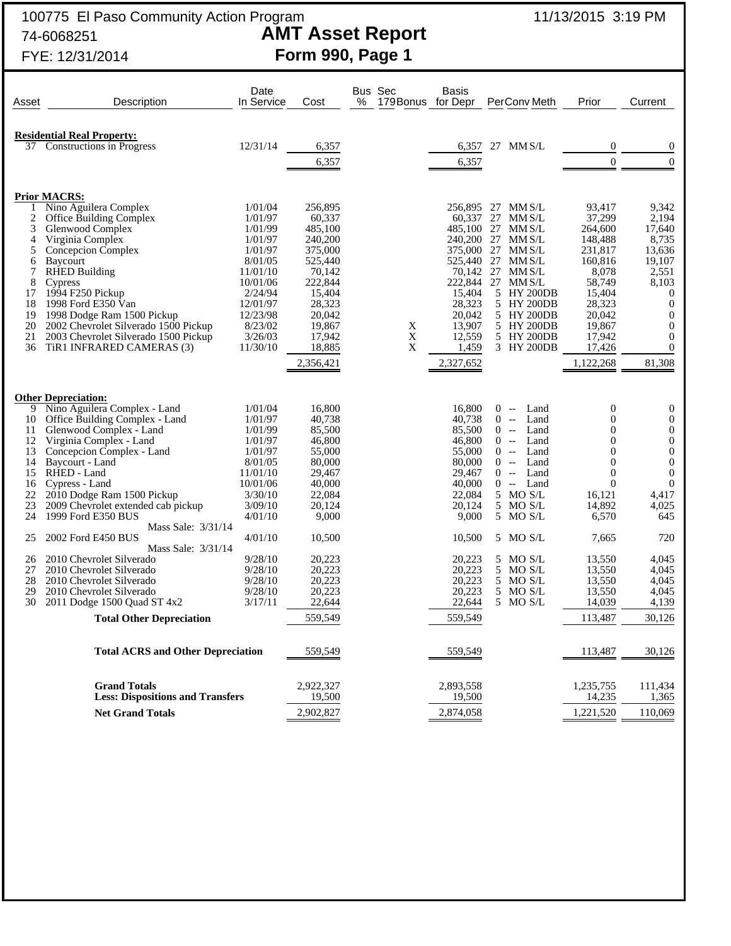### 100775 El Paso Community Action Program 100775 El Paso Community Action Program 74-6068251 **AMT Asset Report** FYE: 12/31/2014 **Form 990, Page 1**

| Asset    | Description                                          | Date<br>In Service | Cost               | % | <b>Bus Sec</b><br>179 Bonus for Depr | Basis            | PerConv Meth                           | Prior              | Current          |
|----------|------------------------------------------------------|--------------------|--------------------|---|--------------------------------------|------------------|----------------------------------------|--------------------|------------------|
|          | <b>Residential Real Property:</b>                    |                    |                    |   |                                      |                  |                                        |                    |                  |
|          | 37 Constructions in Progress                         | 12/31/14           | 6,357              |   |                                      | 6,357            | 27 MM $S/L$                            | $\overline{0}$     | $\boldsymbol{0}$ |
|          |                                                      |                    | 6,357              |   |                                      | 6,357            |                                        | $\mathbf{0}$       | $\Omega$         |
|          |                                                      |                    |                    |   |                                      |                  |                                        |                    |                  |
|          | <b>Prior MACRS:</b>                                  |                    |                    |   |                                      |                  |                                        |                    |                  |
|          | Nino Aguilera Complex                                | 1/01/04            | 256,895            |   |                                      | 256,895          | 27 MMS/L                               | 93,417             | 9,342            |
| 2        | Office Building Complex                              | 1/01/97            | 60,337             |   |                                      |                  | 60,337 27 MMS/L                        | 37,299             | 2,194            |
| 3        | Glenwood Complex                                     | 1/01/99            | 485,100            |   |                                      |                  | 485,100 27 MM S/L                      | 264,600            | 17,640           |
| 4        | Virginia Complex                                     | 1/01/97            | 240,200            |   |                                      |                  | 240.200 27 MM S/L<br>375,000 27 MM S/L | 148,488<br>231,817 | 8,735            |
| 5<br>6   | Concepcion Complex<br>Baycourt                       | 1/01/97<br>8/01/05 | 375,000<br>525,440 |   |                                      |                  | 525,440 27 MM S/L                      | 160,816            | 13,636<br>19,107 |
| 7        | <b>RHED Building</b>                                 | 11/01/10           | 70,142             |   |                                      |                  | 70,142 27 MM S/L                       | 8,078              | 2,551            |
| 8        | Cypress                                              | 10/01/06           | 222,844            |   |                                      |                  | 222,844 27 MM S/L                      | 58,749             | 8,103            |
| 17       | 1994 F250 Pickup                                     | 2/24/94            | 15,404             |   |                                      | 15,404           | 5 HY 200DB                             | 15,404             | $\boldsymbol{0}$ |
| 18       | 1998 Ford E350 Van                                   | 12/01/97           | 28,323             |   |                                      | 28,323           | 5 HY 200DB                             | 28,323             | $\mathbf{0}$     |
| 19       | 1998 Dodge Ram 1500 Pickup                           | 12/23/98           | 20,042             |   |                                      | 20,042           | 5 HY 200DB                             | 20,042             | $\mathbf{0}$     |
| 20       | 2002 Chevrolet Silverado 1500 Pickup                 | 8/23/02            | 19,867             |   | X                                    | 13,907           | 5 HY 200DB                             | 19,867             | $\mathbf{0}$     |
| 21       | 2003 Chevrolet Silverado 1500 Pickup                 | 3/26/03            | 17,942             |   | X                                    | 12,559           | 5 HY 200DB                             | 17,942             | $\boldsymbol{0}$ |
| 36       | TIR1 INFRARED CAMERAS (3)                            | 11/30/10           | 18,885             |   | X                                    | 1,459            | 3 HY 200DB                             | 17,426             | $\overline{0}$   |
|          |                                                      |                    |                    |   |                                      |                  |                                        |                    |                  |
|          |                                                      |                    | 2,356,421          |   |                                      | 2,327,652        |                                        | 1,122,268          | 81,308           |
|          | <b>Other Depreciation:</b>                           |                    |                    |   |                                      |                  |                                        |                    |                  |
| 9.       | Nino Aguilera Complex - Land                         | 1/01/04            | 16,800             |   |                                      | 16,800           | Land<br>$0 -$                          | $\boldsymbol{0}$   | $\mathbf{0}$     |
| 10       | Office Building Complex - Land                       | 1/01/97            | 40,738             |   |                                      | 40,738           | $0 -$<br>Land                          | $\mathbf{0}$       | $\mathbf{0}$     |
| 11       | Glenwood Complex - Land                              | 1/01/99            | 85,500             |   |                                      | 85,500           | $0 -$<br>Land                          | $\theta$           | $\mathbf{0}$     |
| 12       | Virginia Complex - Land                              | 1/01/97            | 46,800             |   |                                      | 46,800           | $0 -$<br>Land                          | $\Omega$           | $\boldsymbol{0}$ |
| 13       | Concepcion Complex - Land                            | 1/01/97            | 55,000             |   |                                      | 55,000           | Land<br>$0 -$                          | $\theta$           | $\boldsymbol{0}$ |
| 14       | Baycourt - Land                                      | 8/01/05            | 80,000             |   |                                      | 80,000           | Land<br>$0 -$                          | $\mathbf{0}$       | $\boldsymbol{0}$ |
| 15       | RHED - Land                                          | 11/01/10           | 29,467             |   |                                      | 29,467           | Land<br>$0 -$                          | $\overline{0}$     | $\boldsymbol{0}$ |
| 16       | Cypress - Land                                       | 10/01/06           | 40,000             |   |                                      | 40,000           | Land<br>$0 -$                          | $\overline{0}$     | $\overline{0}$   |
| 22       | 2010 Dodge Ram 1500 Pickup                           | 3/30/10            | 22,084             |   |                                      | 22,084           | 5 MO S/L                               | 16,121             | 4,417            |
| 23       | 2009 Chevrolet extended cab pickup                   | 3/09/10            | 20,124             |   |                                      | 20,124           | 5 MO S/L                               | 14,892             | 4,025            |
| 24       | 1999 Ford E350 BUS                                   | 4/01/10            | 9,000              |   |                                      | 9,000            | 5 MO S/L                               | 6,570              | 645              |
|          | Mass Sale: 3/31/14                                   |                    |                    |   |                                      |                  |                                        |                    |                  |
| 25       | 2002 Ford E450 BUS                                   | 4/01/10            | 10,500             |   |                                      | 10,500           | 5 MO S/L                               | 7,665              | 720              |
|          | Mass Sale: 3/31/14                                   |                    |                    |   |                                      |                  |                                        |                    |                  |
| 26<br>27 | 2010 Chevrolet Silverado<br>2010 Chevrolet Silverado | 9/28/10<br>9/28/10 | 20,223<br>20,223   |   |                                      | 20,223<br>20,223 | 5 MO S/L<br>5 MO S/L                   | 13,550<br>13,550   | 4,045<br>4,045   |
| 28       | 2010 Chevrolet Silverado                             | 9/28/10            | 20,223             |   |                                      | 20,223           | 5 MO S/L                               | 13,550             | 4,045            |
| 29       | 2010 Chevrolet Silverado                             | 9/28/10            | 20,223             |   |                                      | 20,223           | 5 MO S/L                               | 13,550             | 4,045            |
| 30       | 2011 Dodge 1500 Quad ST 4x2                          | 3/17/11            | 22,644             |   |                                      | 22,644           | 5 MO S/L                               | 14,039             | 4,139            |
|          |                                                      |                    |                    |   |                                      |                  |                                        |                    |                  |
|          | <b>Total Other Depreciation</b>                      |                    | 559,549            |   |                                      | 559,549          |                                        | 113,487            | 30,126           |
|          | <b>Total ACRS and Other Depreciation</b>             |                    | 559,549            |   |                                      | 559,549          |                                        | 113,487            | 30,126           |
|          |                                                      |                    |                    |   |                                      |                  |                                        |                    |                  |
|          | <b>Grand Totals</b>                                  |                    | 2,922,327          |   |                                      | 2,893,558        |                                        | 1,235,755          | 111,434          |
|          | <b>Less: Dispositions and Transfers</b>              |                    | 19,500             |   |                                      | 19,500           |                                        | 14,235             | 1,365            |
|          | <b>Net Grand Totals</b>                              |                    | 2,902,827          |   |                                      | 2,874,058        |                                        | 1,221,520          | 110,069          |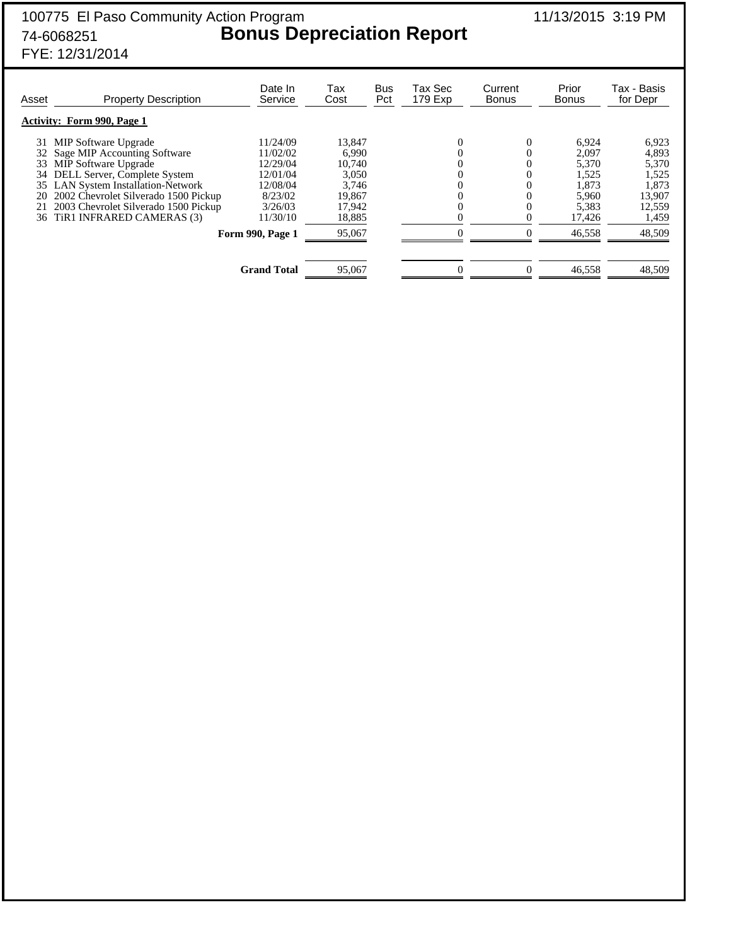### 100775 El Paso Community Action Program 100775 El Paso Community Action Program 74-6068251 **Bonus Depreciation Report** FYE: 12/31/2014

| Asset                | <b>Property Description</b>                                                                                                                                                                                                                                                     | Date In<br>Service                                                                         | Tax<br>Cost                                                               | Bus<br>Pct | Tax Sec<br>179 Exp | Current<br><b>Bonus</b>                  | Prior<br><b>Bonus</b>                                                 | Tax - Basis<br>for Depr                                                |
|----------------------|---------------------------------------------------------------------------------------------------------------------------------------------------------------------------------------------------------------------------------------------------------------------------------|--------------------------------------------------------------------------------------------|---------------------------------------------------------------------------|------------|--------------------|------------------------------------------|-----------------------------------------------------------------------|------------------------------------------------------------------------|
|                      | <b>Activity: Form 990, Page 1</b>                                                                                                                                                                                                                                               |                                                                                            |                                                                           |            |                    |                                          |                                                                       |                                                                        |
| 31<br>20<br>21<br>36 | <b>MIP Software Upgrade</b><br>32 Sage MIP Accounting Software<br>33 MIP Software Upgrade<br>34 DELL Server, Complete System<br>35 LAN System Installation-Network<br>2002 Chevrolet Silverado 1500 Pickup<br>2003 Chevrolet Silverado 1500 Pickup<br>TiR1 INFRARED CAMERAS (3) | 11/24/09<br>11/02/02<br>12/29/04<br>12/01/04<br>12/08/04<br>8/23/02<br>3/26/03<br>11/30/10 | 13.847<br>6.990<br>10.740<br>3.050<br>3.746<br>19,867<br>17,942<br>18,885 |            | 0                  | 0<br>$\theta$<br>0<br>0<br>0<br>$\theta$ | 6,924<br>2,097<br>5,370<br>1,525<br>1,873<br>5,960<br>5,383<br>17,426 | 6,923<br>4,893<br>5,370<br>1,525<br>1,873<br>13,907<br>12,559<br>1,459 |
|                      |                                                                                                                                                                                                                                                                                 | <b>Form 990, Page 1</b>                                                                    | 95,067                                                                    |            |                    |                                          | 46,558                                                                | 48,509                                                                 |
|                      |                                                                                                                                                                                                                                                                                 | <b>Grand Total</b>                                                                         | 95,067                                                                    |            |                    |                                          | 46,558                                                                | 48,509                                                                 |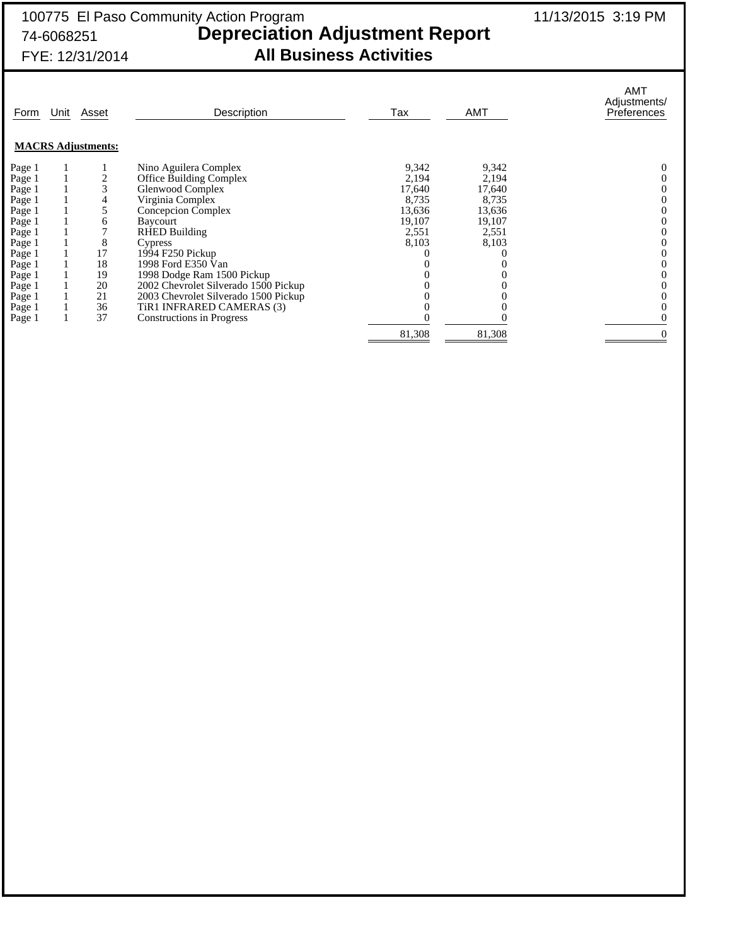### 100775 El Paso Community Action Program 100775 El Paso Community Action Program 74-6068251 **Depreciation Adjustment Report** FYE: 12/31/2014 **All Business Activities**

| Form   | Unit | Asset                     | Description                          | Tax    | AMT    | <b>AMT</b><br>Adjustments/<br>Preferences |
|--------|------|---------------------------|--------------------------------------|--------|--------|-------------------------------------------|
|        |      | <b>MACRS</b> Adjustments: |                                      |        |        |                                           |
| Page 1 |      |                           | Nino Aguilera Complex                | 9,342  | 9,342  |                                           |
| Page 1 |      |                           | Office Building Complex              | 2,194  | 2,194  |                                           |
| Page 1 |      |                           | Glenwood Complex                     | 17,640 | 17,640 |                                           |
| Page 1 |      |                           | Virginia Complex                     | 8,735  | 8,735  |                                           |
| Page 1 |      |                           | Concepcion Complex                   | 13,636 | 13,636 |                                           |
| Page 1 |      | 6                         | Baycourt                             | 19,107 | 19,107 |                                           |
| Page 1 |      |                           | <b>RHED Building</b>                 | 2,551  | 2,551  |                                           |
| Page 1 |      | 8                         | <b>Cypress</b>                       | 8,103  | 8,103  |                                           |
| Page 1 |      | 17                        | 1994 F250 Pickup                     |        |        |                                           |
| Page 1 |      | 18                        | 1998 Ford E350 Van                   |        |        |                                           |
| Page 1 |      | 19                        | 1998 Dodge Ram 1500 Pickup           |        |        |                                           |
| Page 1 |      | 20                        | 2002 Chevrolet Silverado 1500 Pickup |        |        |                                           |
| Page 1 |      | 21                        | 2003 Chevrolet Silverado 1500 Pickup |        |        |                                           |
| Page 1 |      | 36                        | TIR1 INFRARED CAMERAS (3)            |        |        |                                           |
| Page 1 |      | 37                        | <b>Constructions in Progress</b>     |        |        |                                           |
|        |      |                           |                                      | 81,308 | 81,308 |                                           |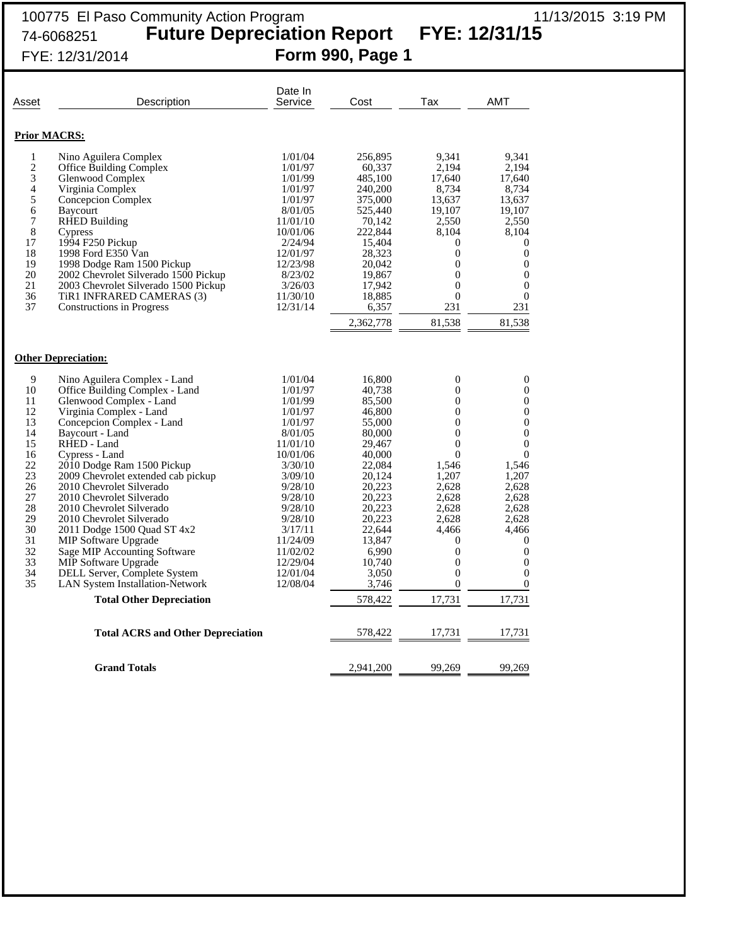### 100775 El Paso Community Action Program 11/13/2015 3:19 PM 74-6068251 **Future Depreciation Report FYE: 12/31/15** FYE: 12/31/2014 **Form 990, Page 1**

Date In<br>Service Asset Description Service Cost Tax AMT **Prior MACRS:** 1 Nino Aguilera Complex 1/01/04 256,895 9,341 9,341<br>2 Office Building Complex 1/01/97 60.337 2.194 2.194 2 Office Building Complex 1/01/97 60,337 2,194 2,194<br>3 Glenwood Complex 1/01/99 485,100 17,640 17,640 3 Glenwood Complex 1/01/99 485,100 17,640 17,640<br>4 Virginia Complex 1/01/97 240,200 8,734 8,734 4 Virginia Complex 1/01/97 240,200 8,734 8,734<br>5 Concepcion Complex 1/01/97 375,000 13,637 13,637 5 Concepcion Complex 1/01/97 375,000 13,637 13,637<br>6 Baycourt 8/01/05 525,440 19,107 19,107 6 Baycourt 19,107 19,107 19,107 19,107 19,107 19,107 19,107 19,107 19,107 19,107 19,107 19,107 19,107 19,107 19,107 19,107 19,107 19,107 19,107 19,107 19,107 19,107 19,107 19,107 19,107 19,107 19,107 19,107 19,107 19,107 1 7 RHED Building 11/01/10 70,142 2,550 2,550<br>8 Cypress 10/01/06 222,844 8,104 8,104 8 Cypress 10/01/06 222,844 8,104 8,104 17 1994 F250 Pickup 2/24/94 15,404 0 0 0<br>18 1998 Ford E350 Van 12/01/97 28,323 0 0 18 1998 Ford E350 Van 12/01/97 28,323 0 0 19 1998 Dodge Ram 1500 Pickup 12/23/98 20,042 0 0 20 2002 Chevrolet Silverado 1500 Pickup<br>21 2003 Chevrolet Silverado 1500 Pickup 21 2003 Chevrolet Silverado 1500 Pickup 3/26/03 17,942 0 0 36 TIR1 INFRARED CAMERAS (3) 11/30/10 18,885 0 0 0<br>37 Constructions in Progress 12/31/14 6,357 231 231 Constructions in Progress 2,362,778 81,538 81,538 **Other Depreciation:** 9 Nino Aguilera Complex - Land 1/01/04 16,800 0 0 0 10 Office Building Complex - Land 1/01/97 40,738 0 0 11 Glenwood Complex - Land 1/01/99<br>12 Virginia Complex - Land 1/01/97 12 Virginia Complex - Land 1/01/97 46,800 0 0 13 Concepcion Complex - Land 1/01/97 55,000 0 0 0<br>14 Baycourt - Land 8/01/05 80,000 0 0 14 Baycourt - Land 8/01/05 80,000 0 0 15 RHED - Land 11/01/10 29,467 0 0 0<br>16 Cypress - Land 10/01/06 40,000 0 0 16 Cypress - Land 10/01/06<br>22 2010 Dodge Ram 1500 Pickup 3/30/10 22 2010 Dodge Ram 1500 Pickup 3/30/10 22,084 1,546 1,546<br>23 2009 Chevrolet extended cab pickup 3/09/10 20,124 1,207 1,207 23 2009 Chevrolet extended cab pickup 3/09/10<br>26 2010 Chevrolet Silverado 3/28/10 26 2010 Chevrolet Silverado 9/28/10 20,223 2,628 2,628<br>27 2010 Chevrolet Silverado 9/28/10 20,223 2,628 2,628 27 2010 Chevrolet Silverado 9/28/10 20,223 2,628 2,628<br>
28 2010 Chevrolet Silverado 9/28/10 20,223 2,628 2,628 28 2010 Chevrolet Silverado 9/28/10 20,223 2,628 2,628 2010 Chevrolet Silverado 9/28/10 20,223 2,628 2,628 29 2010 Chevrolet Silverado <br>
2011 Dodge 1500 Quad ST 4x2 <br>
2011 Dodge 1500 Quad ST 4x2 <br>
2017/11 <br>
22,644 <br>
2014 <br>
2018 <br>
2019 <br>
2019 <br>
2019 <br>
2019 <br>
2019 <br>
2019 <br>
2019 <br>
2019 <br>
2019 <br>
2019 <br>
2019 <br>
2019 <br>
2019 <br>
2019 <br>
3 30 2011 Dodge 1500 Quad ST  $4x2$ <br>31 MIP Software Upgrade 31 MIP Software Upgrade 11/24/09 13,847 0 0 32 Sage MIP Accounting Software 11/02/02 6,990 0 0 MIP Software Upgrade  $12/29/04$  10,740 0 0 34 DELL Server, Complete System 12/01/04 3,050 0 0 LAN System Installation-Network  $12/08/04$   $3,746$  0 0 0 **Total Other Depreciation** 578,422 17,731 17,731 **Total ACRS and Other Depreciation** 578,422 17,731 17,731 17,731 **Grand Totals** 2,941,200 99,269 99,269 99,269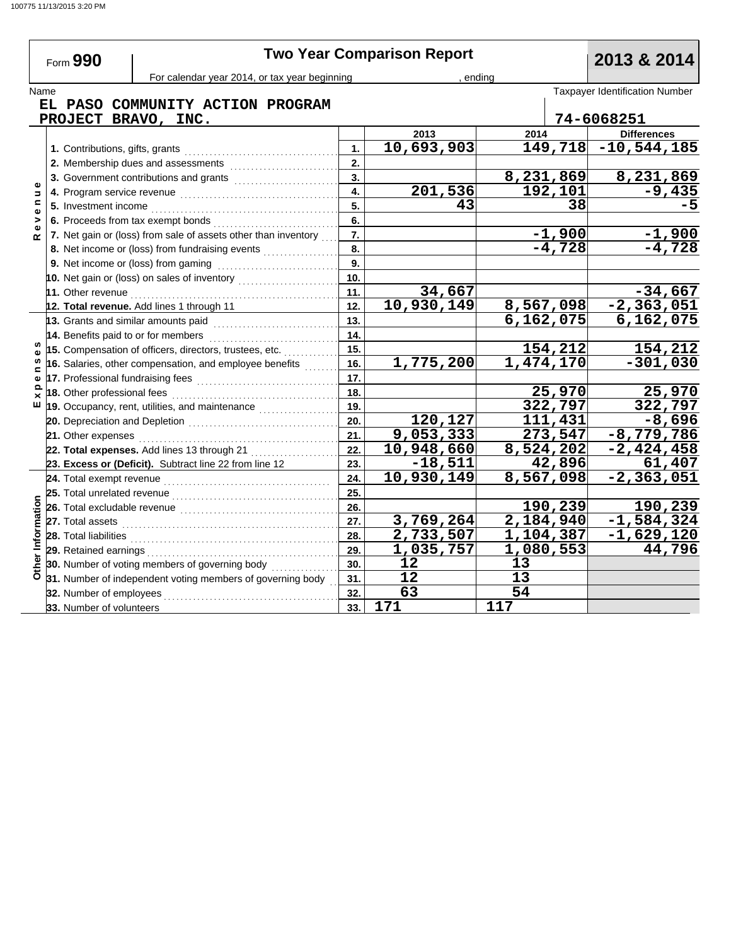|        | Form $990$                      | 2013 & 2014                                          |    |            |           |                                       |  |
|--------|---------------------------------|------------------------------------------------------|----|------------|-----------|---------------------------------------|--|
|        |                                 | For calendar year 2014, or tax year beginning        |    |            | , ending  |                                       |  |
| Name   |                                 |                                                      |    |            |           | <b>Taxpayer Identification Number</b> |  |
| EL.    |                                 | PASO COMMUNITY ACTION PROGRAM<br>PROJECT BRAVO, INC. |    |            |           | 74-6068251                            |  |
|        |                                 |                                                      |    | 2013       | 2014      | <b>Differences</b>                    |  |
|        | 1. Contributions, gifts, grants |                                                      | 1. | 10,693,903 | 149,718   | $-10,544,185$                         |  |
|        |                                 | 2. Membership dues and assessments                   | 2. |            |           |                                       |  |
|        |                                 | 3. Government contributions and grants               | 3. |            | 8,231,869 | 8,231,869                             |  |
| Φ<br>5 | 4. Program service revenue      |                                                      | 4. | 201,536    | 192,101   | $-9,435$                              |  |
|        | 5. Investment income            |                                                      | 5. | 43         | 38        | -5                                    |  |

| Б                   |                                                                | 4.             | 201,536                | 192,101                | $-9,435$       |
|---------------------|----------------------------------------------------------------|----------------|------------------------|------------------------|----------------|
| $\blacksquare$<br>ω | 5. Investment income                                           | 5.             | 43                     | 38                     |                |
| >                   | 6. Proceeds from tax exempt bonds                              | 6.             |                        |                        |                |
| œ                   | 7. Net gain or (loss) from sale of assets other than inventory | 7.             |                        | $-1,900$               | $-1,900$       |
|                     | 8. Net income or (loss) from fundraising events                | 8.             |                        | $-4,728$               | $-4,728$       |
|                     |                                                                | 9 <sub>1</sub> |                        |                        |                |
|                     | 10. Net gain or (loss) on sales of inventory                   | 10.            |                        |                        |                |
|                     | 11. Other revenue                                              | 11.            | 34,667                 |                        | $-34,667$      |
|                     | 12. Total revenue. Add lines 1 through 11                      | 12.            | 10,930,149             | $\overline{8,567,098}$ | $-2, 363, 051$ |
|                     | 13. Grants and similar amounts paid                            | 13.            |                        | 6,162,075              | 6,162,075      |
|                     | 14. Benefits paid to or for members                            | 14.            |                        |                        |                |
| n                   | 15. Compensation of officers, directors, trustees, etc.        | 15.            |                        | 154,212                | 154,212        |
| ဖ<br>$\blacksquare$ | 16. Salaries, other compensation, and employee benefits        | 16.            | 1,775,200              | 1,474,170              | $-301,030$     |
| Φ                   | 17. Professional fundraising fees<br>.                         | 17.            |                        |                        |                |
| ≏<br>$\times$       | 18. Other professional fees<br>.                               | 18.            |                        | 25,970                 | 25,970         |
| ш                   | 19. Occupancy, rent, utilities, and maintenance                | 19.            |                        | 322,797                | 322,797        |
|                     | 20. Depreciation and Depletion                                 | 20.            | 120,127                | 111, 431               | $-8,696$       |
|                     | 21. Other expenses                                             | 21.            | $\overline{9,053,333}$ | 273,547                | $-8,779,786$   |
|                     | 22. Total expenses. Add lines 13 through 21                    | 22.            | 10,948,660             | 8,524,202              | $-2,424,458$   |
|                     | 23. Excess or (Deficit). Subtract line 22 from line 12         | 23.            | $-18,511$              | 42,896                 | 61,407         |
|                     |                                                                | 24.            | 10,930,149             | 8,567,098              | $-2, 363, 051$ |
|                     | 25. Total unrelated revenue                                    | 25.            |                        |                        |                |
|                     | 26. Total excludable revenue                                   | 26.            |                        | 190,239                | 190,239        |
|                     | 27. Total assets                                               | 27.            | 3,769,264              | 2,184,940              | $-1,584,324$   |
|                     | 28. Total liabilities                                          | 28.            | 2,733,507              | 1,104,387              | $-1,629,120$   |
|                     | 29. Retained earnings                                          | 29.            | 1,035,757              | 1,080,553              | 44,796         |
| Other Information   | 30. Number of voting members of governing body                 | 30.            | 12                     | 13                     |                |
|                     | 31. Number of independent voting members of governing body     | 31.            | 12                     | 13                     |                |
|                     | 32. Number of employees                                        | 32.            | 63                     | 54                     |                |
|                     | 33. Number of volunteers                                       | 33.            | 171                    | 117                    |                |
|                     |                                                                |                |                        |                        |                |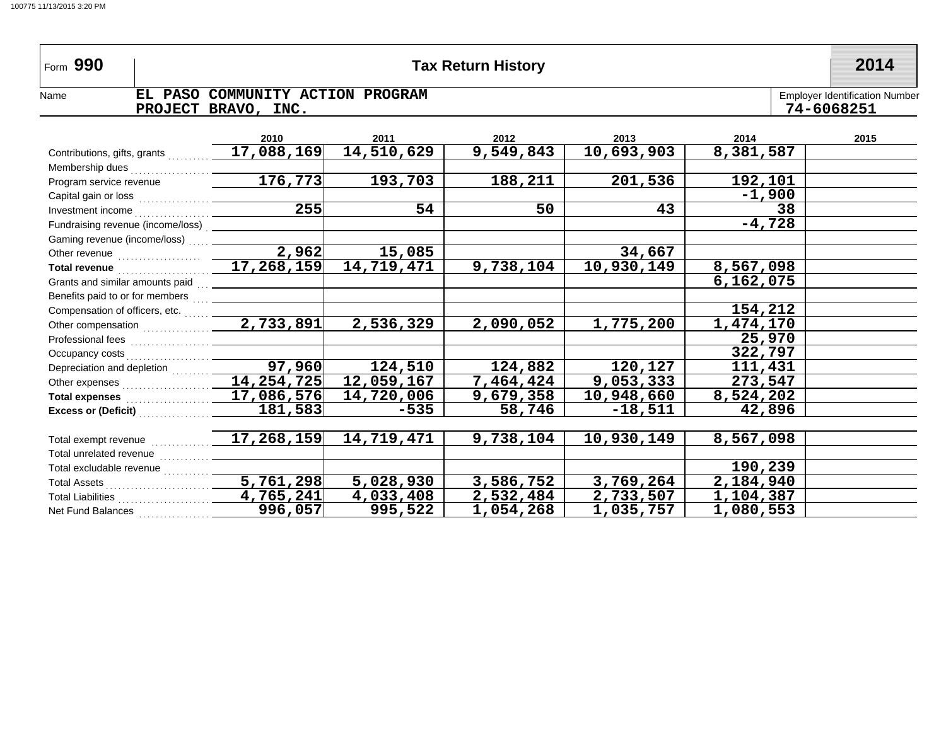| Form 990                                              |                                                         |            | <b>Tax Return History</b> |            |           | 2014                                                |
|-------------------------------------------------------|---------------------------------------------------------|------------|---------------------------|------------|-----------|-----------------------------------------------------|
| Name                                                  | EL PASO COMMUNITY ACTION PROGRAM<br>PROJECT BRAVO, INC. |            |                           |            |           | <b>Employer Identification Number</b><br>74-6068251 |
|                                                       | 2010                                                    | 2011       | 2012                      | 2013       | 2014      | 2015                                                |
|                                                       | 17,088,169                                              | 14,510,629 | 9,549,843                 | 10,693,903 | 8,381,587 |                                                     |
|                                                       |                                                         |            |                           |            |           |                                                     |
| Program service revenue                               | 176, 773                                                | 193,703    | 188,211                   | 201,536    | 192,101   |                                                     |
|                                                       |                                                         |            |                           |            | $-1,900$  |                                                     |
|                                                       | $\overline{255}$                                        | 54         | 50                        | 43         | 38        |                                                     |
|                                                       |                                                         |            |                           |            | $-4,728$  |                                                     |
| Gaming revenue (income/loss)                          |                                                         |            |                           |            |           |                                                     |
|                                                       |                                                         | 15,085     |                           | 34,667     |           |                                                     |
| Total revenue March March 1999                        |                                                         | 14,719,471 | 9,738,104                 | 10,930,149 | 8,567,098 |                                                     |
|                                                       |                                                         |            |                           |            | 6,162,075 |                                                     |
|                                                       |                                                         |            |                           |            |           |                                                     |
|                                                       |                                                         |            |                           |            | 154,212   |                                                     |
|                                                       |                                                         | 2,536,329  | 2,090,052                 | 1,775,200  | 1,474,170 |                                                     |
|                                                       |                                                         |            |                           |            | 25,970    |                                                     |
|                                                       |                                                         |            |                           |            | 322,797   |                                                     |
|                                                       | 97,960                                                  | 124,510    | 124,882                   | 120,127    | 111,431   |                                                     |
| Other expenses 214, 254, 725                          |                                                         | 12,059,167 | 7,464,424                 | 9,053,333  | 273,547   |                                                     |
|                                                       | 17,086,576                                              | 14,720,006 | 9,679,358                 | 10,948,660 | 8,524,202 |                                                     |
|                                                       | 181,583                                                 | $-535$     | 58,746                    | $-18,511$  | 42,896    |                                                     |
| Total exempt revenue 17, 268, 159                     |                                                         | 14,719,471 | 9,738,104                 | 10,930,149 | 8,567,098 |                                                     |
| Total unrelated revenue manuscript and the manuscript |                                                         |            |                           |            |           |                                                     |
| Total excludable revenue                              |                                                         |            |                           |            | 190,239   |                                                     |
|                                                       | 5,761,298                                               | 5,028,930  | 3,586,752                 | 3,769,264  | 2,184,940 |                                                     |
|                                                       | 4,765,241                                               | 4,033,408  | 2,532,484                 | 2,733,507  | 1,104,387 |                                                     |
| Net Fund Balances                                     | 996,057                                                 | 995,522    | 1,054,268                 | 1,035,757  | 1,080,553 |                                                     |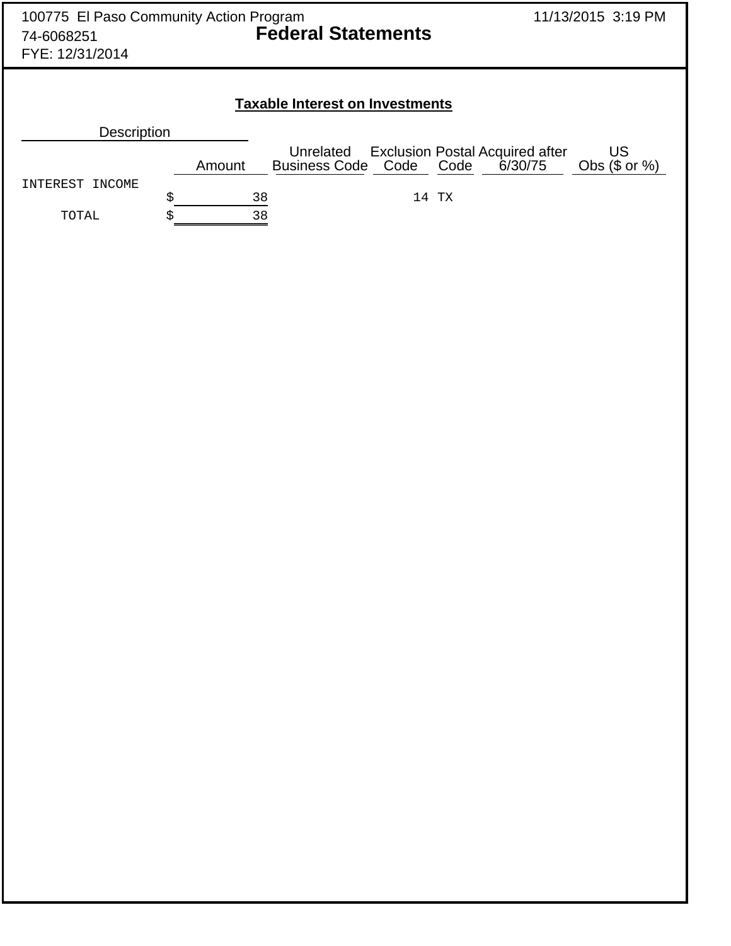| 100775 El Paso Community Action Program<br>74-6068251<br>FYE: 12/31/2014 |    |        | <b>Federal Statements</b>              |    |      |                                                   | 11/13/2015 3:19 PM     |
|--------------------------------------------------------------------------|----|--------|----------------------------------------|----|------|---------------------------------------------------|------------------------|
|                                                                          |    |        | <b>Taxable Interest on Investments</b> |    |      |                                                   |                        |
| <b>Description</b>                                                       |    |        |                                        |    |      |                                                   |                        |
|                                                                          |    | Amount | Unrelated<br>Business Code Code        |    | Code | <b>Exclusion Postal Acquired after</b><br>6/30/75 | US.<br>Obs $($ or  %)$ |
| INTEREST INCOME                                                          | \$ | 38     |                                        | 14 | TX   |                                                   |                        |
| TOTAL                                                                    | Ś  | 38     |                                        |    |      |                                                   |                        |
|                                                                          |    |        |                                        |    |      |                                                   |                        |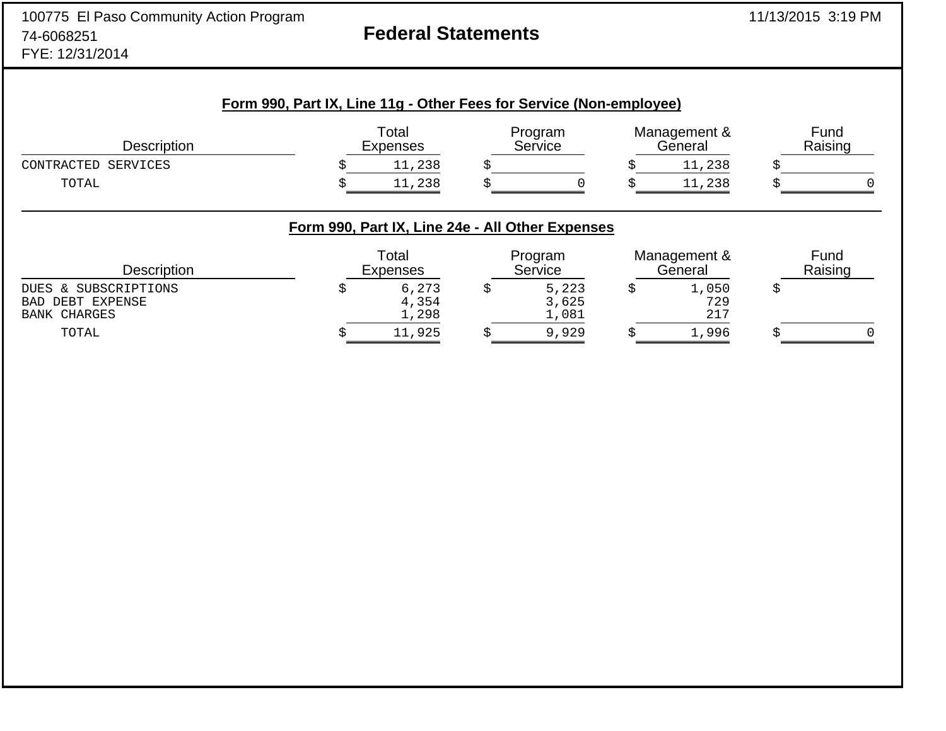# **Federal Statements**

| <b>Description</b>  | Total<br><b>Expenses</b>                         | Program<br>Service | Management &<br>General | Fund<br>Raising |
|---------------------|--------------------------------------------------|--------------------|-------------------------|-----------------|
| CONTRACTED SERVICES | 11,238                                           |                    | 11,238                  |                 |
| TOTAL               | 11,238                                           |                    | 11,238                  |                 |
|                     | Form 990, Part IX, Line 24e - All Other Expenses |                    |                         |                 |
| <b>Description</b>  | Total<br><b>Expenses</b>                         | Program<br>Service | Management &<br>General | Fund<br>Raising |

| SUBSCRIPTIONS<br><b>DUES</b><br>òν<br>EXPENSE<br>DEBT<br>BAD<br>CHARGES<br><b>BANK</b> | רחר<br>د ، ∠ ، ‹<br>4,354<br>1,298 | 5,223<br>,625<br>1,081 | 1,050<br>729<br>217<br>{ 2 |  |
|----------------------------------------------------------------------------------------|------------------------------------|------------------------|----------------------------|--|
| TOTAL                                                                                  | 925<br>-- -                        | 929                    | ⊥,996                      |  |